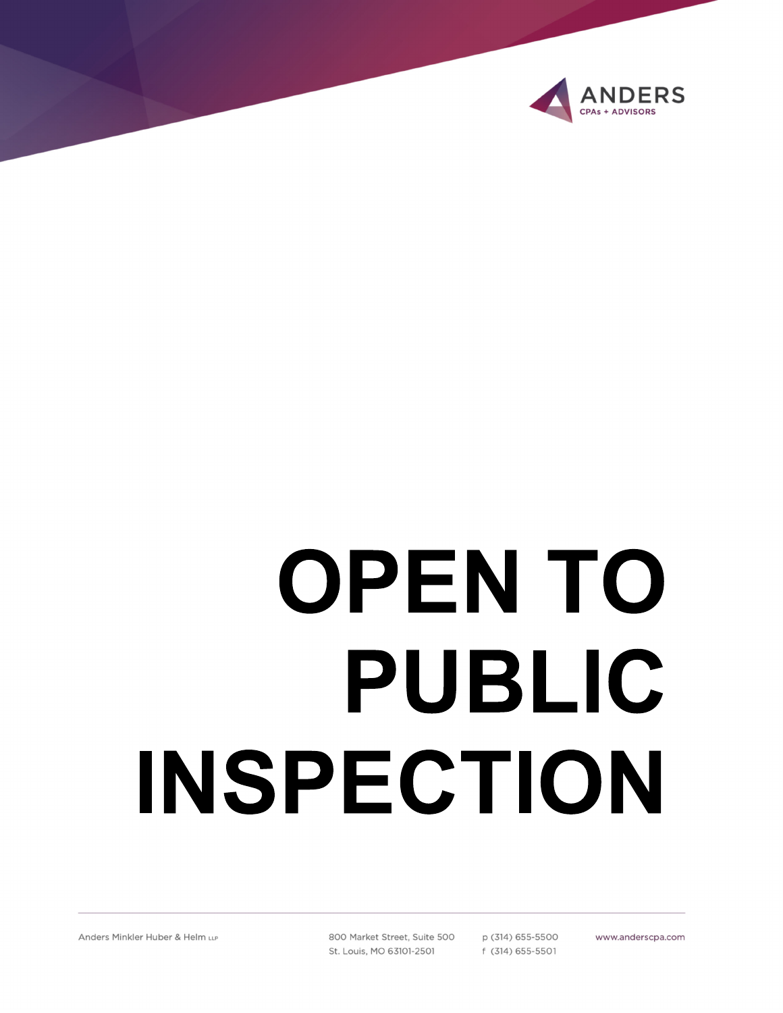

# **OPENTO** PUBLIC INSPECTION

800 Market Street, Suite 500 St. Louis, MO 63101-2501

p (314) 655-5500 f (314) 655-5501

www.anderscpa.com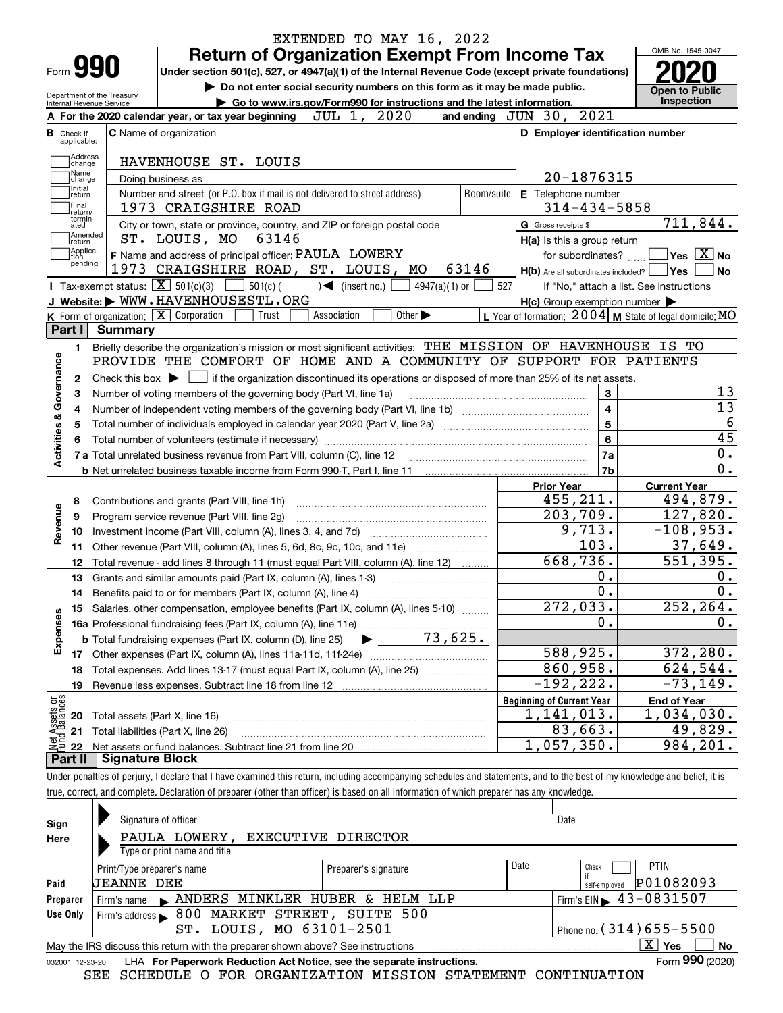| Form <b>990</b>                                |                                             |                                                                                                                                             | <b>Return of Organization Exempt From Income Tax</b>                                                                                                  |                                   |                             |       |            |                                  |                                                     |                                                                 | OMB No. 1545-0047                                                                                                    |
|------------------------------------------------|---------------------------------------------|---------------------------------------------------------------------------------------------------------------------------------------------|-------------------------------------------------------------------------------------------------------------------------------------------------------|-----------------------------------|-----------------------------|-------|------------|----------------------------------|-----------------------------------------------------|-----------------------------------------------------------------|----------------------------------------------------------------------------------------------------------------------|
|                                                |                                             | Under section 501(c), 527, or 4947(a)(1) of the Internal Revenue Code (except private foundations)                                          |                                                                                                                                                       |                                   |                             |       |            |                                  |                                                     |                                                                 |                                                                                                                      |
| Internal Revenue Service                       | Department of the Treasury                  |                                                                                                                                             | Do not enter social security numbers on this form as it may be made public.<br>Go to www.irs.gov/Form990 for instructions and the latest information. |                                   |                             |       |            |                                  |                                                     | Open to Public<br>Inspection                                    |                                                                                                                      |
|                                                |                                             | A For the 2020 calendar year, or tax year beginning                                                                                         |                                                                                                                                                       | JUL 1,                            | 2020                        |       |            | and ending $JUN$ 30,             | 2021                                                |                                                                 |                                                                                                                      |
| <b>B</b> Check if<br>applicable:               | <b>C</b> Name of organization               |                                                                                                                                             |                                                                                                                                                       |                                   |                             |       |            |                                  |                                                     | D Employer identification number                                |                                                                                                                      |
| Address                                        |                                             |                                                                                                                                             |                                                                                                                                                       |                                   |                             |       |            |                                  |                                                     |                                                                 |                                                                                                                      |
| change<br>Name                                 |                                             | HAVENHOUSE ST. LOUIS                                                                                                                        |                                                                                                                                                       |                                   |                             |       |            |                                  |                                                     |                                                                 |                                                                                                                      |
| change<br>Initial                              | Doing business as                           |                                                                                                                                             |                                                                                                                                                       |                                   |                             |       |            |                                  | 20-1876315                                          |                                                                 |                                                                                                                      |
| return<br> Final                               |                                             | Number and street (or P.O. box if mail is not delivered to street address)<br>1973 CRAIGSHIRE ROAD                                          |                                                                                                                                                       |                                   |                             |       | Room/suite |                                  | E Telephone number<br>$314 - 434 - 5858$            |                                                                 |                                                                                                                      |
| return/<br>termin-                             |                                             |                                                                                                                                             |                                                                                                                                                       |                                   |                             |       |            |                                  |                                                     | 711,844.                                                        |                                                                                                                      |
| ated<br>Amended                                |                                             | City or town, state or province, country, and ZIP or foreign postal code<br>ST. LOUIS, MO                                                   | 63146                                                                                                                                                 |                                   |                             |       |            | G Gross receipts \$              |                                                     |                                                                 |                                                                                                                      |
| return<br>Applica-                             |                                             | F Name and address of principal officer: PAULA LOWERY                                                                                       |                                                                                                                                                       |                                   |                             |       |            |                                  | H(a) Is this a group return<br>for subordinates?    | $Yes \vert X \vert$ No                                          |                                                                                                                      |
| tion<br>pending                                |                                             | 1973 CRAIGSHIRE ROAD, ST. LOUIS, MO                                                                                                         |                                                                                                                                                       |                                   |                             | 63146 |            |                                  | $H(b)$ Are all subordinates included?               | <b>Yes</b>                                                      | No                                                                                                                   |
|                                                | Tax-exempt status: $\overline{X}$ 501(c)(3) |                                                                                                                                             | $501(c)$ (                                                                                                                                            | $\sqrt{\frac{1}{1}}$ (insert no.) | $4947(a)(1)$ or             |       | 527        |                                  |                                                     | If "No," attach a list. See instructions                        |                                                                                                                      |
|                                                |                                             | J Website: WWW.HAVENHOUSESTL.ORG                                                                                                            |                                                                                                                                                       |                                   |                             |       |            |                                  | $H(c)$ Group exemption number $\blacktriangleright$ |                                                                 |                                                                                                                      |
|                                                | K Form of organization: X Corporation       |                                                                                                                                             | Trust                                                                                                                                                 | Association                       | Other $\blacktriangleright$ |       |            |                                  |                                                     | L Year of formation: $2004 \vert$ M State of legal domicile: MO |                                                                                                                      |
| Part I                                         | Summary                                     |                                                                                                                                             |                                                                                                                                                       |                                   |                             |       |            |                                  |                                                     |                                                                 |                                                                                                                      |
| 1.                                             |                                             | Briefly describe the organization's mission or most significant activities: THE MISSION OF HAVENHOUSE IS TO                                 |                                                                                                                                                       |                                   |                             |       |            |                                  |                                                     |                                                                 |                                                                                                                      |
|                                                |                                             |                                                                                                                                             |                                                                                                                                                       |                                   |                             |       |            |                                  |                                                     |                                                                 |                                                                                                                      |
|                                                |                                             | PROVIDE THE COMFORT OF HOME AND A COMMUNITY OF SUPPORT FOR PATIENTS                                                                         |                                                                                                                                                       |                                   |                             |       |            |                                  |                                                     |                                                                 |                                                                                                                      |
| 2                                              |                                             | Check this box $\blacktriangleright$ $\Box$ if the organization discontinued its operations or disposed of more than 25% of its net assets. |                                                                                                                                                       |                                   |                             |       |            |                                  |                                                     |                                                                 |                                                                                                                      |
| З                                              |                                             | Number of voting members of the governing body (Part VI, line 1a)                                                                           |                                                                                                                                                       |                                   |                             |       |            |                                  | 3                                                   |                                                                 |                                                                                                                      |
| 4                                              |                                             |                                                                                                                                             |                                                                                                                                                       |                                   |                             |       |            |                                  | $\overline{\mathbf{4}}$                             |                                                                 |                                                                                                                      |
| 5                                              |                                             |                                                                                                                                             |                                                                                                                                                       |                                   |                             |       |            |                                  | 5                                                   |                                                                 |                                                                                                                      |
| 6                                              |                                             |                                                                                                                                             |                                                                                                                                                       |                                   |                             |       |            |                                  | 6                                                   |                                                                 |                                                                                                                      |
|                                                |                                             | 7 a Total unrelated business revenue from Part VIII, column (C), line 12                                                                    |                                                                                                                                                       |                                   |                             |       |            |                                  | 7a                                                  |                                                                 |                                                                                                                      |
|                                                |                                             |                                                                                                                                             |                                                                                                                                                       |                                   |                             |       |            |                                  | 7b                                                  |                                                                 |                                                                                                                      |
|                                                |                                             |                                                                                                                                             |                                                                                                                                                       |                                   |                             |       |            | <b>Prior Year</b>                |                                                     | <b>Current Year</b>                                             |                                                                                                                      |
| 8                                              |                                             | Contributions and grants (Part VIII, line 1h)                                                                                               |                                                                                                                                                       |                                   |                             |       |            |                                  | 455,211.                                            | 494,879.                                                        |                                                                                                                      |
| 9                                              |                                             | Program service revenue (Part VIII, line 2g)                                                                                                |                                                                                                                                                       |                                   |                             |       |            |                                  | 203,709.                                            | 127,820.                                                        |                                                                                                                      |
| 10                                             |                                             |                                                                                                                                             |                                                                                                                                                       |                                   |                             |       |            |                                  | 9,713.                                              | $-108,953.$                                                     |                                                                                                                      |
| 11                                             |                                             | Other revenue (Part VIII, column (A), lines 5, 6d, 8c, 9c, 10c, and 11e)                                                                    |                                                                                                                                                       |                                   |                             |       |            |                                  | 103.                                                | 37,649.                                                         |                                                                                                                      |
| 12                                             |                                             | Total revenue - add lines 8 through 11 (must equal Part VIII, column (A), line 12)                                                          |                                                                                                                                                       |                                   |                             |       |            |                                  | 668,736.                                            | 551,395.                                                        |                                                                                                                      |
| 13                                             |                                             | Grants and similar amounts paid (Part IX, column (A), lines 1-3)                                                                            |                                                                                                                                                       |                                   |                             |       |            |                                  | 0.                                                  |                                                                 |                                                                                                                      |
| 14                                             |                                             | Benefits paid to or for members (Part IX, column (A), line 4)                                                                               |                                                                                                                                                       |                                   |                             |       |            |                                  | $\overline{0}$ .                                    |                                                                 |                                                                                                                      |
| 15                                             |                                             | Salaries, other compensation, employee benefits (Part IX, column (A), lines 5-10)                                                           |                                                                                                                                                       |                                   |                             |       |            |                                  | 272,033.                                            | 252,264.                                                        |                                                                                                                      |
|                                                |                                             |                                                                                                                                             |                                                                                                                                                       |                                   |                             |       |            |                                  | $\mathbf{0}$ .                                      |                                                                 |                                                                                                                      |
|                                                |                                             | <b>b</b> Total fundraising expenses (Part IX, column (D), line 25)                                                                          |                                                                                                                                                       |                                   | 73,625.                     |       |            |                                  |                                                     |                                                                 |                                                                                                                      |
| 17                                             |                                             |                                                                                                                                             |                                                                                                                                                       |                                   |                             |       |            |                                  | 588,925.                                            | 372,280.                                                        |                                                                                                                      |
| 18                                             |                                             | Total expenses. Add lines 13-17 (must equal Part IX, column (A), line 25)                                                                   |                                                                                                                                                       |                                   |                             |       |            |                                  | 860,958.                                            | 624,544.                                                        |                                                                                                                      |
| 19                                             |                                             |                                                                                                                                             |                                                                                                                                                       |                                   |                             |       |            |                                  | $-192, 222.$                                        | $-73, 149.$                                                     |                                                                                                                      |
| Activities & Governance<br>Revenue<br>Expenses |                                             |                                                                                                                                             |                                                                                                                                                       |                                   |                             |       |            | <b>Beginning of Current Year</b> |                                                     | <b>End of Year</b>                                              |                                                                                                                      |
| 20                                             | Total assets (Part X, line 16)              |                                                                                                                                             |                                                                                                                                                       |                                   |                             |       |            |                                  | 1, 141, 013.                                        | 1,034,030.                                                      | 13<br>$\overline{13}$<br>$\overline{6}$<br>$\overline{45}$<br>$0$ .<br>$\overline{0}$ .<br>О.<br>$\mathbf 0$ .<br>0. |
| t Assets or<br>d Balances<br>21<br><u> 호텔</u>  | Total liabilities (Part X, line 26)         |                                                                                                                                             |                                                                                                                                                       |                                   |                             |       |            | 1,057,350.                       | 83,663.                                             | 49,829.<br>984,201.                                             |                                                                                                                      |

| and complete.<br>true.<br>correct. | . Declaration of preparer (other than officer) is based on a |  | i all information of which. | ı preparer | r has anv knowledge. |
|------------------------------------|--------------------------------------------------------------|--|-----------------------------|------------|----------------------|
|                                    |                                                              |  |                             |            |                      |

| Sign<br>Here | Signature of officer<br>PAULA LOWERY,                                                                               | <b>EXECUTIVE DIRECTOR</b> |      | Date                                        |  |  |  |  |  |
|--------------|---------------------------------------------------------------------------------------------------------------------|---------------------------|------|---------------------------------------------|--|--|--|--|--|
|              | Type or print name and title                                                                                        |                           |      |                                             |  |  |  |  |  |
|              | Print/Type preparer's name                                                                                          | Preparer's signature      | Date | <b>PTIN</b><br>Check                        |  |  |  |  |  |
| Paid         | <b>JEANNE DEE</b>                                                                                                   |                           |      | P01082093<br>self-emploved                  |  |  |  |  |  |
| Preparer     | Firm's name $\blacktriangleright$ ANDERS MINKLER HUBER &                                                            | HELM LLP                  |      | Firm's EIN $\blacktriangleright$ 43-0831507 |  |  |  |  |  |
| Use Only     | Firm's address > 800 MARKET STREET, SUITE 500                                                                       |                           |      |                                             |  |  |  |  |  |
|              | LOUIS, MO 63101-2501<br>Phone no. $(314)$ 655-5500<br>ST.                                                           |                           |      |                                             |  |  |  |  |  |
|              | $\mathbf{X}$<br><b>No</b><br>Yes<br>May the IRS discuss this return with the preparer shown above? See instructions |                           |      |                                             |  |  |  |  |  |
|              | Form 990 (2020)<br>LHA For Paperwork Reduction Act Notice, see the separate instructions.<br>032001 12-23-20        |                           |      |                                             |  |  |  |  |  |

SEE SCHEDULE O FOR ORGANIZATION MISSION STATEMENT CONTINUATION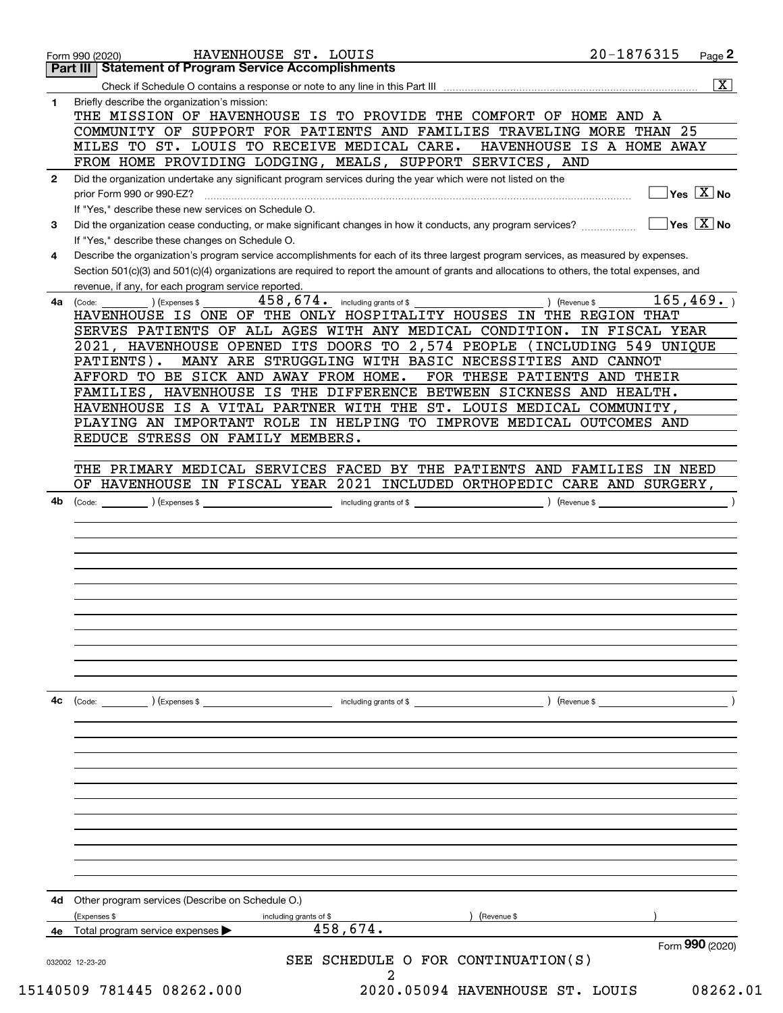|              | 20-1876315<br>HAVENHOUSE ST. LOUIS<br>Page 2<br>Form 990 (2020)<br><b>Part III   Statement of Program Service Accomplishments</b>                                                                                                                                                    |
|--------------|--------------------------------------------------------------------------------------------------------------------------------------------------------------------------------------------------------------------------------------------------------------------------------------|
|              | $\overline{\mathbf{x}}$                                                                                                                                                                                                                                                              |
| 1            | Briefly describe the organization's mission:                                                                                                                                                                                                                                         |
|              | THE MISSION OF HAVENHOUSE IS TO PROVIDE THE COMFORT OF HOME AND A<br>COMMUNITY OF SUPPORT FOR PATIENTS AND FAMILIES TRAVELING MORE THAN 25                                                                                                                                           |
|              | MILES TO ST. LOUIS TO RECEIVE MEDICAL CARE.<br>HAVENHOUSE IS A HOME AWAY<br>FROM HOME PROVIDING LODGING, MEALS, SUPPORT SERVICES, AND                                                                                                                                                |
| $\mathbf{2}$ | Did the organization undertake any significant program services during the year which were not listed on the<br>$\sqrt{}$ Yes $\sqrt{}$ X $\sqrt{}$ No<br>prior Form 990 or 990-EZ?                                                                                                  |
| 3            | If "Yes," describe these new services on Schedule O.<br>$\sqrt{}$ Yes $\sqrt{}$ X $\sqrt{}$ No<br>Did the organization cease conducting, or make significant changes in how it conducts, any program services?                                                                       |
|              | If "Yes," describe these changes on Schedule O.                                                                                                                                                                                                                                      |
| 4            | Describe the organization's program service accomplishments for each of its three largest program services, as measured by expenses.<br>Section 501(c)(3) and 501(c)(4) organizations are required to report the amount of grants and allocations to others, the total expenses, and |
| 4a           | revenue, if any, for each program service reported.<br>165, 469.<br>$458,674$ . including grants of \$<br>) (Revenue \$<br>(Code:<br>(Expenses \$<br>HAVENHOUSE IS ONE OF THE ONLY HOSPITALITY HOUSES IN THE REGION THAT                                                             |
|              | SERVES PATIENTS OF ALL AGES WITH ANY MEDICAL CONDITION.<br>IN FISCAL YEAR                                                                                                                                                                                                            |
|              | 2021, HAVENHOUSE OPENED ITS DOORS TO 2,574 PEOPLE (INCLUDING 549 UNIQUE<br>MANY ARE STRUGGLING WITH BASIC NECESSITIES AND CANNOT<br>PATIENTS).                                                                                                                                       |
|              | AFFORD TO BE SICK AND AWAY FROM HOME.<br>FOR THESE PATIENTS AND THEIR<br>FAMILIES, HAVENHOUSE IS THE DIFFERENCE BETWEEN SICKNESS AND HEALTH.                                                                                                                                         |
|              | HAVENHOUSE IS A VITAL PARTNER WITH THE ST. LOUIS MEDICAL COMMUNITY,                                                                                                                                                                                                                  |
|              | PLAYING AN IMPORTANT ROLE IN HELPING TO IMPROVE MEDICAL OUTCOMES AND<br>REDUCE STRESS ON FAMILY MEMBERS.                                                                                                                                                                             |
|              | THE PRIMARY MEDICAL SERVICES FACED BY THE PATIENTS AND FAMILIES IN NEED                                                                                                                                                                                                              |
|              | OF HAVENHOUSE IN FISCAL YEAR 2021 INCLUDED ORTHOPEDIC CARE AND SURGERY,                                                                                                                                                                                                              |
|              |                                                                                                                                                                                                                                                                                      |
|              |                                                                                                                                                                                                                                                                                      |
|              |                                                                                                                                                                                                                                                                                      |
|              |                                                                                                                                                                                                                                                                                      |
|              |                                                                                                                                                                                                                                                                                      |
|              |                                                                                                                                                                                                                                                                                      |
| 4c           | $\left(\text{Code:}\right)$ $\left(\text{Expenses $}\right)$<br>including grants of $$$<br>) (Revenue \$                                                                                                                                                                             |
|              |                                                                                                                                                                                                                                                                                      |
|              |                                                                                                                                                                                                                                                                                      |
|              |                                                                                                                                                                                                                                                                                      |
|              |                                                                                                                                                                                                                                                                                      |
|              |                                                                                                                                                                                                                                                                                      |
|              |                                                                                                                                                                                                                                                                                      |
|              | Other program services (Describe on Schedule O.)                                                                                                                                                                                                                                     |
| 4d           | (Expenses \$<br>(Revenue \$<br>including grants of \$<br>458,674.<br>Total program service expenses                                                                                                                                                                                  |
|              | Form 990 (2020)<br>SEE SCHEDULE O FOR CONTINUATION(S)<br>032002 12-23-20                                                                                                                                                                                                             |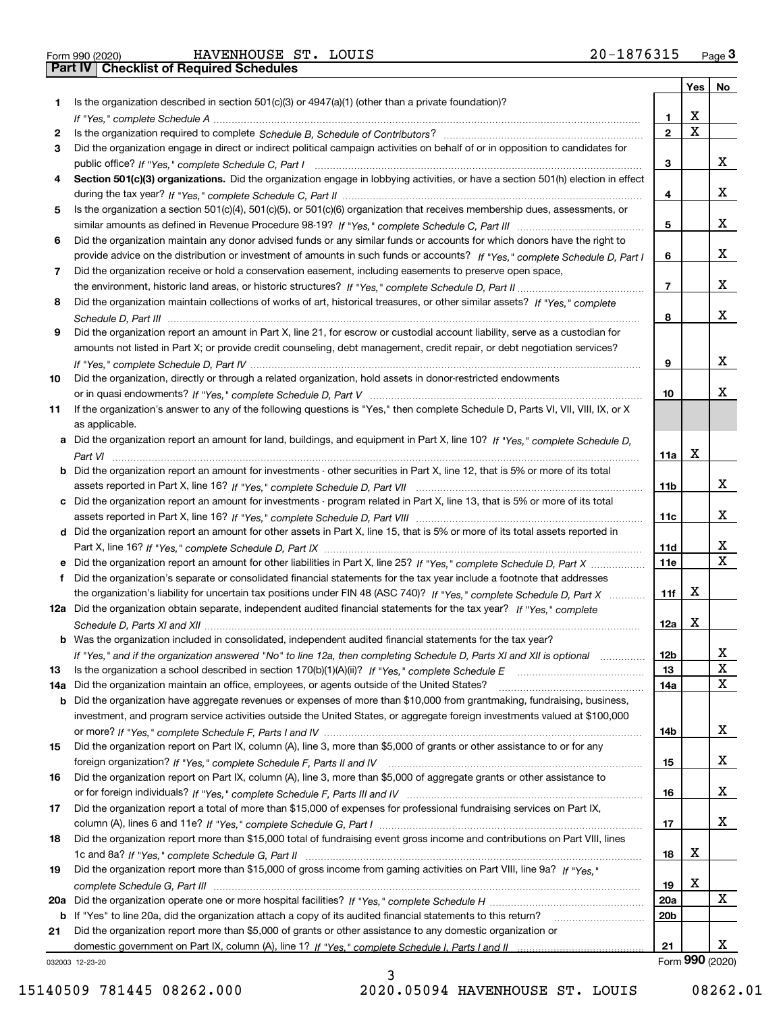|  | Form 990 (2020) |
|--|-----------------|
|  |                 |

Form 990 (2020) Page **3Part IV Checklist of Required Schedules** HAVENHOUSE ST. LOUIS 20-1876315

|     |                                                                                                                                       |                 |             | Yes   No        |
|-----|---------------------------------------------------------------------------------------------------------------------------------------|-----------------|-------------|-----------------|
| 1   | Is the organization described in section $501(c)(3)$ or $4947(a)(1)$ (other than a private foundation)?                               |                 |             |                 |
|     |                                                                                                                                       | 1               | X           |                 |
| 2   |                                                                                                                                       | $\mathbf{2}$    | $\mathbf X$ |                 |
| 3   | Did the organization engage in direct or indirect political campaign activities on behalf of or in opposition to candidates for       |                 |             |                 |
|     |                                                                                                                                       | 3               |             | х               |
| 4   | Section 501(c)(3) organizations. Did the organization engage in lobbying activities, or have a section 501(h) election in effect      |                 |             |                 |
|     |                                                                                                                                       | 4               |             | х               |
| 5   | Is the organization a section 501(c)(4), 501(c)(5), or 501(c)(6) organization that receives membership dues, assessments, or          |                 |             |                 |
|     |                                                                                                                                       | 5               |             | х               |
| 6   | Did the organization maintain any donor advised funds or any similar funds or accounts for which donors have the right to             |                 |             |                 |
|     | provide advice on the distribution or investment of amounts in such funds or accounts? If "Yes," complete Schedule D, Part I          | 6               |             | х               |
| 7   | Did the organization receive or hold a conservation easement, including easements to preserve open space,                             |                 |             |                 |
|     |                                                                                                                                       | $\overline{7}$  |             | х               |
| 8   | Did the organization maintain collections of works of art, historical treasures, or other similar assets? If "Yes," complete          |                 |             |                 |
|     |                                                                                                                                       | 8               |             | х               |
| 9   | Did the organization report an amount in Part X, line 21, for escrow or custodial account liability, serve as a custodian for         |                 |             |                 |
|     | amounts not listed in Part X; or provide credit counseling, debt management, credit repair, or debt negotiation services?             |                 |             |                 |
|     |                                                                                                                                       | 9               |             | х               |
| 10  | Did the organization, directly or through a related organization, hold assets in donor-restricted endowments                          |                 |             |                 |
|     |                                                                                                                                       | 10              |             | x.              |
|     |                                                                                                                                       |                 |             |                 |
| 11  | If the organization's answer to any of the following questions is "Yes," then complete Schedule D, Parts VI, VII, VIII, IX, or X      |                 |             |                 |
|     | as applicable.                                                                                                                        |                 |             |                 |
|     | a Did the organization report an amount for land, buildings, and equipment in Part X, line 10? If "Yes," complete Schedule D,         |                 |             |                 |
|     |                                                                                                                                       | 11a             | X           |                 |
|     | <b>b</b> Did the organization report an amount for investments - other securities in Part X, line 12, that is 5% or more of its total |                 |             |                 |
|     |                                                                                                                                       | 11b             |             | х               |
|     | c Did the organization report an amount for investments - program related in Part X, line 13, that is 5% or more of its total         |                 |             |                 |
|     |                                                                                                                                       | 11c             |             | х               |
|     | d Did the organization report an amount for other assets in Part X, line 15, that is 5% or more of its total assets reported in       |                 |             |                 |
|     |                                                                                                                                       | 11d             |             | X               |
|     |                                                                                                                                       | <b>11e</b>      |             | $\mathbf X$     |
| f   | Did the organization's separate or consolidated financial statements for the tax year include a footnote that addresses               |                 |             |                 |
|     | the organization's liability for uncertain tax positions under FIN 48 (ASC 740)? If "Yes," complete Schedule D, Part X                | 11f             | X           |                 |
|     | 12a Did the organization obtain separate, independent audited financial statements for the tax year? If "Yes," complete               |                 |             |                 |
|     |                                                                                                                                       | 12a             | X           |                 |
|     | <b>b</b> Was the organization included in consolidated, independent audited financial statements for the tax year?                    |                 |             |                 |
|     | If "Yes," and if the organization answered "No" to line 12a, then completing Schedule D, Parts XI and XII is optional                 | 12 <sub>b</sub> |             | х               |
| 13  | Is the organization a school described in section 170(b)(1)(A)(ii)? If "Yes," complete Schedule E                                     | 13              |             | $\mathbf X$     |
| 14a | Did the organization maintain an office, employees, or agents outside of the United States?                                           | 14a             |             | x               |
| b   | Did the organization have aggregate revenues or expenses of more than \$10,000 from grantmaking, fundraising, business,               |                 |             |                 |
|     | investment, and program service activities outside the United States, or aggregate foreign investments valued at \$100,000            |                 |             |                 |
|     |                                                                                                                                       | 14b             |             | x               |
| 15  | Did the organization report on Part IX, column (A), line 3, more than \$5,000 of grants or other assistance to or for any             |                 |             |                 |
|     |                                                                                                                                       | 15              |             | x               |
| 16  | Did the organization report on Part IX, column (A), line 3, more than \$5,000 of aggregate grants or other assistance to              |                 |             |                 |
|     |                                                                                                                                       | 16              |             | x               |
| 17  | Did the organization report a total of more than \$15,000 of expenses for professional fundraising services on Part IX,               |                 |             |                 |
|     |                                                                                                                                       | 17              |             | x               |
| 18  | Did the organization report more than \$15,000 total of fundraising event gross income and contributions on Part VIII, lines          |                 |             |                 |
|     |                                                                                                                                       | 18              | x           |                 |
| 19  | Did the organization report more than \$15,000 of gross income from gaming activities on Part VIII, line 9a? If "Yes."                |                 |             |                 |
|     |                                                                                                                                       | 19              | x           |                 |
|     |                                                                                                                                       | 20a             |             | X               |
| b   | If "Yes" to line 20a, did the organization attach a copy of its audited financial statements to this return?                          | 20 <sub>b</sub> |             |                 |
|     | Did the organization report more than \$5,000 of grants or other assistance to any domestic organization or                           |                 |             |                 |
| 21  |                                                                                                                                       | 21              |             | x.              |
|     |                                                                                                                                       |                 |             | Form 990 (2020) |
|     | 032003 12-23-20                                                                                                                       |                 |             |                 |

3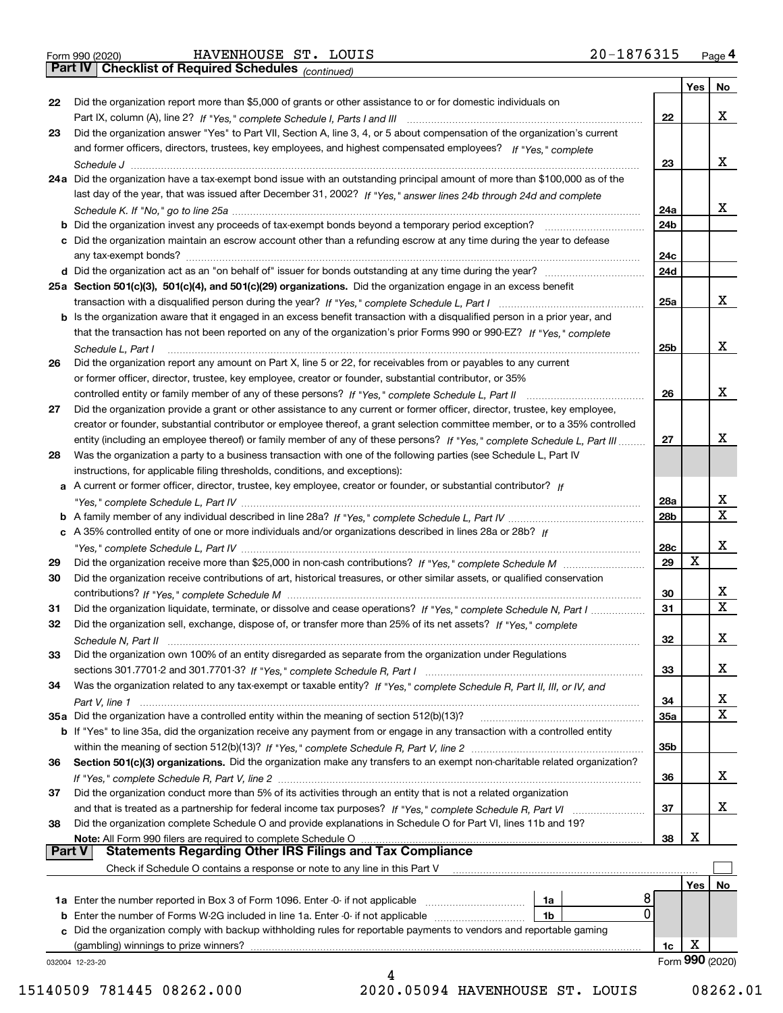|  | Form 990 (2020) |
|--|-----------------|
|  |                 |

Form 990 (2020) HAVENHOUSE ST. LOUIS 2 0-1 8 7 6 3 1 5 <sub>Page</sub> 4<br>**Part IV | Checklist of Required Schedules** <sub>(continued)</sub> 2 0-1 8 7 6 3 1 5 <sub>Page</sub> 4

*(continued)*

|               |                                                                                                                                                                             |                 | Yes | <b>No</b>       |
|---------------|-----------------------------------------------------------------------------------------------------------------------------------------------------------------------------|-----------------|-----|-----------------|
| 22            | Did the organization report more than \$5,000 of grants or other assistance to or for domestic individuals on                                                               |                 |     |                 |
|               | Part IX, column (A), line 2? If "Yes," complete Schedule I, Parts I and III [11] [11] [12] [12] Part IX, column (A), line 2? If "Yes," complete Schedule I, Parts I and III | 22              |     | х               |
| 23            | Did the organization answer "Yes" to Part VII, Section A, line 3, 4, or 5 about compensation of the organization's current                                                  |                 |     |                 |
|               | and former officers, directors, trustees, key employees, and highest compensated employees? If "Yes," complete                                                              |                 |     |                 |
|               |                                                                                                                                                                             | 23              |     | х               |
|               | 24a Did the organization have a tax-exempt bond issue with an outstanding principal amount of more than \$100,000 as of the                                                 |                 |     |                 |
|               | last day of the year, that was issued after December 31, 2002? If "Yes," answer lines 24b through 24d and complete                                                          |                 |     |                 |
|               |                                                                                                                                                                             | 24a             |     | x               |
|               | <b>b</b> Did the organization invest any proceeds of tax-exempt bonds beyond a temporary period exception?                                                                  | 24 <sub>b</sub> |     |                 |
|               | c Did the organization maintain an escrow account other than a refunding escrow at any time during the year to defease                                                      |                 |     |                 |
|               | any tax-exempt bonds?                                                                                                                                                       | 24c             |     |                 |
|               | d Did the organization act as an "on behalf of" issuer for bonds outstanding at any time during the year?                                                                   | 24d             |     |                 |
|               | 25a Section 501(c)(3), 501(c)(4), and 501(c)(29) organizations. Did the organization engage in an excess benefit                                                            |                 |     |                 |
|               |                                                                                                                                                                             | 25a             |     | х               |
|               | b Is the organization aware that it engaged in an excess benefit transaction with a disqualified person in a prior year, and                                                |                 |     |                 |
|               | that the transaction has not been reported on any of the organization's prior Forms 990 or 990-EZ? If "Yes," complete                                                       |                 |     |                 |
|               | Schedule L, Part I                                                                                                                                                          | 25 <sub>b</sub> |     | х               |
| 26            | Did the organization report any amount on Part X, line 5 or 22, for receivables from or payables to any current                                                             |                 |     |                 |
|               | or former officer, director, trustee, key employee, creator or founder, substantial contributor, or 35%                                                                     |                 |     |                 |
|               |                                                                                                                                                                             | 26              |     | х               |
| 27            | Did the organization provide a grant or other assistance to any current or former officer, director, trustee, key employee,                                                 |                 |     |                 |
|               | creator or founder, substantial contributor or employee thereof, a grant selection committee member, or to a 35% controlled                                                 |                 |     |                 |
|               | entity (including an employee thereof) or family member of any of these persons? If "Yes," complete Schedule L, Part III                                                    | 27              |     | х               |
| 28            | Was the organization a party to a business transaction with one of the following parties (see Schedule L, Part IV                                                           |                 |     |                 |
|               | instructions, for applicable filing thresholds, conditions, and exceptions):                                                                                                |                 |     |                 |
|               | a A current or former officer, director, trustee, key employee, creator or founder, or substantial contributor? If                                                          |                 |     |                 |
|               |                                                                                                                                                                             | 28a             |     | x               |
|               |                                                                                                                                                                             | 28 <sub>b</sub> |     | $\mathbf X$     |
|               | c A 35% controlled entity of one or more individuals and/or organizations described in lines 28a or 28b? If                                                                 |                 |     |                 |
|               |                                                                                                                                                                             | 28c             |     | х               |
| 29            |                                                                                                                                                                             | 29              | х   |                 |
| 30            | Did the organization receive contributions of art, historical treasures, or other similar assets, or qualified conservation                                                 |                 |     |                 |
|               |                                                                                                                                                                             | 30              |     | X               |
| 31            | Did the organization liquidate, terminate, or dissolve and cease operations? If "Yes," complete Schedule N, Part I                                                          | 31              |     | $\mathbf x$     |
| 32            | Did the organization sell, exchange, dispose of, or transfer more than 25% of its net assets? If "Yes," complete                                                            |                 |     |                 |
|               | Schedule N, Part II                                                                                                                                                         | 32              |     | х               |
| 33            | Did the organization own 100% of an entity disregarded as separate from the organization under Regulations                                                                  |                 |     |                 |
|               |                                                                                                                                                                             | 33              |     | х               |
| 34            | Was the organization related to any tax-exempt or taxable entity? If "Yes," complete Schedule R, Part II, III, or IV, and                                                   |                 |     |                 |
|               |                                                                                                                                                                             | 34              |     | х               |
|               | 35a Did the organization have a controlled entity within the meaning of section 512(b)(13)?                                                                                 | 35a             |     | X               |
|               | b If "Yes" to line 35a, did the organization receive any payment from or engage in any transaction with a controlled entity                                                 |                 |     |                 |
|               |                                                                                                                                                                             | 35b             |     |                 |
| 36            | Section 501(c)(3) organizations. Did the organization make any transfers to an exempt non-charitable related organization?                                                  |                 |     |                 |
|               |                                                                                                                                                                             | 36              |     | x               |
| 37            | Did the organization conduct more than 5% of its activities through an entity that is not a related organization                                                            |                 |     |                 |
|               | and that is treated as a partnership for federal income tax purposes? If "Yes," complete Schedule R, Part VI                                                                | 37              |     | x               |
| 38            | Did the organization complete Schedule O and provide explanations in Schedule O for Part VI, lines 11b and 19?                                                              |                 |     |                 |
|               | Note: All Form 990 filers are required to complete Schedule O                                                                                                               | 38              | х   |                 |
| <b>Part V</b> | <b>Statements Regarding Other IRS Filings and Tax Compliance</b>                                                                                                            |                 |     |                 |
|               | Check if Schedule O contains a response or note to any line in this Part V                                                                                                  |                 |     |                 |
|               |                                                                                                                                                                             |                 | Yes | No              |
|               | 8<br><b>1a</b> Enter the number reported in Box 3 of Form 1096. Enter -0- if not applicable <i>manumumumum</i><br>1a                                                        |                 |     |                 |
|               | 0<br>1b                                                                                                                                                                     |                 |     |                 |
|               | c Did the organization comply with backup withholding rules for reportable payments to vendors and reportable gaming                                                        |                 |     |                 |
|               | (gambling) winnings to prize winners?                                                                                                                                       | 1c              | х   |                 |
|               | 032004 12-23-20                                                                                                                                                             |                 |     | Form 990 (2020) |
|               |                                                                                                                                                                             |                 |     |                 |

15140509 781445 08262.000 2020.05094 HAVENHOUSE ST. LOUIS 08262.01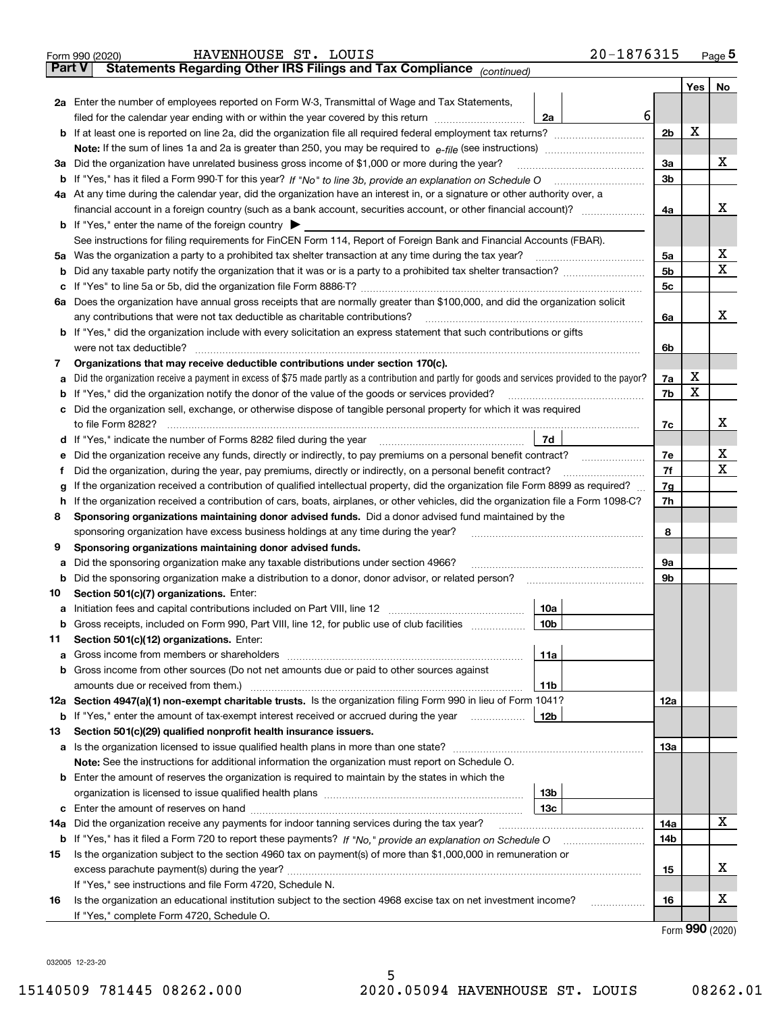|        | 20-1876315<br>HAVENHOUSE ST. LOUIS<br>Form 990 (2020)                                                                                                                                    |                |             | Page $5$ |
|--------|------------------------------------------------------------------------------------------------------------------------------------------------------------------------------------------|----------------|-------------|----------|
| Part V | Statements Regarding Other IRS Filings and Tax Compliance (continued)                                                                                                                    |                |             |          |
|        |                                                                                                                                                                                          |                | Yes $ $     | No       |
|        | 2a Enter the number of employees reported on Form W-3, Transmittal of Wage and Tax Statements,                                                                                           |                |             |          |
|        | 6<br>filed for the calendar year ending with or within the year covered by this return [11] [11] filed for the calendar year ending with or within the year covered by this return<br>2a |                |             |          |
|        |                                                                                                                                                                                          | 2 <sub>b</sub> | X           |          |
|        |                                                                                                                                                                                          |                |             |          |
|        | 3a Did the organization have unrelated business gross income of \$1,000 or more during the year?                                                                                         | 3a             |             | х        |
|        |                                                                                                                                                                                          | 3 <sub>b</sub> |             |          |
|        | 4a At any time during the calendar year, did the organization have an interest in, or a signature or other authority over, a                                                             |                |             |          |
|        |                                                                                                                                                                                          | 4a             |             | х        |
|        | <b>b</b> If "Yes," enter the name of the foreign country $\blacktriangleright$                                                                                                           |                |             |          |
|        | See instructions for filing requirements for FinCEN Form 114, Report of Foreign Bank and Financial Accounts (FBAR).                                                                      |                |             |          |
|        | 5a Was the organization a party to a prohibited tax shelter transaction at any time during the tax year?                                                                                 | 5a             |             | X        |
|        |                                                                                                                                                                                          | 5 <sub>b</sub> |             | Х        |
|        |                                                                                                                                                                                          | 5c             |             |          |
|        | 6a Does the organization have annual gross receipts that are normally greater than \$100,000, and did the organization solicit                                                           |                |             |          |
|        | any contributions that were not tax deductible as charitable contributions?                                                                                                              | 6a             |             | х        |
|        | <b>b</b> If "Yes," did the organization include with every solicitation an express statement that such contributions or gifts                                                            |                |             |          |
|        | were not tax deductible?                                                                                                                                                                 | 6b             |             |          |
| 7      | Organizations that may receive deductible contributions under section 170(c).                                                                                                            |                |             |          |
|        | a Did the organization receive a payment in excess of \$75 made partly as a contribution and partly for goods and services provided to the payor?                                        | 7a             | х           |          |
|        | <b>b</b> If "Yes," did the organization notify the donor of the value of the goods or services provided?                                                                                 | 7b             | X           |          |
|        | c Did the organization sell, exchange, or otherwise dispose of tangible personal property for which it was required                                                                      |                |             |          |
|        |                                                                                                                                                                                          | 7c             |             | x        |
|        | 7d<br>d If "Yes," indicate the number of Forms 8282 filed during the year manufactured in the second of the New York                                                                     |                |             |          |
|        | e Did the organization receive any funds, directly or indirectly, to pay premiums on a personal benefit contract?                                                                        | 7e             |             | х        |
| Ť.     | Did the organization, during the year, pay premiums, directly or indirectly, on a personal benefit contract?                                                                             | 7f             |             | х        |
| g      | If the organization received a contribution of qualified intellectual property, did the organization file Form 8899 as required?                                                         | 7g             |             |          |
|        | h If the organization received a contribution of cars, boats, airplanes, or other vehicles, did the organization file a Form 1098-C?                                                     | 7h             |             |          |
| 8      | Sponsoring organizations maintaining donor advised funds. Did a donor advised fund maintained by the                                                                                     |                |             |          |
|        | sponsoring organization have excess business holdings at any time during the year?                                                                                                       | 8              |             |          |
| 9      | Sponsoring organizations maintaining donor advised funds.                                                                                                                                |                |             |          |
|        | a Did the sponsoring organization make any taxable distributions under section 4966?                                                                                                     | 9а             |             |          |
|        | <b>b</b> Did the sponsoring organization make a distribution to a donor, donor advisor, or related person?                                                                               | 9b             |             |          |
| 10     | Section 501(c)(7) organizations. Enter:                                                                                                                                                  |                |             |          |
|        | 10a                                                                                                                                                                                      |                |             |          |
| b      | Gross receipts, included on Form 990, Part VIII, line 12, for public use of club facilities<br>10b                                                                                       |                |             |          |
| 11     | Section 501(c)(12) organizations. Enter:                                                                                                                                                 |                |             |          |
| а      | 11a                                                                                                                                                                                      |                |             |          |
|        | b Gross income from other sources (Do not net amounts due or paid to other sources against                                                                                               |                |             |          |
|        | amounts due or received from them.)<br>11b<br>12a Section 4947(a)(1) non-exempt charitable trusts. Is the organization filing Form 990 in lieu of Form 1041?                             | 12a            |             |          |
| b      | If "Yes," enter the amount of tax-exempt interest received or accrued during the year<br>12b                                                                                             |                |             |          |
| 13     | Section 501(c)(29) qualified nonprofit health insurance issuers.                                                                                                                         |                |             |          |
|        | a Is the organization licensed to issue qualified health plans in more than one state?                                                                                                   | 13а            |             |          |
|        | Note: See the instructions for additional information the organization must report on Schedule O.                                                                                        |                |             |          |
|        | <b>b</b> Enter the amount of reserves the organization is required to maintain by the states in which the                                                                                |                |             |          |
|        | 13 <sub>b</sub>                                                                                                                                                                          |                |             |          |
|        | 13с                                                                                                                                                                                      |                |             |          |
| 14a    | Did the organization receive any payments for indoor tanning services during the tax year?                                                                                               | 14a            |             | х        |
|        |                                                                                                                                                                                          | 14b            |             |          |
| 15     | Is the organization subject to the section 4960 tax on payment(s) of more than \$1,000,000 in remuneration or                                                                            |                |             |          |
|        |                                                                                                                                                                                          | 15             |             | х        |
|        | If "Yes," see instructions and file Form 4720, Schedule N.                                                                                                                               |                |             |          |
| 16     | Is the organization an educational institution subject to the section 4968 excise tax on net investment income?<br>.                                                                     | 16             |             | х        |
|        | If "Yes," complete Form 4720, Schedule O.                                                                                                                                                |                |             |          |
|        |                                                                                                                                                                                          |                | <u> nno</u> |          |

Form (2020) **990**

032005 12-23-20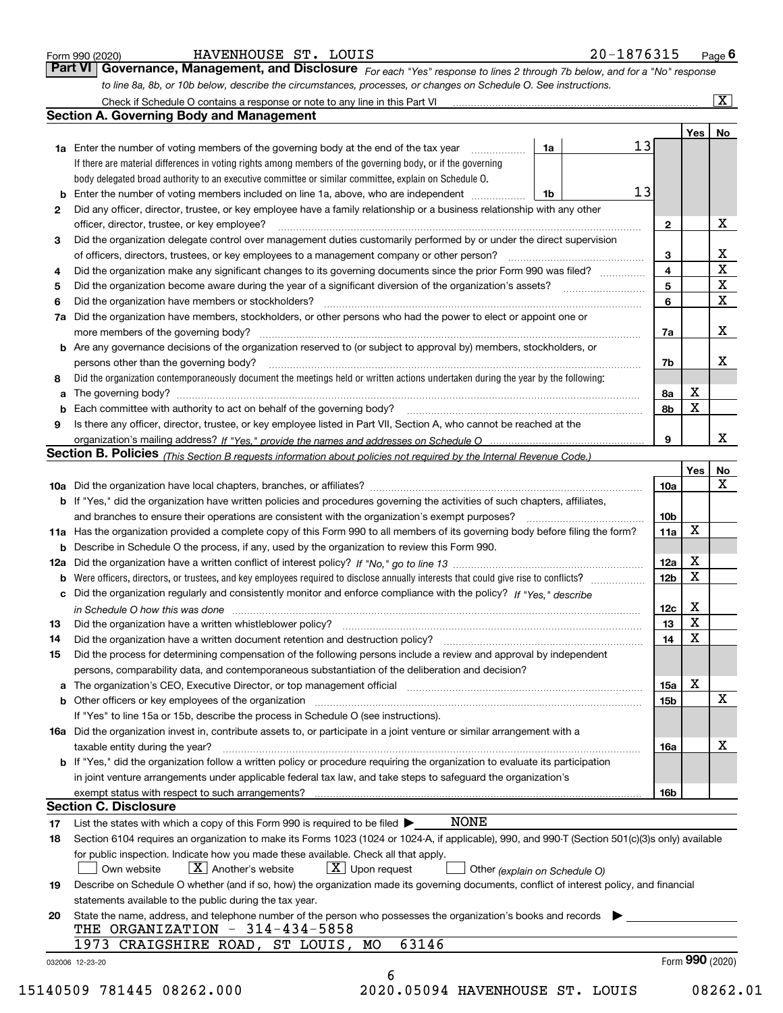|  | Form 990 (2020) |
|--|-----------------|
|  |                 |

| Form 990 (2020) | HAVENHOUSE ST.<br>LOUIS | 20-1876315<br>Page |
|-----------------|-------------------------|--------------------|
|-----------------|-------------------------|--------------------|

| Form 990 (2020) | HAVENHOUSE ST. LOUIS |  | 20-1876315                                                                                                                         | Page $6$ |
|-----------------|----------------------|--|------------------------------------------------------------------------------------------------------------------------------------|----------|
|                 |                      |  | <b>Part VI Governance, Management, and Disclosure</b> For each "Yes" response to lines 2 through 7b below, and for a "No" response |          |
|                 |                      |  | to line 8a, 8b, or 10b below, describe the circumstances, processes, or changes on Schedule O. See instructions.                   |          |

|              |                                                                                                                                                                                                                                |      |    |                 | Yes             | No                      |
|--------------|--------------------------------------------------------------------------------------------------------------------------------------------------------------------------------------------------------------------------------|------|----|-----------------|-----------------|-------------------------|
|              | <b>1a</b> Enter the number of voting members of the governing body at the end of the tax year <i>manumum</i>                                                                                                                   | 1a   | 13 |                 |                 |                         |
|              | If there are material differences in voting rights among members of the governing body, or if the governing                                                                                                                    |      |    |                 |                 |                         |
|              | body delegated broad authority to an executive committee or similar committee, explain on Schedule O.                                                                                                                          |      |    |                 |                 |                         |
| b            | Enter the number of voting members included on line 1a, above, who are independent                                                                                                                                             | l 1b | 13 |                 |                 |                         |
| $\mathbf{2}$ | Did any officer, director, trustee, or key employee have a family relationship or a business relationship with any other                                                                                                       |      |    |                 |                 |                         |
|              | officer, director, trustee, or key employee?                                                                                                                                                                                   |      |    | $\mathbf{2}$    |                 | х                       |
| 3            | Did the organization delegate control over management duties customarily performed by or under the direct supervision                                                                                                          |      |    |                 |                 |                         |
|              |                                                                                                                                                                                                                                |      |    | 3               |                 | X                       |
| 4            | Did the organization make any significant changes to its governing documents since the prior Form 990 was filed?                                                                                                               |      |    | $\overline{4}$  |                 | X                       |
| 5            |                                                                                                                                                                                                                                |      |    | 5               |                 | $\overline{\mathbf{x}}$ |
| 6            | Did the organization have members or stockholders?                                                                                                                                                                             |      |    | 6               |                 | X                       |
|              | 7a Did the organization have members, stockholders, or other persons who had the power to elect or appoint one or                                                                                                              |      |    |                 |                 |                         |
|              |                                                                                                                                                                                                                                |      |    | 7a              |                 | X                       |
|              | <b>b</b> Are any governance decisions of the organization reserved to (or subject to approval by) members, stockholders, or                                                                                                    |      |    |                 |                 |                         |
|              | persons other than the governing body?                                                                                                                                                                                         |      |    | 7b              |                 | х                       |
| 8            | Did the organization contemporaneously document the meetings held or written actions undertaken during the year by the following:                                                                                              |      |    |                 |                 |                         |
| a            |                                                                                                                                                                                                                                |      |    | 8a              | X               |                         |
| b            | Each committee with authority to act on behalf of the governing body? [10] manufacture manufacture with authority to act on behalf of the governing body? [10] manufacture with authority of the state with an interval and th |      |    | 8b              | X               |                         |
| 9            | Is there any officer, director, trustee, or key employee listed in Part VII, Section A, who cannot be reached at the                                                                                                           |      |    |                 |                 |                         |
|              |                                                                                                                                                                                                                                |      |    | 9               |                 | x                       |
|              | Section B. Policies (This Section B requests information about policies not required by the Internal Revenue Code.)                                                                                                            |      |    |                 |                 |                         |
|              |                                                                                                                                                                                                                                |      |    |                 | Yes             | No                      |
|              |                                                                                                                                                                                                                                |      |    | 10a             |                 | X                       |
|              | <b>b</b> If "Yes," did the organization have written policies and procedures governing the activities of such chapters, affiliates,                                                                                            |      |    |                 |                 |                         |
|              |                                                                                                                                                                                                                                |      |    | 10 <sub>b</sub> |                 |                         |
|              | 11a Has the organization provided a complete copy of this Form 990 to all members of its governing body before filing the form?                                                                                                |      |    | 11a             | X               |                         |
|              |                                                                                                                                                                                                                                |      |    |                 |                 |                         |
|              | <b>b</b> Describe in Schedule O the process, if any, used by the organization to review this Form 990.                                                                                                                         |      |    | 12a             | X               |                         |
|              |                                                                                                                                                                                                                                |      |    |                 | X               |                         |
| b            |                                                                                                                                                                                                                                |      |    | 12 <sub>b</sub> |                 |                         |
| c            | Did the organization regularly and consistently monitor and enforce compliance with the policy? If "Yes," describe                                                                                                             |      |    |                 | X               |                         |
|              | in Schedule O how this was done material contracts and the set of the state of the state of the state of the state of the state of the state of the state of the state of the state of the state of the state of the state of  |      |    | 12c             | X               |                         |
| 13           |                                                                                                                                                                                                                                |      |    | 13              | $\mathbf X$     |                         |
| 14           | Did the organization have a written document retention and destruction policy? manufactured and the organization have a written document retention and destruction policy?                                                     |      |    | 14              |                 |                         |
| 15           | Did the process for determining compensation of the following persons include a review and approval by independent                                                                                                             |      |    |                 |                 |                         |
|              | persons, comparability data, and contemporaneous substantiation of the deliberation and decision?                                                                                                                              |      |    |                 |                 |                         |
|              | a The organization's CEO, Executive Director, or top management official manufactured content content of the organization's CEO, Executive Director, or top management official manufactured content of the state of the state |      |    | 15a             | X               |                         |
|              | <b>b</b> Other officers or key employees of the organization                                                                                                                                                                   |      |    | 15b             |                 | X                       |
|              | If "Yes" to line 15a or 15b, describe the process in Schedule O (see instructions).                                                                                                                                            |      |    |                 |                 |                         |
|              | 16a Did the organization invest in, contribute assets to, or participate in a joint venture or similar arrangement with a                                                                                                      |      |    |                 |                 |                         |
|              | taxable entity during the year?                                                                                                                                                                                                |      |    | 16a             |                 | X                       |
|              | b If "Yes," did the organization follow a written policy or procedure requiring the organization to evaluate its participation                                                                                                 |      |    |                 |                 |                         |
|              | in joint venture arrangements under applicable federal tax law, and take steps to safeguard the organization's                                                                                                                 |      |    |                 |                 |                         |
|              | exempt status with respect to such arrangements?                                                                                                                                                                               |      |    | 16b             |                 |                         |
|              | <b>Section C. Disclosure</b>                                                                                                                                                                                                   |      |    |                 |                 |                         |
| 17           | <b>NONE</b><br>List the states with which a copy of this Form 990 is required to be filed $\blacktriangleright$                                                                                                                |      |    |                 |                 |                         |
| 18           | Section 6104 requires an organization to make its Forms 1023 (1024 or 1024-A, if applicable), 990, and 990-T (Section 501(c)(3)s only) available                                                                               |      |    |                 |                 |                         |
|              | for public inspection. Indicate how you made these available. Check all that apply.                                                                                                                                            |      |    |                 |                 |                         |
|              | $X$ Upon request<br>$ X $ Another's website<br>Own website<br>Other (explain on Schedule O)                                                                                                                                    |      |    |                 |                 |                         |
| 19           | Describe on Schedule O whether (and if so, how) the organization made its governing documents, conflict of interest policy, and financial                                                                                      |      |    |                 |                 |                         |
|              | statements available to the public during the tax year.                                                                                                                                                                        |      |    |                 |                 |                         |
| 20           | State the name, address, and telephone number of the person who possesses the organization's books and records                                                                                                                 |      |    |                 |                 |                         |
|              | THE ORGANIZATION $-314-434-5858$                                                                                                                                                                                               |      |    |                 |                 |                         |
|              | 63146<br>1973 CRAIGSHIRE ROAD, ST LOUIS, MO                                                                                                                                                                                    |      |    |                 |                 |                         |
|              | 032006 12-23-20                                                                                                                                                                                                                |      |    |                 | Form 990 (2020) |                         |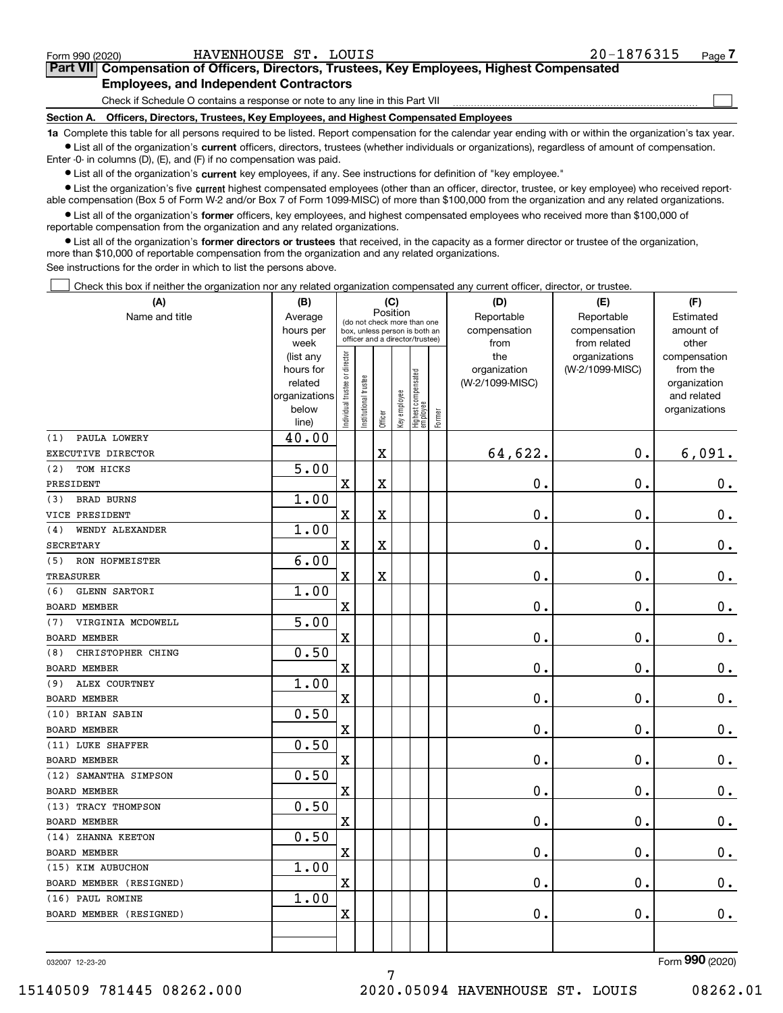| Form 990 (2020) |
|-----------------|
|-----------------|

 $\mathcal{L}^{\text{max}}$ 

| Form 990 (2020) | HAVENHOUSE ST. LOUIS                          |  | 20-1876315                                                                                 | Page 7 |
|-----------------|-----------------------------------------------|--|--------------------------------------------------------------------------------------------|--------|
|                 |                                               |  | Part VII Compensation of Officers, Directors, Trustees, Key Employees, Highest Compensated |        |
|                 | <b>Employees, and Independent Contractors</b> |  |                                                                                            |        |

Check if Schedule O contains a response or note to any line in this Part VII

**Section A. Officers, Directors, Trustees, Key Employees, and Highest Compensated Employees**

**1a**  Complete this table for all persons required to be listed. Report compensation for the calendar year ending with or within the organization's tax year. **•** List all of the organization's current officers, directors, trustees (whether individuals or organizations), regardless of amount of compensation.

Enter -0- in columns (D), (E), and (F) if no compensation was paid.

 $\bullet$  List all of the organization's  $\,$ current key employees, if any. See instructions for definition of "key employee."

**•** List the organization's five current highest compensated employees (other than an officer, director, trustee, or key employee) who received reportable compensation (Box 5 of Form W-2 and/or Box 7 of Form 1099-MISC) of more than \$100,000 from the organization and any related organizations.

**•** List all of the organization's former officers, key employees, and highest compensated employees who received more than \$100,000 of reportable compensation from the organization and any related organizations.

**former directors or trustees**  ¥ List all of the organization's that received, in the capacity as a former director or trustee of the organization, more than \$10,000 of reportable compensation from the organization and any related organizations.

See instructions for the order in which to list the persons above.

Check this box if neither the organization nor any related organization compensated any current officer, director, or trustee.  $\mathcal{L}^{\text{max}}$ 

| Name and title<br>Reportable<br>Average<br>Reportable<br>Estimated<br>(do not check more than one<br>hours per<br>compensation<br>compensation<br>amount of<br>box, unless person is both an<br>officer and a director/trustee)<br>week<br>from<br>from related<br>other<br>ndividual trustee or director<br>the<br>organizations<br>(list any<br>compensation<br>organization<br>(W-2/1099-MISC)<br>hours for<br>from the<br>Highest compensated<br> employee<br>Institutional trustee<br>(W-2/1099-MISC)<br>related<br>organization<br>Key employee<br>organizations<br>and related<br>below<br>organizations<br>Former<br>Officer<br>line)<br>PAULA LOWERY<br>40.00<br>(1)<br>64,622.<br>$\overline{\textbf{X}}$<br>0.<br>6,091.<br>EXECUTIVE DIRECTOR<br>5.00<br>TOM HICKS<br>(2)<br>0.<br>0.<br>$0_{.}$<br>Χ<br>Χ<br>PRESIDENT<br>1.00<br><b>BRAD BURNS</b><br>(3)<br>0.<br>0.<br>$\mathbf 0$ .<br>X<br>X<br>VICE PRESIDENT<br>1.00<br>WENDY ALEXANDER<br>(4)<br>0.<br>0.<br>X<br>X<br>0.<br><b>SECRETARY</b><br>6.00<br>RON HOFMEISTER<br>(5)<br>0.<br>0.<br>$\mathbf X$<br>X<br>$\mathbf 0$ .<br><b>TREASURER</b><br>1.00<br><b>GLENN SARTORI</b><br>(6)<br>X<br>0.<br>0.<br>$0_{.}$<br>BOARD MEMBER<br>5.00<br>VIRGINIA MCDOWELL<br>(7)<br>0.<br>$\rm X$<br>0.<br>0.<br><b>BOARD MEMBER</b><br>0.50<br>CHRISTOPHER CHING<br>(8)<br>X<br>0.<br>0.<br>$\mathbf 0$ .<br><b>BOARD MEMBER</b><br>1.00<br>ALEX COURTNEY<br>(9)<br>$\overline{\textbf{X}}$<br>0.<br>0.<br>0.<br>BOARD MEMBER<br>0.50<br>(10) BRIAN SABIN<br>$\overline{\mathbf{X}}$<br>0.<br>0.<br>$0_{.}$<br>BOARD MEMBER<br>0.50<br>(11) LUKE SHAFFER<br>0.<br>X<br>0.<br>$\mathbf 0$ .<br><b>BOARD MEMBER</b><br>0.50<br>(12) SAMANTHA SIMPSON<br>0.<br>X<br>0.<br>$\mathbf 0$ .<br><b>BOARD MEMBER</b><br>0.50<br>(13) TRACY THOMPSON<br>$\mathbf 0$ .<br>0.<br>$0_{.}$<br>X<br><b>BOARD MEMBER</b><br>0.50<br>(14) ZHANNA KEETON<br>0.<br>0.<br>$\mathbf 0$ .<br>X<br><b>BOARD MEMBER</b><br>1.00<br>(15) KIM AUBUCHON<br>0.<br>X<br>0.<br>$0_{.}$<br>BOARD MEMBER (RESIGNED)<br>(16) PAUL ROMINE<br>1.00<br>0.<br>0.<br>X<br>0.<br>BOARD MEMBER (RESIGNED) | (A) | (B) |          |  |  | (C) |  | (D) | (E) | (F) |  |
|-----------------------------------------------------------------------------------------------------------------------------------------------------------------------------------------------------------------------------------------------------------------------------------------------------------------------------------------------------------------------------------------------------------------------------------------------------------------------------------------------------------------------------------------------------------------------------------------------------------------------------------------------------------------------------------------------------------------------------------------------------------------------------------------------------------------------------------------------------------------------------------------------------------------------------------------------------------------------------------------------------------------------------------------------------------------------------------------------------------------------------------------------------------------------------------------------------------------------------------------------------------------------------------------------------------------------------------------------------------------------------------------------------------------------------------------------------------------------------------------------------------------------------------------------------------------------------------------------------------------------------------------------------------------------------------------------------------------------------------------------------------------------------------------------------------------------------------------------------------------------------------------------------------------------------------------------------------------------------------------------------------------------------------------------------------------------------------------------------------------------------------|-----|-----|----------|--|--|-----|--|-----|-----|-----|--|
|                                                                                                                                                                                                                                                                                                                                                                                                                                                                                                                                                                                                                                                                                                                                                                                                                                                                                                                                                                                                                                                                                                                                                                                                                                                                                                                                                                                                                                                                                                                                                                                                                                                                                                                                                                                                                                                                                                                                                                                                                                                                                                                                   |     |     | Position |  |  |     |  |     |     |     |  |
|                                                                                                                                                                                                                                                                                                                                                                                                                                                                                                                                                                                                                                                                                                                                                                                                                                                                                                                                                                                                                                                                                                                                                                                                                                                                                                                                                                                                                                                                                                                                                                                                                                                                                                                                                                                                                                                                                                                                                                                                                                                                                                                                   |     |     |          |  |  |     |  |     |     |     |  |
|                                                                                                                                                                                                                                                                                                                                                                                                                                                                                                                                                                                                                                                                                                                                                                                                                                                                                                                                                                                                                                                                                                                                                                                                                                                                                                                                                                                                                                                                                                                                                                                                                                                                                                                                                                                                                                                                                                                                                                                                                                                                                                                                   |     |     |          |  |  |     |  |     |     |     |  |
|                                                                                                                                                                                                                                                                                                                                                                                                                                                                                                                                                                                                                                                                                                                                                                                                                                                                                                                                                                                                                                                                                                                                                                                                                                                                                                                                                                                                                                                                                                                                                                                                                                                                                                                                                                                                                                                                                                                                                                                                                                                                                                                                   |     |     |          |  |  |     |  |     |     |     |  |
|                                                                                                                                                                                                                                                                                                                                                                                                                                                                                                                                                                                                                                                                                                                                                                                                                                                                                                                                                                                                                                                                                                                                                                                                                                                                                                                                                                                                                                                                                                                                                                                                                                                                                                                                                                                                                                                                                                                                                                                                                                                                                                                                   |     |     |          |  |  |     |  |     |     |     |  |
|                                                                                                                                                                                                                                                                                                                                                                                                                                                                                                                                                                                                                                                                                                                                                                                                                                                                                                                                                                                                                                                                                                                                                                                                                                                                                                                                                                                                                                                                                                                                                                                                                                                                                                                                                                                                                                                                                                                                                                                                                                                                                                                                   |     |     |          |  |  |     |  |     |     |     |  |
|                                                                                                                                                                                                                                                                                                                                                                                                                                                                                                                                                                                                                                                                                                                                                                                                                                                                                                                                                                                                                                                                                                                                                                                                                                                                                                                                                                                                                                                                                                                                                                                                                                                                                                                                                                                                                                                                                                                                                                                                                                                                                                                                   |     |     |          |  |  |     |  |     |     |     |  |
|                                                                                                                                                                                                                                                                                                                                                                                                                                                                                                                                                                                                                                                                                                                                                                                                                                                                                                                                                                                                                                                                                                                                                                                                                                                                                                                                                                                                                                                                                                                                                                                                                                                                                                                                                                                                                                                                                                                                                                                                                                                                                                                                   |     |     |          |  |  |     |  |     |     |     |  |
|                                                                                                                                                                                                                                                                                                                                                                                                                                                                                                                                                                                                                                                                                                                                                                                                                                                                                                                                                                                                                                                                                                                                                                                                                                                                                                                                                                                                                                                                                                                                                                                                                                                                                                                                                                                                                                                                                                                                                                                                                                                                                                                                   |     |     |          |  |  |     |  |     |     |     |  |
|                                                                                                                                                                                                                                                                                                                                                                                                                                                                                                                                                                                                                                                                                                                                                                                                                                                                                                                                                                                                                                                                                                                                                                                                                                                                                                                                                                                                                                                                                                                                                                                                                                                                                                                                                                                                                                                                                                                                                                                                                                                                                                                                   |     |     |          |  |  |     |  |     |     |     |  |
|                                                                                                                                                                                                                                                                                                                                                                                                                                                                                                                                                                                                                                                                                                                                                                                                                                                                                                                                                                                                                                                                                                                                                                                                                                                                                                                                                                                                                                                                                                                                                                                                                                                                                                                                                                                                                                                                                                                                                                                                                                                                                                                                   |     |     |          |  |  |     |  |     |     |     |  |
|                                                                                                                                                                                                                                                                                                                                                                                                                                                                                                                                                                                                                                                                                                                                                                                                                                                                                                                                                                                                                                                                                                                                                                                                                                                                                                                                                                                                                                                                                                                                                                                                                                                                                                                                                                                                                                                                                                                                                                                                                                                                                                                                   |     |     |          |  |  |     |  |     |     |     |  |
|                                                                                                                                                                                                                                                                                                                                                                                                                                                                                                                                                                                                                                                                                                                                                                                                                                                                                                                                                                                                                                                                                                                                                                                                                                                                                                                                                                                                                                                                                                                                                                                                                                                                                                                                                                                                                                                                                                                                                                                                                                                                                                                                   |     |     |          |  |  |     |  |     |     |     |  |
|                                                                                                                                                                                                                                                                                                                                                                                                                                                                                                                                                                                                                                                                                                                                                                                                                                                                                                                                                                                                                                                                                                                                                                                                                                                                                                                                                                                                                                                                                                                                                                                                                                                                                                                                                                                                                                                                                                                                                                                                                                                                                                                                   |     |     |          |  |  |     |  |     |     |     |  |
|                                                                                                                                                                                                                                                                                                                                                                                                                                                                                                                                                                                                                                                                                                                                                                                                                                                                                                                                                                                                                                                                                                                                                                                                                                                                                                                                                                                                                                                                                                                                                                                                                                                                                                                                                                                                                                                                                                                                                                                                                                                                                                                                   |     |     |          |  |  |     |  |     |     |     |  |
|                                                                                                                                                                                                                                                                                                                                                                                                                                                                                                                                                                                                                                                                                                                                                                                                                                                                                                                                                                                                                                                                                                                                                                                                                                                                                                                                                                                                                                                                                                                                                                                                                                                                                                                                                                                                                                                                                                                                                                                                                                                                                                                                   |     |     |          |  |  |     |  |     |     |     |  |
|                                                                                                                                                                                                                                                                                                                                                                                                                                                                                                                                                                                                                                                                                                                                                                                                                                                                                                                                                                                                                                                                                                                                                                                                                                                                                                                                                                                                                                                                                                                                                                                                                                                                                                                                                                                                                                                                                                                                                                                                                                                                                                                                   |     |     |          |  |  |     |  |     |     |     |  |
|                                                                                                                                                                                                                                                                                                                                                                                                                                                                                                                                                                                                                                                                                                                                                                                                                                                                                                                                                                                                                                                                                                                                                                                                                                                                                                                                                                                                                                                                                                                                                                                                                                                                                                                                                                                                                                                                                                                                                                                                                                                                                                                                   |     |     |          |  |  |     |  |     |     |     |  |
|                                                                                                                                                                                                                                                                                                                                                                                                                                                                                                                                                                                                                                                                                                                                                                                                                                                                                                                                                                                                                                                                                                                                                                                                                                                                                                                                                                                                                                                                                                                                                                                                                                                                                                                                                                                                                                                                                                                                                                                                                                                                                                                                   |     |     |          |  |  |     |  |     |     |     |  |
|                                                                                                                                                                                                                                                                                                                                                                                                                                                                                                                                                                                                                                                                                                                                                                                                                                                                                                                                                                                                                                                                                                                                                                                                                                                                                                                                                                                                                                                                                                                                                                                                                                                                                                                                                                                                                                                                                                                                                                                                                                                                                                                                   |     |     |          |  |  |     |  |     |     |     |  |
|                                                                                                                                                                                                                                                                                                                                                                                                                                                                                                                                                                                                                                                                                                                                                                                                                                                                                                                                                                                                                                                                                                                                                                                                                                                                                                                                                                                                                                                                                                                                                                                                                                                                                                                                                                                                                                                                                                                                                                                                                                                                                                                                   |     |     |          |  |  |     |  |     |     |     |  |
|                                                                                                                                                                                                                                                                                                                                                                                                                                                                                                                                                                                                                                                                                                                                                                                                                                                                                                                                                                                                                                                                                                                                                                                                                                                                                                                                                                                                                                                                                                                                                                                                                                                                                                                                                                                                                                                                                                                                                                                                                                                                                                                                   |     |     |          |  |  |     |  |     |     |     |  |
|                                                                                                                                                                                                                                                                                                                                                                                                                                                                                                                                                                                                                                                                                                                                                                                                                                                                                                                                                                                                                                                                                                                                                                                                                                                                                                                                                                                                                                                                                                                                                                                                                                                                                                                                                                                                                                                                                                                                                                                                                                                                                                                                   |     |     |          |  |  |     |  |     |     |     |  |
|                                                                                                                                                                                                                                                                                                                                                                                                                                                                                                                                                                                                                                                                                                                                                                                                                                                                                                                                                                                                                                                                                                                                                                                                                                                                                                                                                                                                                                                                                                                                                                                                                                                                                                                                                                                                                                                                                                                                                                                                                                                                                                                                   |     |     |          |  |  |     |  |     |     |     |  |
|                                                                                                                                                                                                                                                                                                                                                                                                                                                                                                                                                                                                                                                                                                                                                                                                                                                                                                                                                                                                                                                                                                                                                                                                                                                                                                                                                                                                                                                                                                                                                                                                                                                                                                                                                                                                                                                                                                                                                                                                                                                                                                                                   |     |     |          |  |  |     |  |     |     |     |  |
|                                                                                                                                                                                                                                                                                                                                                                                                                                                                                                                                                                                                                                                                                                                                                                                                                                                                                                                                                                                                                                                                                                                                                                                                                                                                                                                                                                                                                                                                                                                                                                                                                                                                                                                                                                                                                                                                                                                                                                                                                                                                                                                                   |     |     |          |  |  |     |  |     |     |     |  |
|                                                                                                                                                                                                                                                                                                                                                                                                                                                                                                                                                                                                                                                                                                                                                                                                                                                                                                                                                                                                                                                                                                                                                                                                                                                                                                                                                                                                                                                                                                                                                                                                                                                                                                                                                                                                                                                                                                                                                                                                                                                                                                                                   |     |     |          |  |  |     |  |     |     |     |  |
|                                                                                                                                                                                                                                                                                                                                                                                                                                                                                                                                                                                                                                                                                                                                                                                                                                                                                                                                                                                                                                                                                                                                                                                                                                                                                                                                                                                                                                                                                                                                                                                                                                                                                                                                                                                                                                                                                                                                                                                                                                                                                                                                   |     |     |          |  |  |     |  |     |     |     |  |
|                                                                                                                                                                                                                                                                                                                                                                                                                                                                                                                                                                                                                                                                                                                                                                                                                                                                                                                                                                                                                                                                                                                                                                                                                                                                                                                                                                                                                                                                                                                                                                                                                                                                                                                                                                                                                                                                                                                                                                                                                                                                                                                                   |     |     |          |  |  |     |  |     |     |     |  |
|                                                                                                                                                                                                                                                                                                                                                                                                                                                                                                                                                                                                                                                                                                                                                                                                                                                                                                                                                                                                                                                                                                                                                                                                                                                                                                                                                                                                                                                                                                                                                                                                                                                                                                                                                                                                                                                                                                                                                                                                                                                                                                                                   |     |     |          |  |  |     |  |     |     |     |  |
|                                                                                                                                                                                                                                                                                                                                                                                                                                                                                                                                                                                                                                                                                                                                                                                                                                                                                                                                                                                                                                                                                                                                                                                                                                                                                                                                                                                                                                                                                                                                                                                                                                                                                                                                                                                                                                                                                                                                                                                                                                                                                                                                   |     |     |          |  |  |     |  |     |     |     |  |
|                                                                                                                                                                                                                                                                                                                                                                                                                                                                                                                                                                                                                                                                                                                                                                                                                                                                                                                                                                                                                                                                                                                                                                                                                                                                                                                                                                                                                                                                                                                                                                                                                                                                                                                                                                                                                                                                                                                                                                                                                                                                                                                                   |     |     |          |  |  |     |  |     |     |     |  |
|                                                                                                                                                                                                                                                                                                                                                                                                                                                                                                                                                                                                                                                                                                                                                                                                                                                                                                                                                                                                                                                                                                                                                                                                                                                                                                                                                                                                                                                                                                                                                                                                                                                                                                                                                                                                                                                                                                                                                                                                                                                                                                                                   |     |     |          |  |  |     |  |     |     |     |  |
|                                                                                                                                                                                                                                                                                                                                                                                                                                                                                                                                                                                                                                                                                                                                                                                                                                                                                                                                                                                                                                                                                                                                                                                                                                                                                                                                                                                                                                                                                                                                                                                                                                                                                                                                                                                                                                                                                                                                                                                                                                                                                                                                   |     |     |          |  |  |     |  |     |     |     |  |
|                                                                                                                                                                                                                                                                                                                                                                                                                                                                                                                                                                                                                                                                                                                                                                                                                                                                                                                                                                                                                                                                                                                                                                                                                                                                                                                                                                                                                                                                                                                                                                                                                                                                                                                                                                                                                                                                                                                                                                                                                                                                                                                                   |     |     |          |  |  |     |  |     |     |     |  |
|                                                                                                                                                                                                                                                                                                                                                                                                                                                                                                                                                                                                                                                                                                                                                                                                                                                                                                                                                                                                                                                                                                                                                                                                                                                                                                                                                                                                                                                                                                                                                                                                                                                                                                                                                                                                                                                                                                                                                                                                                                                                                                                                   |     |     |          |  |  |     |  |     |     |     |  |
|                                                                                                                                                                                                                                                                                                                                                                                                                                                                                                                                                                                                                                                                                                                                                                                                                                                                                                                                                                                                                                                                                                                                                                                                                                                                                                                                                                                                                                                                                                                                                                                                                                                                                                                                                                                                                                                                                                                                                                                                                                                                                                                                   |     |     |          |  |  |     |  |     |     |     |  |
|                                                                                                                                                                                                                                                                                                                                                                                                                                                                                                                                                                                                                                                                                                                                                                                                                                                                                                                                                                                                                                                                                                                                                                                                                                                                                                                                                                                                                                                                                                                                                                                                                                                                                                                                                                                                                                                                                                                                                                                                                                                                                                                                   |     |     |          |  |  |     |  |     |     |     |  |
|                                                                                                                                                                                                                                                                                                                                                                                                                                                                                                                                                                                                                                                                                                                                                                                                                                                                                                                                                                                                                                                                                                                                                                                                                                                                                                                                                                                                                                                                                                                                                                                                                                                                                                                                                                                                                                                                                                                                                                                                                                                                                                                                   |     |     |          |  |  |     |  |     |     |     |  |
|                                                                                                                                                                                                                                                                                                                                                                                                                                                                                                                                                                                                                                                                                                                                                                                                                                                                                                                                                                                                                                                                                                                                                                                                                                                                                                                                                                                                                                                                                                                                                                                                                                                                                                                                                                                                                                                                                                                                                                                                                                                                                                                                   |     |     |          |  |  |     |  |     |     |     |  |
|                                                                                                                                                                                                                                                                                                                                                                                                                                                                                                                                                                                                                                                                                                                                                                                                                                                                                                                                                                                                                                                                                                                                                                                                                                                                                                                                                                                                                                                                                                                                                                                                                                                                                                                                                                                                                                                                                                                                                                                                                                                                                                                                   |     |     |          |  |  |     |  |     |     |     |  |
|                                                                                                                                                                                                                                                                                                                                                                                                                                                                                                                                                                                                                                                                                                                                                                                                                                                                                                                                                                                                                                                                                                                                                                                                                                                                                                                                                                                                                                                                                                                                                                                                                                                                                                                                                                                                                                                                                                                                                                                                                                                                                                                                   |     |     |          |  |  |     |  |     |     |     |  |

7

032007 12-23-20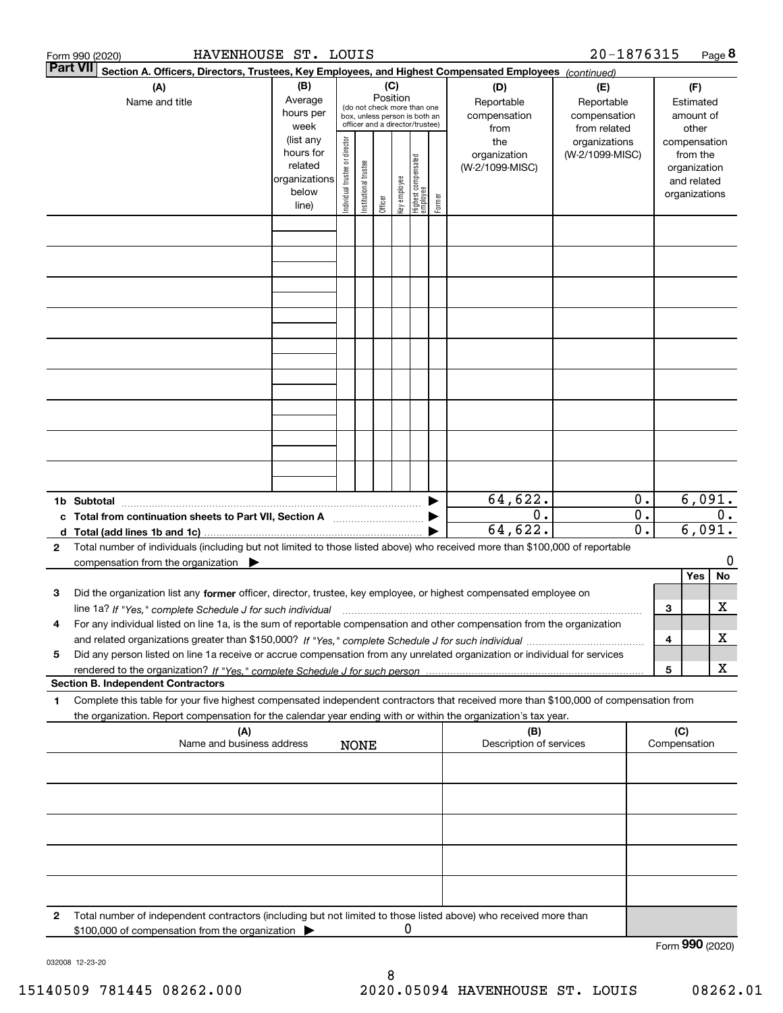|                 | HAVENHOUSE ST. LOUIS<br>Form 990 (2020)                                                                                                                                                                                                                      |                                                                      |                                |                       |                 |              |                                                                                                 |        |                                           | 20-1876315                                        |                                                 |                                        |                                                                          | Page 8  |
|-----------------|--------------------------------------------------------------------------------------------------------------------------------------------------------------------------------------------------------------------------------------------------------------|----------------------------------------------------------------------|--------------------------------|-----------------------|-----------------|--------------|-------------------------------------------------------------------------------------------------|--------|-------------------------------------------|---------------------------------------------------|-------------------------------------------------|----------------------------------------|--------------------------------------------------------------------------|---------|
| <b>Part VII</b> | Section A. Officers, Directors, Trustees, Key Employees, and Highest Compensated Employees (continued)                                                                                                                                                       |                                                                      |                                |                       |                 |              |                                                                                                 |        |                                           |                                                   |                                                 |                                        |                                                                          |         |
|                 | (A)<br>Name and title                                                                                                                                                                                                                                        | (B)<br>Average<br>hours per<br>week                                  |                                |                       | (C)<br>Position |              | (do not check more than one<br>box, unless person is both an<br>officer and a director/trustee) |        | (D)<br>Reportable<br>compensation<br>from | (E)<br>Reportable<br>compensation<br>from related |                                                 | (F)<br>Estimated<br>amount of<br>other |                                                                          |         |
|                 |                                                                                                                                                                                                                                                              | (list any<br>hours for<br>related<br>organizations<br>below<br>line) | Individual trustee or director | Institutional trustee | Officer         | Key employee | Highest compensated<br>  employee                                                               | Former | the<br>organization<br>(W-2/1099-MISC)    | organizations<br>(W-2/1099-MISC)                  |                                                 |                                        | compensation<br>from the<br>organization<br>and related<br>organizations |         |
|                 |                                                                                                                                                                                                                                                              |                                                                      |                                |                       |                 |              |                                                                                                 |        |                                           |                                                   |                                                 |                                        |                                                                          |         |
|                 |                                                                                                                                                                                                                                                              |                                                                      |                                |                       |                 |              |                                                                                                 |        |                                           |                                                   |                                                 |                                        |                                                                          |         |
|                 |                                                                                                                                                                                                                                                              |                                                                      |                                |                       |                 |              |                                                                                                 |        |                                           |                                                   |                                                 |                                        |                                                                          |         |
|                 |                                                                                                                                                                                                                                                              |                                                                      |                                |                       |                 |              |                                                                                                 |        |                                           |                                                   |                                                 |                                        |                                                                          |         |
|                 |                                                                                                                                                                                                                                                              |                                                                      |                                |                       |                 |              |                                                                                                 |        |                                           |                                                   |                                                 |                                        |                                                                          |         |
|                 | 1b Subtotal                                                                                                                                                                                                                                                  |                                                                      |                                |                       |                 |              |                                                                                                 |        | 64,622.                                   |                                                   | 0.                                              |                                        | 6,091.                                                                   |         |
| $\mathbf{2}$    | c Total from continuation sheets to Part VII, Section A manufactor continuum<br>d Total (add lines 1b and 1c).<br>Total number of individuals (including but not limited to those listed above) who received more than \$100,000 of reportable               |                                                                      |                                |                       |                 |              |                                                                                                 |        | $\overline{0}$ .<br>64,622.               |                                                   | $\overline{0}$ .<br>$\overline{\mathfrak{o}}$ . |                                        | 6,091.                                                                   | 0.      |
|                 | compensation from the organization $\blacktriangleright$                                                                                                                                                                                                     |                                                                      |                                |                       |                 |              |                                                                                                 |        |                                           |                                                   |                                                 |                                        |                                                                          | 0       |
| З               | Did the organization list any former officer, director, trustee, key employee, or highest compensated employee on<br>line 1a? If "Yes," complete Schedule J for such individual manufactured contained and the Yes," complete Schedule J for such individual |                                                                      |                                |                       |                 |              |                                                                                                 |        |                                           |                                                   |                                                 | 3                                      | Yes                                                                      | No<br>х |
| 4               | For any individual listed on line 1a, is the sum of reportable compensation and other compensation from the organization                                                                                                                                     |                                                                      |                                |                       |                 |              |                                                                                                 |        |                                           |                                                   |                                                 | 4                                      |                                                                          | х       |
| 5               | Did any person listed on line 1a receive or accrue compensation from any unrelated organization or individual for services                                                                                                                                   |                                                                      |                                |                       |                 |              |                                                                                                 |        |                                           |                                                   |                                                 | 5                                      |                                                                          | X       |
| 1               | <b>Section B. Independent Contractors</b><br>Complete this table for your five highest compensated independent contractors that received more than \$100,000 of compensation from                                                                            |                                                                      |                                |                       |                 |              |                                                                                                 |        |                                           |                                                   |                                                 |                                        |                                                                          |         |
|                 | the organization. Report compensation for the calendar year ending with or within the organization's tax year.<br>(A)<br>Name and business address                                                                                                           |                                                                      |                                | <b>NONE</b>           |                 |              |                                                                                                 |        | (B)<br>Description of services            |                                                   |                                                 |                                        | (C)<br>Compensation                                                      |         |
|                 |                                                                                                                                                                                                                                                              |                                                                      |                                |                       |                 |              |                                                                                                 |        |                                           |                                                   |                                                 |                                        |                                                                          |         |
|                 |                                                                                                                                                                                                                                                              |                                                                      |                                |                       |                 |              |                                                                                                 |        |                                           |                                                   |                                                 |                                        |                                                                          |         |
|                 |                                                                                                                                                                                                                                                              |                                                                      |                                |                       |                 |              |                                                                                                 |        |                                           |                                                   |                                                 |                                        |                                                                          |         |
|                 |                                                                                                                                                                                                                                                              |                                                                      |                                |                       |                 |              |                                                                                                 |        |                                           |                                                   |                                                 |                                        |                                                                          |         |
| 2               | Total number of independent contractors (including but not limited to those listed above) who received more than<br>\$100,000 of compensation from the organization                                                                                          |                                                                      |                                |                       |                 | 0            |                                                                                                 |        |                                           |                                                   |                                                 |                                        | Form 990 (2020)                                                          |         |
|                 |                                                                                                                                                                                                                                                              |                                                                      |                                |                       |                 |              |                                                                                                 |        |                                           |                                                   |                                                 |                                        |                                                                          |         |

032008 12-23-20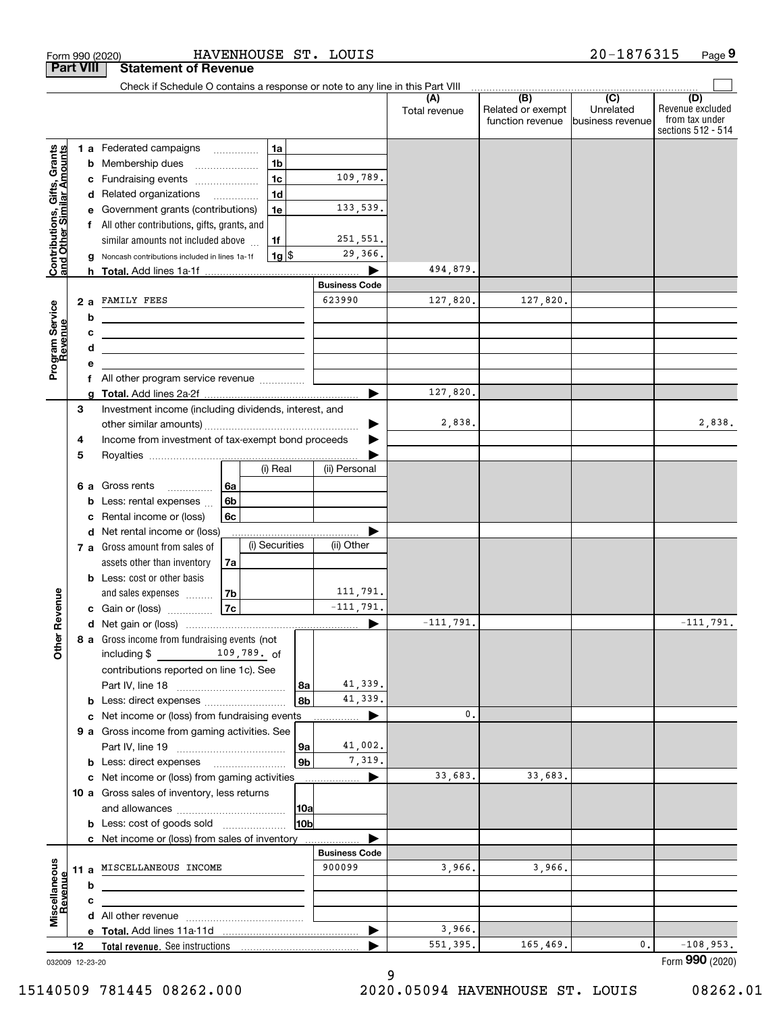| <b>Part VIII</b>                                          |    |   | <b>Statement of Revenue</b><br>Check if Schedule O contains a response or note to any line in this Part VIII          |                |                    |                |                      |               |                                       |                               |                                                          |
|-----------------------------------------------------------|----|---|-----------------------------------------------------------------------------------------------------------------------|----------------|--------------------|----------------|----------------------|---------------|---------------------------------------|-------------------------------|----------------------------------------------------------|
|                                                           |    |   |                                                                                                                       |                |                    |                |                      | (A)           | (B)                                   | $\overline{C}$                | (D)                                                      |
|                                                           |    |   |                                                                                                                       |                |                    |                |                      | Total revenue | Related or exempt<br>function revenue | Unrelated<br>business revenue | Revenue excluded<br>from tax under<br>sections 512 - 514 |
|                                                           |    |   | 1 a Federated campaigns                                                                                               |                | 1a                 |                |                      |               |                                       |                               |                                                          |
|                                                           |    |   | <b>b</b> Membership dues<br>$\ldots \ldots \ldots \ldots \ldots$                                                      |                | 1 <sub>b</sub>     |                |                      |               |                                       |                               |                                                          |
|                                                           |    |   | c Fundraising events                                                                                                  |                | 1c                 |                | 109,789.             |               |                                       |                               |                                                          |
|                                                           |    |   | d Related organizations                                                                                               |                | 1 <sub>d</sub>     |                |                      |               |                                       |                               |                                                          |
|                                                           |    |   | e Government grants (contributions)                                                                                   |                | 1e                 |                | 133,539.             |               |                                       |                               |                                                          |
|                                                           |    |   | f All other contributions, gifts, grants, and                                                                         |                |                    |                |                      |               |                                       |                               |                                                          |
|                                                           |    |   | similar amounts not included above                                                                                    |                | 1f                 |                | 251,551.             |               |                                       |                               |                                                          |
| Contributions, Gifts, Grants<br>and Other Similar Amounts |    |   | Noncash contributions included in lines 1a-1f                                                                         |                | $1g$ $\frac{1}{3}$ |                | 29,366.              |               |                                       |                               |                                                          |
|                                                           |    |   |                                                                                                                       |                |                    |                |                      | 494,879.      |                                       |                               |                                                          |
|                                                           |    |   |                                                                                                                       |                |                    |                | <b>Business Code</b> |               |                                       |                               |                                                          |
|                                                           |    |   | 2 a FAMILY FEES                                                                                                       |                |                    |                | 623990               | 127,820.      | 127,820.                              |                               |                                                          |
|                                                           |    | b | <u> 1989 - Johann Barn, mars eta bainar eta idazlea (h. 1989).</u>                                                    |                |                    |                |                      |               |                                       |                               |                                                          |
|                                                           |    | c | <u> 1989 - Johann Stein, marwolaethau a bhann an t-Amhainn an t-Amhainn an t-Amhainn an t-Amhainn an t-Amhainn an</u> |                |                    |                |                      |               |                                       |                               |                                                          |
| Program Service<br>Revenue                                |    | d | the contract of the contract of the contract of the contract of the contract of                                       |                |                    |                |                      |               |                                       |                               |                                                          |
|                                                           |    | е |                                                                                                                       |                |                    |                |                      |               |                                       |                               |                                                          |
|                                                           |    |   | f All other program service revenue                                                                                   |                |                    |                |                      |               |                                       |                               |                                                          |
|                                                           |    |   |                                                                                                                       |                |                    |                | ►                    | 127,820.      |                                       |                               |                                                          |
|                                                           | З  |   | Investment income (including dividends, interest, and                                                                 |                |                    |                |                      |               |                                       |                               | 2,838.                                                   |
|                                                           |    |   |                                                                                                                       |                |                    |                |                      | 2,838.        |                                       |                               |                                                          |
|                                                           | 4  |   | Income from investment of tax-exempt bond proceeds                                                                    |                |                    |                |                      |               |                                       |                               |                                                          |
|                                                           | 5  |   |                                                                                                                       |                | (i) Real           |                | (ii) Personal        |               |                                       |                               |                                                          |
|                                                           |    |   |                                                                                                                       |                |                    |                |                      |               |                                       |                               |                                                          |
|                                                           |    |   | 6 a Gross rents<br><b>b</b> Less: rental expenses                                                                     | ∣6a<br>6b      |                    |                |                      |               |                                       |                               |                                                          |
|                                                           |    | c | Rental income or (loss)                                                                                               | 6с             |                    |                |                      |               |                                       |                               |                                                          |
|                                                           |    |   | d Net rental income or (loss)                                                                                         |                |                    |                |                      |               |                                       |                               |                                                          |
|                                                           |    |   | 7 a Gross amount from sales of                                                                                        |                | (i) Securities     |                | (ii) Other           |               |                                       |                               |                                                          |
|                                                           |    |   | assets other than inventory                                                                                           | 7a             |                    |                |                      |               |                                       |                               |                                                          |
|                                                           |    |   | <b>b</b> Less: cost or other basis                                                                                    |                |                    |                |                      |               |                                       |                               |                                                          |
|                                                           |    |   | and sales expenses                                                                                                    | 7 <sub>b</sub> |                    |                | 111,791.             |               |                                       |                               |                                                          |
|                                                           |    |   | c Gain or (loss)                                                                                                      | 7c             |                    |                | $-111,791.$          |               |                                       |                               |                                                          |
| Revenue                                                   |    |   |                                                                                                                       |                |                    |                |                      | $-111,791.$   |                                       |                               | $-111,791.$                                              |
| ₩                                                         |    |   | 8 a Gross income from fundraising events (not                                                                         |                |                    |                |                      |               |                                       |                               |                                                          |
| <b>Othe</b>                                               |    |   | including $$$                                                                                                         |                | 109,789. of        |                |                      |               |                                       |                               |                                                          |
|                                                           |    |   | contributions reported on line 1c). See                                                                               |                |                    |                |                      |               |                                       |                               |                                                          |
|                                                           |    |   |                                                                                                                       |                |                    | 8a             | 41,339.              |               |                                       |                               |                                                          |
|                                                           |    |   |                                                                                                                       |                |                    | 8b             | 41,339.              |               |                                       |                               |                                                          |
|                                                           |    |   | c Net income or (loss) from fundraising events                                                                        |                |                    |                | ▶                    | 0.            |                                       |                               |                                                          |
|                                                           |    |   | 9 a Gross income from gaming activities. See                                                                          |                |                    |                |                      |               |                                       |                               |                                                          |
|                                                           |    |   |                                                                                                                       |                |                    | 9a             | 41,002.              |               |                                       |                               |                                                          |
|                                                           |    |   | <b>b</b> Less: direct expenses                                                                                        |                |                    | 9 <sub>b</sub> | 7,319.               |               |                                       |                               |                                                          |
|                                                           |    |   | c Net income or (loss) from gaming activities                                                                         |                |                    |                | ▶                    | 33,683.       | 33,683.                               |                               |                                                          |
|                                                           |    |   | 10 a Gross sales of inventory, less returns                                                                           |                |                    |                |                      |               |                                       |                               |                                                          |
|                                                           |    |   |                                                                                                                       |                |                    | 10a            |                      |               |                                       |                               |                                                          |
|                                                           |    |   | <b>b</b> Less: cost of goods sold                                                                                     |                |                    | 10b            |                      |               |                                       |                               |                                                          |
|                                                           |    |   | c Net income or (loss) from sales of inventory                                                                        |                |                    |                |                      |               |                                       |                               |                                                          |
|                                                           |    |   |                                                                                                                       |                |                    |                | <b>Business Code</b> |               |                                       |                               |                                                          |
|                                                           |    |   | 11 a MISCELLANEOUS INCOME                                                                                             |                |                    |                | 900099               | 3,966.        | 3,966.                                |                               |                                                          |
| Revenue                                                   |    | b |                                                                                                                       |                |                    |                |                      |               |                                       |                               |                                                          |
|                                                           |    | c |                                                                                                                       |                |                    |                |                      |               |                                       |                               |                                                          |
| Miscellaneous                                             |    |   |                                                                                                                       |                |                    |                |                      |               |                                       |                               |                                                          |
|                                                           |    |   |                                                                                                                       |                |                    |                |                      | 3,966.        |                                       |                               |                                                          |
|                                                           | 12 |   |                                                                                                                       |                |                    |                |                      | 551,395.      | 165,469.                              | 0.                            | $-108,953.$<br>Form 990 (2020)                           |

Form 990 (2020) HAVENHOUSE S'I'。 LOUIS 2 U-I8 7 6 3 I 5 Page

HAVENHOUSE ST. LOUIS

9

15140509 781445 08262.000 2020.05094 HAVENHOUSE ST. LOUIS 08262.01

**9**

20-1876315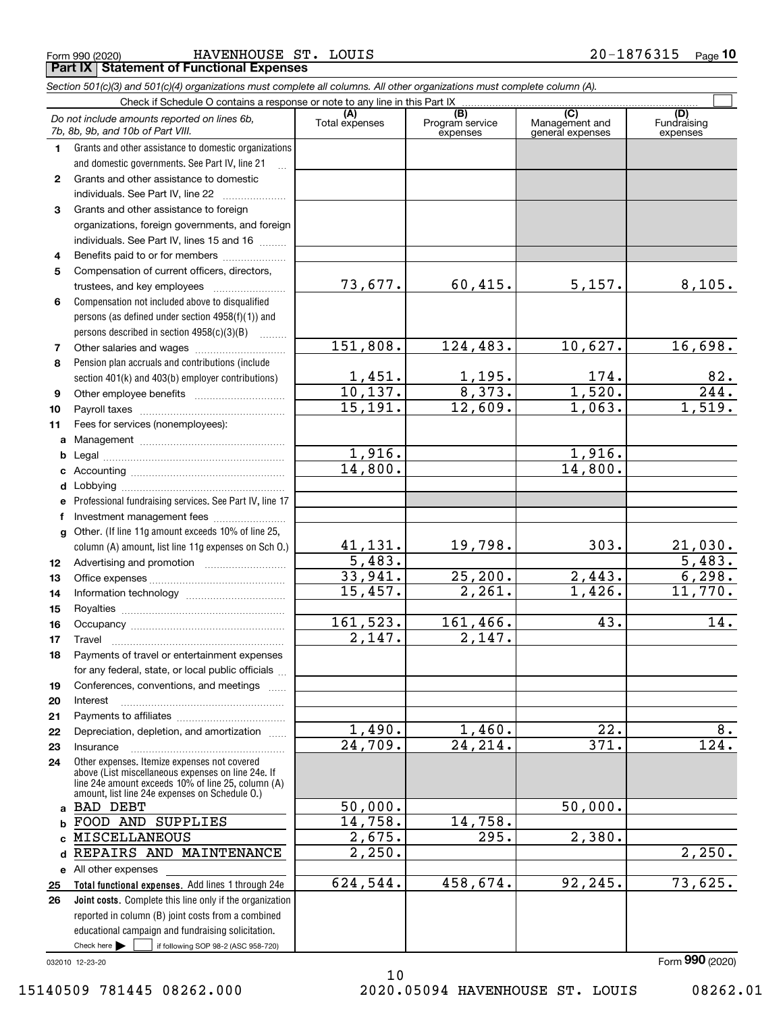|  | Form 990 (2020) |  |
|--|-----------------|--|

Form 990 (2020) HAVENHOUSE ST. LOUIS 2 0-1 8 7 6 3 1 5 <sub>Page</sub> **Part IX Statement of Functional Expenses**

|                  | Section 501(c)(3) and 501(c)(4) organizations must complete all columns. All other organizations must complete column (A).                                                                                 |                       |                                    |                                           |                                |
|------------------|------------------------------------------------------------------------------------------------------------------------------------------------------------------------------------------------------------|-----------------------|------------------------------------|-------------------------------------------|--------------------------------|
|                  | Check if Schedule O contains a response or note to any line in this Part IX                                                                                                                                |                       |                                    |                                           |                                |
|                  | Do not include amounts reported on lines 6b,<br>7b, 8b, 9b, and 10b of Part VIII.                                                                                                                          | (A)<br>Total expenses | (B)<br>Program service<br>expenses | (C)<br>Management and<br>general expenses | (D)<br>Fundraising<br>expenses |
| 1.               | Grants and other assistance to domestic organizations                                                                                                                                                      |                       |                                    |                                           |                                |
|                  | and domestic governments. See Part IV, line 21                                                                                                                                                             |                       |                                    |                                           |                                |
| $\mathbf{2}$     | Grants and other assistance to domestic                                                                                                                                                                    |                       |                                    |                                           |                                |
|                  | individuals. See Part IV, line 22                                                                                                                                                                          |                       |                                    |                                           |                                |
| 3                | Grants and other assistance to foreign                                                                                                                                                                     |                       |                                    |                                           |                                |
|                  | organizations, foreign governments, and foreign                                                                                                                                                            |                       |                                    |                                           |                                |
|                  | individuals. See Part IV, lines 15 and 16                                                                                                                                                                  |                       |                                    |                                           |                                |
| 4                | Benefits paid to or for members                                                                                                                                                                            |                       |                                    |                                           |                                |
| 5                | Compensation of current officers, directors,                                                                                                                                                               |                       |                                    |                                           |                                |
|                  |                                                                                                                                                                                                            | 73,677.               | 60,415.                            | 5,157.                                    | 8,105.                         |
| 6                | Compensation not included above to disqualified                                                                                                                                                            |                       |                                    |                                           |                                |
|                  | persons (as defined under section 4958(f)(1)) and                                                                                                                                                          |                       |                                    |                                           |                                |
|                  | persons described in section 4958(c)(3)(B)<br>.                                                                                                                                                            |                       |                                    |                                           |                                |
| 7                | Other salaries and wages                                                                                                                                                                                   | 151,808.              | 124,483.                           | 10,627.                                   | 16,698.                        |
| 8                | Pension plan accruals and contributions (include                                                                                                                                                           |                       |                                    |                                           |                                |
|                  | section 401(k) and 403(b) employer contributions)                                                                                                                                                          | 1,451.                | $\frac{1,195.}{8,373.}$            | 174.                                      | 82.                            |
| 9                |                                                                                                                                                                                                            | 10,137.               |                                    | 1,520.                                    | 244.                           |
| 10               |                                                                                                                                                                                                            | 15, 191.              | 12,609.                            | 1,063.                                    | 1,519.                         |
| 11               | Fees for services (nonemployees):                                                                                                                                                                          |                       |                                    |                                           |                                |
| a                |                                                                                                                                                                                                            |                       |                                    |                                           |                                |
| b                |                                                                                                                                                                                                            | 1,916.                |                                    | 1,916.                                    |                                |
| c                |                                                                                                                                                                                                            | 14,800.               |                                    | 14,800.                                   |                                |
| d                |                                                                                                                                                                                                            |                       |                                    |                                           |                                |
| е                | Professional fundraising services. See Part IV, line 17                                                                                                                                                    |                       |                                    |                                           |                                |
| f                | Investment management fees                                                                                                                                                                                 |                       |                                    |                                           |                                |
| g                | Other. (If line 11g amount exceeds 10% of line 25,                                                                                                                                                         |                       |                                    |                                           |                                |
|                  | column (A) amount, list line 11g expenses on Sch 0.)                                                                                                                                                       | 41,131.               | 19,798.                            | 303.                                      | $\frac{21,030}{5,483}$ .       |
| 12 <sup>12</sup> |                                                                                                                                                                                                            | $\overline{5,483}$ .  |                                    |                                           |                                |
| 13               |                                                                                                                                                                                                            | 33,941.               | 25, 200.                           | 2,443.                                    | 6,298.                         |
| 14               |                                                                                                                                                                                                            | 15,457.               | 2,261.                             | $\overline{1,426}$ .                      | 11,770.                        |
| 15               |                                                                                                                                                                                                            |                       |                                    |                                           |                                |
| 16               |                                                                                                                                                                                                            | 161,523.              | 161,466.                           | 43.                                       | 14.                            |
| 17               |                                                                                                                                                                                                            | 2,147.                | 2,147.                             |                                           |                                |
| 18               | Payments of travel or entertainment expenses                                                                                                                                                               |                       |                                    |                                           |                                |
|                  | for any federal, state, or local public officials                                                                                                                                                          |                       |                                    |                                           |                                |
| 19               | Conferences, conventions, and meetings                                                                                                                                                                     |                       |                                    |                                           |                                |
| 20               | Interest                                                                                                                                                                                                   |                       |                                    |                                           |                                |
| 21               |                                                                                                                                                                                                            |                       |                                    |                                           |                                |
| 22               | Depreciation, depletion, and amortization                                                                                                                                                                  | 1,490.                | 1,460.                             | 22.                                       | 8.                             |
| 23               | Insurance                                                                                                                                                                                                  | 24,709.               | 24, 214.                           | 371.                                      | 124.                           |
| 24               | Other expenses. Itemize expenses not covered<br>above (List miscellaneous expenses on line 24e. If<br>line 24e amount exceeds 10% of line 25, column (A)<br>amount, list line 24e expenses on Schedule 0.) |                       |                                    |                                           |                                |
|                  | a BAD DEBT                                                                                                                                                                                                 | 50,000.               |                                    | 50,000.                                   |                                |
| b                | FOOD AND SUPPLIES                                                                                                                                                                                          | 14,758.               | 14,758.                            |                                           |                                |
|                  | MISCELLANEOUS                                                                                                                                                                                              | 2,675.                | 295.                               | 2,380.                                    |                                |
| d                | REPAIRS AND MAINTENANCE                                                                                                                                                                                    | $\overline{2,250}$ .  |                                    |                                           | 2,250.                         |
|                  | e All other expenses                                                                                                                                                                                       |                       |                                    |                                           |                                |
| 25               | Total functional expenses. Add lines 1 through 24e                                                                                                                                                         | 624,544.              | 458,674.                           | 92,245.                                   | 73,625.                        |
| 26               | <b>Joint costs.</b> Complete this line only if the organization                                                                                                                                            |                       |                                    |                                           |                                |
|                  | reported in column (B) joint costs from a combined                                                                                                                                                         |                       |                                    |                                           |                                |
|                  | educational campaign and fundraising solicitation.                                                                                                                                                         |                       |                                    |                                           |                                |
|                  | Check here $\blacktriangleright$<br>if following SOP 98-2 (ASC 958-720)                                                                                                                                    |                       |                                    |                                           |                                |

032010 12-23-20

15140509 781445 08262.000 2020.05094 HAVENHOUSE ST. LOUIS 08262.01

10

Form (2020) **990**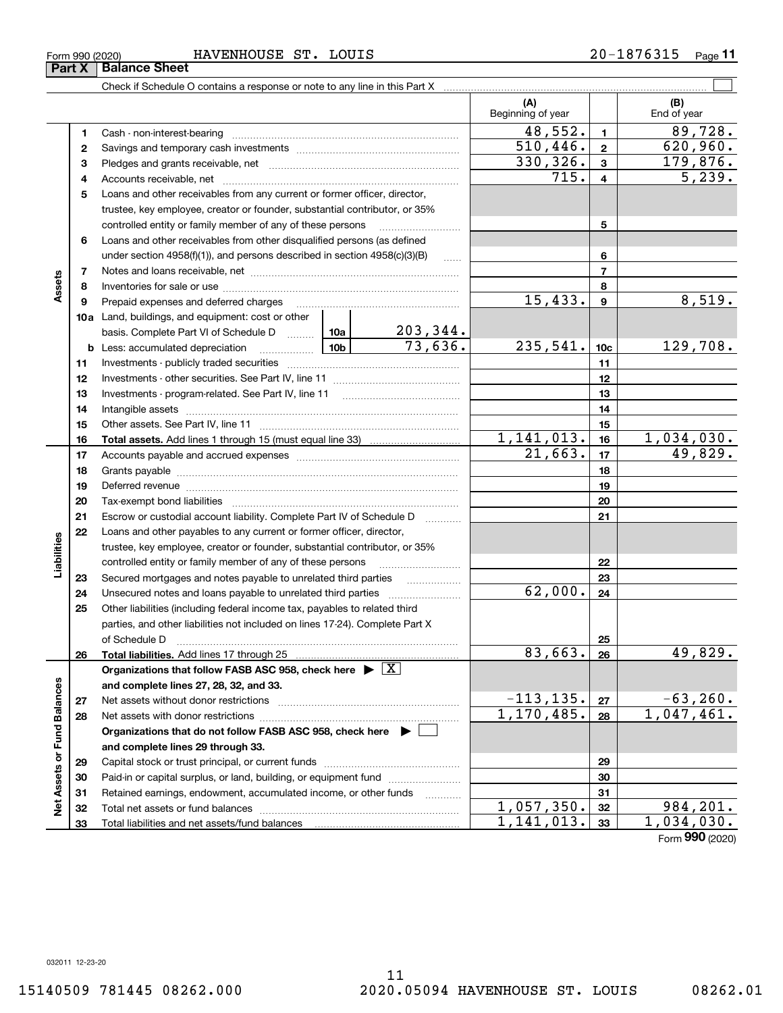Form 990 (2020) HAVENHOUSE ST. LOUIS 2 0-1 8 7 6 3 1 5 <sub>Page</sub> Check if Schedule O contains a response or note to any line in this Part X Cash - non-interest-bearing Savings and temporary cash investments Pledges and grants receivable, net Accounts receivable, net ~~~~~~~~~~~~~~~~~~~~~~~~~~ Loans and other receivables from any current or former officer, director, trustee, key employee, creator or founder, substantial contributor, or 35% controlled entity or family member of any of these persons  $\ldots$  ~~~~~~~~~~~~~~~~ **Part X Balance Sheet**

|                            |              |                                                                                                                                                                                                                                |                     | Beginning of year       |                 | End of year               |
|----------------------------|--------------|--------------------------------------------------------------------------------------------------------------------------------------------------------------------------------------------------------------------------------|---------------------|-------------------------|-----------------|---------------------------|
|                            | 1            | Cash - non-interest-bearing                                                                                                                                                                                                    |                     | 48,552.                 | $\mathbf{1}$    | 89,728.                   |
|                            | $\mathbf{2}$ |                                                                                                                                                                                                                                |                     | $\overline{510}$ , 446. | $\mathbf{2}$    | 620,960.                  |
|                            | 3            |                                                                                                                                                                                                                                |                     | 330,326.                | 3               | 179,876.                  |
|                            | 4            |                                                                                                                                                                                                                                |                     | 715.                    | 4               | 5,239.                    |
|                            | 5            | Loans and other receivables from any current or former officer, director,                                                                                                                                                      |                     |                         |                 |                           |
|                            |              | trustee, key employee, creator or founder, substantial contributor, or 35%                                                                                                                                                     |                     |                         |                 |                           |
|                            |              | controlled entity or family member of any of these persons                                                                                                                                                                     |                     |                         | 5               |                           |
|                            | 6            | Loans and other receivables from other disqualified persons (as defined                                                                                                                                                        |                     |                         |                 |                           |
|                            |              | under section 4958(f)(1)), and persons described in section 4958(c)(3)(B)                                                                                                                                                      |                     |                         | 6               |                           |
|                            | 7            |                                                                                                                                                                                                                                | $\ldots$            |                         | $\overline{7}$  |                           |
| Assets                     | 8            |                                                                                                                                                                                                                                |                     |                         | 8               |                           |
|                            | 9            | Prepaid expenses and deferred charges                                                                                                                                                                                          |                     | 15,433.                 | 9               | 8,519.                    |
|                            |              | 10a Land, buildings, and equipment: cost or other                                                                                                                                                                              |                     |                         |                 |                           |
|                            |              | basis. Complete Part VI of Schedule D  10a                                                                                                                                                                                     | 203,344.            |                         |                 |                           |
|                            |              |                                                                                                                                                                                                                                | 73,636.             | 235,541.                | 10 <sub>c</sub> | 129,708.                  |
|                            |              |                                                                                                                                                                                                                                |                     |                         | 11              |                           |
|                            | 11           |                                                                                                                                                                                                                                |                     |                         |                 |                           |
|                            | 12           |                                                                                                                                                                                                                                |                     |                         | 12              |                           |
|                            | 13           |                                                                                                                                                                                                                                |                     |                         | 13              |                           |
|                            | 14           |                                                                                                                                                                                                                                |                     |                         | 14              |                           |
|                            | 15           |                                                                                                                                                                                                                                |                     | 1, 141, 013.            | 15              | 1,034,030.                |
|                            | 16           |                                                                                                                                                                                                                                |                     | 21,663.                 | 16              | 49,829.                   |
|                            | 17           |                                                                                                                                                                                                                                |                     |                         | 17              |                           |
|                            | 18           |                                                                                                                                                                                                                                |                     | 18                      |                 |                           |
|                            | 19           | Deferred revenue manual contracts and contracts are all the contracts and contracts are contracted and contracts are contracted and contract are contracted and contract are contracted and contract are contracted and contra |                     | 19                      |                 |                           |
|                            | 20           |                                                                                                                                                                                                                                |                     | 20                      |                 |                           |
|                            | 21           | Escrow or custodial account liability. Complete Part IV of Schedule D                                                                                                                                                          |                     | 21                      |                 |                           |
|                            | 22           | Loans and other payables to any current or former officer, director,                                                                                                                                                           |                     |                         |                 |                           |
| Liabilities                |              | trustee, key employee, creator or founder, substantial contributor, or 35%                                                                                                                                                     |                     |                         |                 |                           |
|                            |              | controlled entity or family member of any of these persons                                                                                                                                                                     |                     |                         | 22              |                           |
|                            | 23           | Secured mortgages and notes payable to unrelated third parties                                                                                                                                                                 |                     |                         | 23              |                           |
|                            | 24           |                                                                                                                                                                                                                                |                     | 62,000.                 | 24              |                           |
|                            | 25           | Other liabilities (including federal income tax, payables to related third                                                                                                                                                     |                     |                         |                 |                           |
|                            |              | parties, and other liabilities not included on lines 17-24). Complete Part X                                                                                                                                                   |                     |                         |                 |                           |
|                            |              | of Schedule D                                                                                                                                                                                                                  |                     |                         | 25              |                           |
|                            | 26           |                                                                                                                                                                                                                                |                     | 83,663.                 | 26              | 49,829.                   |
| w                          |              | Organizations that follow FASB ASC 958, check here $\triangleright \lfloor X \rfloor$                                                                                                                                          |                     |                         |                 |                           |
|                            |              | and complete lines 27, 28, 32, and 33.                                                                                                                                                                                         |                     |                         |                 |                           |
|                            | 27           | Net assets without donor restrictions                                                                                                                                                                                          |                     | $-113, 135.$            | 27              | $-63, 260.$               |
|                            | 28           |                                                                                                                                                                                                                                |                     | 1, 170, 485.            | 28              | $\overline{1,047}$ , 461. |
|                            |              | Organizations that do not follow FASB ASC 958, check here $\blacktriangleright \Box$                                                                                                                                           |                     |                         |                 |                           |
| Net Assets or Fund Balance |              | and complete lines 29 through 33.                                                                                                                                                                                              |                     |                         |                 |                           |
|                            | 29           |                                                                                                                                                                                                                                |                     |                         | 29              |                           |
|                            | 30           | Paid-in or capital surplus, or land, building, or equipment fund                                                                                                                                                               |                     |                         | 30              |                           |
|                            | 31           | Retained earnings, endowment, accumulated income, or other funds                                                                                                                                                               | 1.1.1.1.1.1.1.1.1.1 |                         | 31              |                           |
|                            | 32           | Total net assets or fund balances                                                                                                                                                                                              |                     | 1,057,350.              | 32              | 984,201.                  |
|                            | 33           |                                                                                                                                                                                                                                |                     | 1,141,013.              | 33              | 1,034,030.                |

 $\mathcal{L}^{\text{max}}$ 

**(B)**

**(A)**

Form (2020) **990**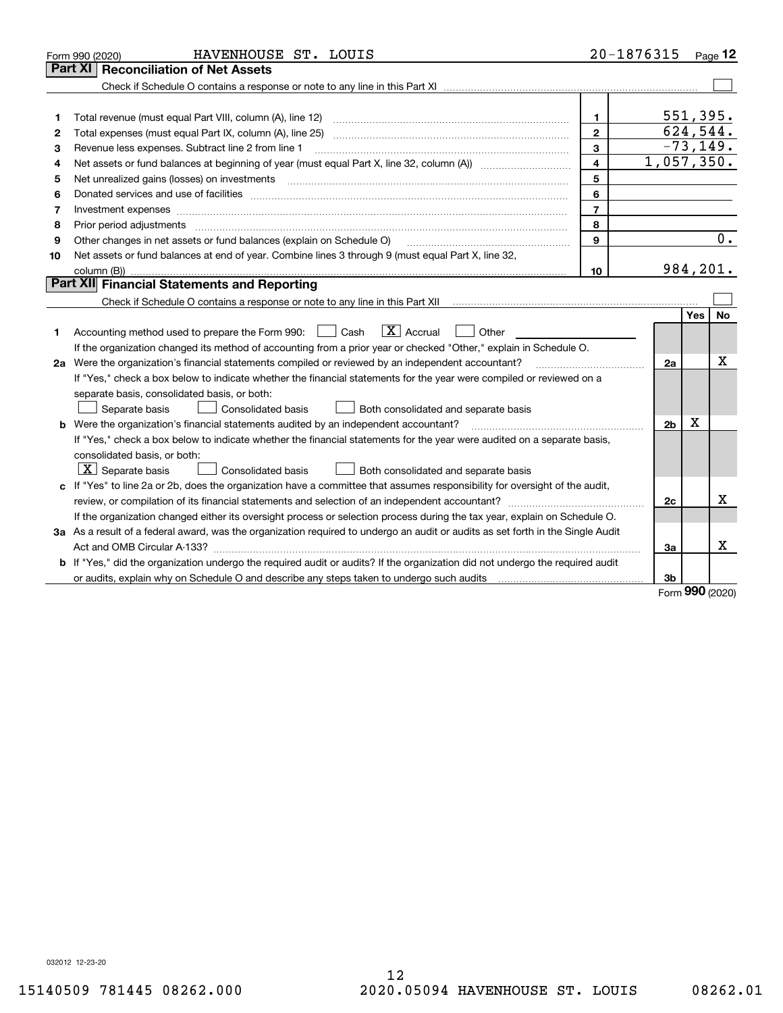|    | HAVENHOUSE ST. LOUIS<br>Form 990 (2020)                                                                                              | 20-1876315     |                |          | Page $12$   |
|----|--------------------------------------------------------------------------------------------------------------------------------------|----------------|----------------|----------|-------------|
|    | Part XI<br><b>Reconciliation of Net Assets</b>                                                                                       |                |                |          |             |
|    |                                                                                                                                      |                |                |          |             |
|    |                                                                                                                                      |                |                |          |             |
| 1  |                                                                                                                                      | 1              |                | 551,395. |             |
| 2  |                                                                                                                                      | $\overline{2}$ |                | 624,544. |             |
| з  | Revenue less expenses. Subtract line 2 from line 1                                                                                   | 3              |                |          | $-73, 149.$ |
| 4  |                                                                                                                                      | 4              | 1,057,350.     |          |             |
| 5  |                                                                                                                                      | 5              |                |          |             |
| 6  |                                                                                                                                      | 6              |                |          |             |
| 7  | Investment expenses www.communication.com/www.communication.com/www.communication.com/www.com                                        | $\overline{7}$ |                |          |             |
| 8  |                                                                                                                                      | 8              |                |          |             |
| 9  | Other changes in net assets or fund balances (explain on Schedule O)                                                                 | 9              |                |          | 0.          |
| 10 | Net assets or fund balances at end of year. Combine lines 3 through 9 (must equal Part X, line 32,                                   |                |                |          |             |
|    |                                                                                                                                      | 10             |                | 984,201. |             |
|    | Part XII Financial Statements and Reporting                                                                                          |                |                |          |             |
|    |                                                                                                                                      |                |                |          |             |
|    |                                                                                                                                      |                |                | Yes      | No          |
| 1. | $\boxed{\mathbf{X}}$ Accrual<br>Accounting method used to prepare the Form 990: <u>June</u> Cash<br>Other                            |                |                |          |             |
|    | If the organization changed its method of accounting from a prior year or checked "Other," explain in Schedule O.                    |                |                |          |             |
|    | 2a Were the organization's financial statements compiled or reviewed by an independent accountant?                                   |                | 2a             |          | x           |
|    | If "Yes," check a box below to indicate whether the financial statements for the year were compiled or reviewed on a                 |                |                |          |             |
|    | separate basis, consolidated basis, or both:                                                                                         |                |                |          |             |
|    | Both consolidated and separate basis<br>Separate basis<br>Consolidated basis                                                         |                |                |          |             |
|    | <b>b</b> Were the organization's financial statements audited by an independent accountant?                                          |                | 2 <sub>b</sub> | X        |             |
|    | If "Yes," check a box below to indicate whether the financial statements for the year were audited on a separate basis,              |                |                |          |             |
|    | consolidated basis, or both:                                                                                                         |                |                |          |             |
|    | $\lfloor x \rfloor$ Separate basis<br><b>Consolidated basis</b><br>Both consolidated and separate basis                              |                |                |          |             |
|    | c If "Yes" to line 2a or 2b, does the organization have a committee that assumes responsibility for oversight of the audit,          |                |                |          |             |
|    |                                                                                                                                      |                | 2c             |          | x           |
|    | If the organization changed either its oversight process or selection process during the tax year, explain on Schedule O.            |                |                |          |             |
|    | 3a As a result of a federal award, was the organization required to undergo an audit or audits as set forth in the Single Audit      |                |                |          |             |
|    |                                                                                                                                      |                | За             |          | X           |
|    | <b>b</b> If "Yes," did the organization undergo the required audit or audits? If the organization did not undergo the required audit |                |                |          |             |
|    |                                                                                                                                      |                | 3b             |          |             |
|    |                                                                                                                                      |                |                |          |             |

Form (2020) **990**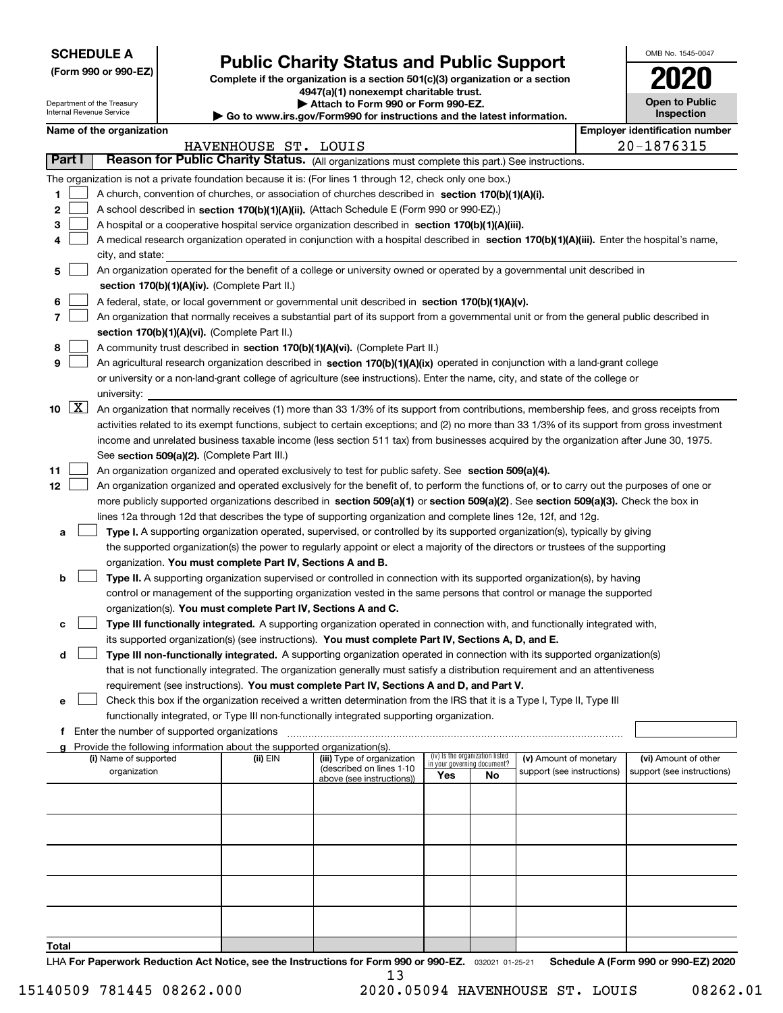| <b>SCHEDULE A</b> |
|-------------------|
|-------------------|

Department of the Treasury Internal Revenue Service

**(Form 990 or 990-EZ)**

# **Public Charity Status and Public Support**

**Complete if the organization is a section 501(c)(3) organization or a section 4947(a)(1) nonexempt charitable trust.**

**| Attach to Form 990 or Form 990-EZ.** 

**| Go to www.irs.gov/Form990 for instructions and the latest information.**

| OMB No. 1545-0047                   |
|-------------------------------------|
| 2020                                |
| <b>Open to Public</b><br>Inspection |

|  | Name of the organization |
|--|--------------------------|
|--|--------------------------|

|                           | Name of the organization                                                                                                                                                                                             |                      |                                                       |                                    |                                 |                            | <b>Employer identification number</b> |
|---------------------------|----------------------------------------------------------------------------------------------------------------------------------------------------------------------------------------------------------------------|----------------------|-------------------------------------------------------|------------------------------------|---------------------------------|----------------------------|---------------------------------------|
|                           |                                                                                                                                                                                                                      | HAVENHOUSE ST. LOUIS |                                                       |                                    |                                 |                            | 20-1876315                            |
| Part I                    | Reason for Public Charity Status. (All organizations must complete this part.) See instructions.                                                                                                                     |                      |                                                       |                                    |                                 |                            |                                       |
|                           | The organization is not a private foundation because it is: (For lines 1 through 12, check only one box.)                                                                                                            |                      |                                                       |                                    |                                 |                            |                                       |
| 1.                        | A church, convention of churches, or association of churches described in section 170(b)(1)(A)(i).                                                                                                                   |                      |                                                       |                                    |                                 |                            |                                       |
| 2                         | A school described in section 170(b)(1)(A)(ii). (Attach Schedule E (Form 990 or 990-EZ).)                                                                                                                            |                      |                                                       |                                    |                                 |                            |                                       |
| 3                         | A hospital or a cooperative hospital service organization described in section $170(b)(1)(A)(iii)$ .                                                                                                                 |                      |                                                       |                                    |                                 |                            |                                       |
| 4                         | A medical research organization operated in conjunction with a hospital described in section 170(b)(1)(A)(iii). Enter the hospital's name,                                                                           |                      |                                                       |                                    |                                 |                            |                                       |
|                           | city, and state:                                                                                                                                                                                                     |                      |                                                       |                                    |                                 |                            |                                       |
| 5                         | An organization operated for the benefit of a college or university owned or operated by a governmental unit described in                                                                                            |                      |                                                       |                                    |                                 |                            |                                       |
|                           | section 170(b)(1)(A)(iv). (Complete Part II.)                                                                                                                                                                        |                      |                                                       |                                    |                                 |                            |                                       |
| 6                         | A federal, state, or local government or governmental unit described in section 170(b)(1)(A)(v).                                                                                                                     |                      |                                                       |                                    |                                 |                            |                                       |
| 7                         | An organization that normally receives a substantial part of its support from a governmental unit or from the general public described in                                                                            |                      |                                                       |                                    |                                 |                            |                                       |
|                           | section 170(b)(1)(A)(vi). (Complete Part II.)                                                                                                                                                                        |                      |                                                       |                                    |                                 |                            |                                       |
| 8                         | A community trust described in section 170(b)(1)(A)(vi). (Complete Part II.)                                                                                                                                         |                      |                                                       |                                    |                                 |                            |                                       |
| 9                         | An agricultural research organization described in section 170(b)(1)(A)(ix) operated in conjunction with a land-grant college                                                                                        |                      |                                                       |                                    |                                 |                            |                                       |
|                           | or university or a non-land-grant college of agriculture (see instructions). Enter the name, city, and state of the college or                                                                                       |                      |                                                       |                                    |                                 |                            |                                       |
|                           | university:                                                                                                                                                                                                          |                      |                                                       |                                    |                                 |                            |                                       |
| $\lfloor x \rfloor$<br>10 | An organization that normally receives (1) more than 33 1/3% of its support from contributions, membership fees, and gross receipts from                                                                             |                      |                                                       |                                    |                                 |                            |                                       |
|                           | activities related to its exempt functions, subject to certain exceptions; and (2) no more than 33 1/3% of its support from gross investment                                                                         |                      |                                                       |                                    |                                 |                            |                                       |
|                           | income and unrelated business taxable income (less section 511 tax) from businesses acquired by the organization after June 30, 1975.                                                                                |                      |                                                       |                                    |                                 |                            |                                       |
|                           | See section 509(a)(2). (Complete Part III.)                                                                                                                                                                          |                      |                                                       |                                    |                                 |                            |                                       |
| 11                        | An organization organized and operated exclusively to test for public safety. See section 509(a)(4).                                                                                                                 |                      |                                                       |                                    |                                 |                            |                                       |
| 12                        | An organization organized and operated exclusively for the benefit of, to perform the functions of, or to carry out the purposes of one or                                                                           |                      |                                                       |                                    |                                 |                            |                                       |
|                           | more publicly supported organizations described in section 509(a)(1) or section 509(a)(2). See section 509(a)(3). Check the box in                                                                                   |                      |                                                       |                                    |                                 |                            |                                       |
|                           | lines 12a through 12d that describes the type of supporting organization and complete lines 12e, 12f, and 12g.                                                                                                       |                      |                                                       |                                    |                                 |                            |                                       |
| а                         | Type I. A supporting organization operated, supervised, or controlled by its supported organization(s), typically by giving                                                                                          |                      |                                                       |                                    |                                 |                            |                                       |
|                           | the supported organization(s) the power to regularly appoint or elect a majority of the directors or trustees of the supporting                                                                                      |                      |                                                       |                                    |                                 |                            |                                       |
|                           | organization. You must complete Part IV, Sections A and B.                                                                                                                                                           |                      |                                                       |                                    |                                 |                            |                                       |
| b                         | Type II. A supporting organization supervised or controlled in connection with its supported organization(s), by having                                                                                              |                      |                                                       |                                    |                                 |                            |                                       |
|                           | control or management of the supporting organization vested in the same persons that control or manage the supported                                                                                                 |                      |                                                       |                                    |                                 |                            |                                       |
|                           | organization(s). You must complete Part IV, Sections A and C.                                                                                                                                                        |                      |                                                       |                                    |                                 |                            |                                       |
| с                         | Type III functionally integrated. A supporting organization operated in connection with, and functionally integrated with,                                                                                           |                      |                                                       |                                    |                                 |                            |                                       |
|                           | its supported organization(s) (see instructions). You must complete Part IV, Sections A, D, and E.                                                                                                                   |                      |                                                       |                                    |                                 |                            |                                       |
| d                         | Type III non-functionally integrated. A supporting organization operated in connection with its supported organization(s)                                                                                            |                      |                                                       |                                    |                                 |                            |                                       |
|                           | that is not functionally integrated. The organization generally must satisfy a distribution requirement and an attentiveness                                                                                         |                      |                                                       |                                    |                                 |                            |                                       |
|                           | requirement (see instructions). You must complete Part IV, Sections A and D, and Part V.                                                                                                                             |                      |                                                       |                                    |                                 |                            |                                       |
|                           |                                                                                                                                                                                                                      |                      |                                                       |                                    |                                 |                            |                                       |
|                           | Check this box if the organization received a written determination from the IRS that it is a Type I, Type II, Type III<br>functionally integrated, or Type III non-functionally integrated supporting organization. |                      |                                                       |                                    |                                 |                            |                                       |
|                           | f Enter the number of supported organizations                                                                                                                                                                        |                      |                                                       |                                    |                                 |                            |                                       |
|                           | g Provide the following information about the supported organization(s).                                                                                                                                             |                      |                                                       |                                    |                                 |                            |                                       |
|                           | (i) Name of supported                                                                                                                                                                                                | (ii) EIN             | (iii) Type of organization                            |                                    | (iv) Is the organization listed | (v) Amount of monetary     | (vi) Amount of other                  |
|                           | organization                                                                                                                                                                                                         |                      | (described on lines 1-10<br>above (see instructions)) | in your governing document?<br>Yes | No                              | support (see instructions) | support (see instructions)            |
|                           |                                                                                                                                                                                                                      |                      |                                                       |                                    |                                 |                            |                                       |
|                           |                                                                                                                                                                                                                      |                      |                                                       |                                    |                                 |                            |                                       |
|                           |                                                                                                                                                                                                                      |                      |                                                       |                                    |                                 |                            |                                       |
|                           |                                                                                                                                                                                                                      |                      |                                                       |                                    |                                 |                            |                                       |
|                           |                                                                                                                                                                                                                      |                      |                                                       |                                    |                                 |                            |                                       |
|                           |                                                                                                                                                                                                                      |                      |                                                       |                                    |                                 |                            |                                       |
|                           |                                                                                                                                                                                                                      |                      |                                                       |                                    |                                 |                            |                                       |
|                           |                                                                                                                                                                                                                      |                      |                                                       |                                    |                                 |                            |                                       |
|                           |                                                                                                                                                                                                                      |                      |                                                       |                                    |                                 |                            |                                       |
|                           |                                                                                                                                                                                                                      |                      |                                                       |                                    |                                 |                            |                                       |
| Total                     |                                                                                                                                                                                                                      |                      |                                                       |                                    |                                 |                            |                                       |

LHA For Paperwork Reduction Act Notice, see the Instructions for Form 990 or 990-EZ. <sub>032021</sub> o1-25-21 Schedule A (Form 990 or 990-EZ) 2020 13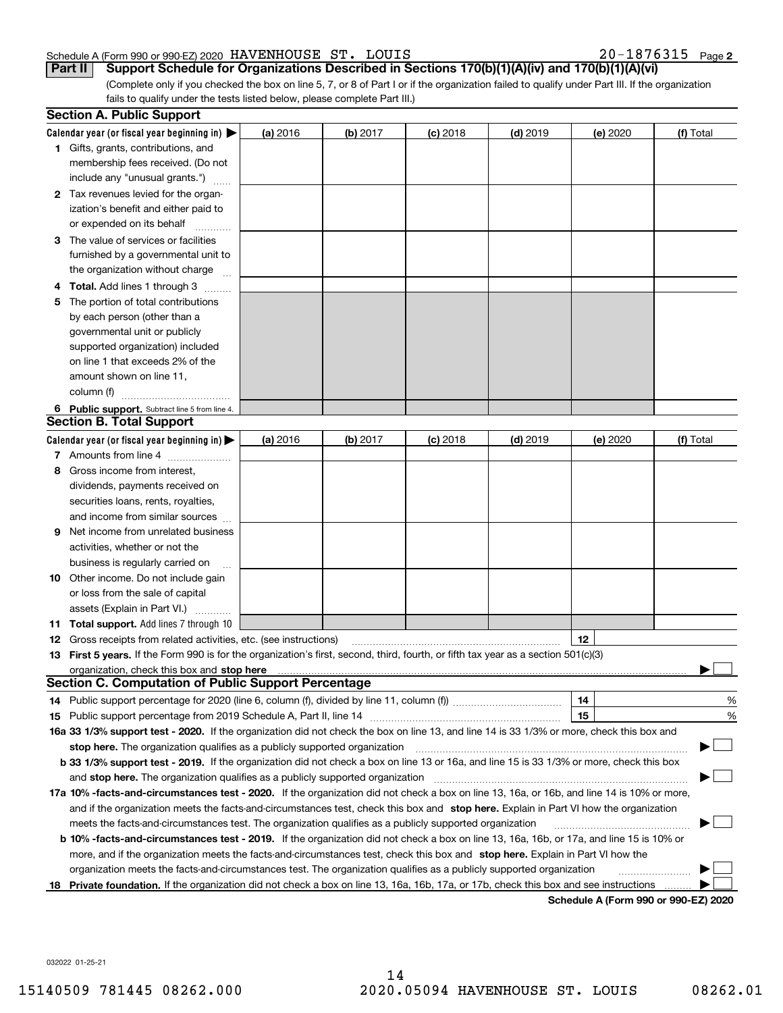# Schedule A (Form 990 or 990-EZ) 2020 Page HAVENHOUSE ST. LOUIS 20-1876315

|  |  |  |  |  |  |  |  |  |  | 20-1876315 <sub>Page 2</sub> |
|--|--|--|--|--|--|--|--|--|--|------------------------------|
|--|--|--|--|--|--|--|--|--|--|------------------------------|

(Complete only if you checked the box on line 5, 7, or 8 of Part I or if the organization failed to qualify under Part III. If the organization fails to qualify under the tests listed below, please complete Part III.) **Part II** Support Schedule for Organizations Described in Sections 170(b)(1)(A)(iv) and 170(b)(1)(A)(vi)

| Calendar year (or fiscal year beginning in) $\blacktriangleright$<br>(a) 2016<br>(b) 2017<br>$(d)$ 2019<br>(f) Total<br><b>(c)</b> 2018<br>(e) 2020<br><b>1</b> Gifts, grants, contributions, and<br>membership fees received. (Do not<br>include any "unusual grants.")<br>2 Tax revenues levied for the organ-<br>ization's benefit and either paid to<br>or expended on its behalf<br>3 The value of services or facilities<br>furnished by a governmental unit to<br>the organization without charge<br>4 Total. Add lines 1 through 3<br>The portion of total contributions<br>5<br>by each person (other than a<br>governmental unit or publicly<br>supported organization) included<br>on line 1 that exceeds 2% of the<br>amount shown on line 11,<br>column (f)<br>6 Public support. Subtract line 5 from line 4.<br>(a) 2016<br>(b) 2017<br>$(d)$ 2019<br>(f) Total<br>$(c)$ 2018<br>(e) 2020<br>7 Amounts from line 4<br>Gross income from interest,<br>8<br>dividends, payments received on<br>securities loans, rents, royalties,<br>and income from similar sources<br>Net income from unrelated business<br>9<br>activities, whether or not the<br>business is regularly carried on<br><b>10</b> Other income. Do not include gain<br>or loss from the sale of capital<br>assets (Explain in Part VI.)<br>11 Total support. Add lines 7 through 10<br>12<br><b>12</b> Gross receipts from related activities, etc. (see instructions)<br>13 First 5 years. If the Form 990 is for the organization's first, second, third, fourth, or fifth tax year as a section 501(c)(3)<br><b>Section C. Computation of Public Support Percentage</b><br>14<br>14 Public support percentage for 2020 (line 6, column (f), divided by line 11, column (f) <i>mummumumum</i><br>15<br>16a 33 1/3% support test - 2020. If the organization did not check the box on line 13, and line 14 is 33 1/3% or more, check this box and<br>stop here. The organization qualifies as a publicly supported organization<br>b 33 1/3% support test - 2019. If the organization did not check a box on line 13 or 16a, and line 15 is 33 1/3% or more, check this box<br>and stop here. The organization qualifies as a publicly supported organization<br>17a 10% -facts-and-circumstances test - 2020. If the organization did not check a box on line 13, 16a, or 16b, and line 14 is 10% or more,<br>and if the organization meets the facts-and-circumstances test, check this box and stop here. Explain in Part VI how the organization<br>meets the facts-and-circumstances test. The organization qualifies as a publicly supported organization<br><b>b 10% -facts-and-circumstances test - 2019.</b> If the organization did not check a box on line 13, 16a, 16b, or 17a, and line 15 is 10% or | <b>Section A. Public Support</b> |  |  |   |
|--------------------------------------------------------------------------------------------------------------------------------------------------------------------------------------------------------------------------------------------------------------------------------------------------------------------------------------------------------------------------------------------------------------------------------------------------------------------------------------------------------------------------------------------------------------------------------------------------------------------------------------------------------------------------------------------------------------------------------------------------------------------------------------------------------------------------------------------------------------------------------------------------------------------------------------------------------------------------------------------------------------------------------------------------------------------------------------------------------------------------------------------------------------------------------------------------------------------------------------------------------------------------------------------------------------------------------------------------------------------------------------------------------------------------------------------------------------------------------------------------------------------------------------------------------------------------------------------------------------------------------------------------------------------------------------------------------------------------------------------------------------------------------------------------------------------------------------------------------------------------------------------------------------------------------------------------------------------------------------------------------------------------------------------------------------------------------------------------------------------------------------------------------------------------------------------------------------------------------------------------------------------------------------------------------------------------------------------------------------------------------------------------------------------------------------------------------------------------------------------------------------------------------------------------------------------------------------------------------------------------------------------------------------------------------------------------------------------------------------------------------------------------------------------------|----------------------------------|--|--|---|
| <b>Section B. Total Support</b><br>Calendar year (or fiscal year beginning in) $\blacktriangleright$                                                                                                                                                                                                                                                                                                                                                                                                                                                                                                                                                                                                                                                                                                                                                                                                                                                                                                                                                                                                                                                                                                                                                                                                                                                                                                                                                                                                                                                                                                                                                                                                                                                                                                                                                                                                                                                                                                                                                                                                                                                                                                                                                                                                                                                                                                                                                                                                                                                                                                                                                                                                                                                                                             |                                  |  |  |   |
|                                                                                                                                                                                                                                                                                                                                                                                                                                                                                                                                                                                                                                                                                                                                                                                                                                                                                                                                                                                                                                                                                                                                                                                                                                                                                                                                                                                                                                                                                                                                                                                                                                                                                                                                                                                                                                                                                                                                                                                                                                                                                                                                                                                                                                                                                                                                                                                                                                                                                                                                                                                                                                                                                                                                                                                                  |                                  |  |  |   |
|                                                                                                                                                                                                                                                                                                                                                                                                                                                                                                                                                                                                                                                                                                                                                                                                                                                                                                                                                                                                                                                                                                                                                                                                                                                                                                                                                                                                                                                                                                                                                                                                                                                                                                                                                                                                                                                                                                                                                                                                                                                                                                                                                                                                                                                                                                                                                                                                                                                                                                                                                                                                                                                                                                                                                                                                  |                                  |  |  |   |
|                                                                                                                                                                                                                                                                                                                                                                                                                                                                                                                                                                                                                                                                                                                                                                                                                                                                                                                                                                                                                                                                                                                                                                                                                                                                                                                                                                                                                                                                                                                                                                                                                                                                                                                                                                                                                                                                                                                                                                                                                                                                                                                                                                                                                                                                                                                                                                                                                                                                                                                                                                                                                                                                                                                                                                                                  |                                  |  |  |   |
|                                                                                                                                                                                                                                                                                                                                                                                                                                                                                                                                                                                                                                                                                                                                                                                                                                                                                                                                                                                                                                                                                                                                                                                                                                                                                                                                                                                                                                                                                                                                                                                                                                                                                                                                                                                                                                                                                                                                                                                                                                                                                                                                                                                                                                                                                                                                                                                                                                                                                                                                                                                                                                                                                                                                                                                                  |                                  |  |  |   |
|                                                                                                                                                                                                                                                                                                                                                                                                                                                                                                                                                                                                                                                                                                                                                                                                                                                                                                                                                                                                                                                                                                                                                                                                                                                                                                                                                                                                                                                                                                                                                                                                                                                                                                                                                                                                                                                                                                                                                                                                                                                                                                                                                                                                                                                                                                                                                                                                                                                                                                                                                                                                                                                                                                                                                                                                  |                                  |  |  |   |
|                                                                                                                                                                                                                                                                                                                                                                                                                                                                                                                                                                                                                                                                                                                                                                                                                                                                                                                                                                                                                                                                                                                                                                                                                                                                                                                                                                                                                                                                                                                                                                                                                                                                                                                                                                                                                                                                                                                                                                                                                                                                                                                                                                                                                                                                                                                                                                                                                                                                                                                                                                                                                                                                                                                                                                                                  |                                  |  |  |   |
|                                                                                                                                                                                                                                                                                                                                                                                                                                                                                                                                                                                                                                                                                                                                                                                                                                                                                                                                                                                                                                                                                                                                                                                                                                                                                                                                                                                                                                                                                                                                                                                                                                                                                                                                                                                                                                                                                                                                                                                                                                                                                                                                                                                                                                                                                                                                                                                                                                                                                                                                                                                                                                                                                                                                                                                                  |                                  |  |  |   |
|                                                                                                                                                                                                                                                                                                                                                                                                                                                                                                                                                                                                                                                                                                                                                                                                                                                                                                                                                                                                                                                                                                                                                                                                                                                                                                                                                                                                                                                                                                                                                                                                                                                                                                                                                                                                                                                                                                                                                                                                                                                                                                                                                                                                                                                                                                                                                                                                                                                                                                                                                                                                                                                                                                                                                                                                  |                                  |  |  |   |
|                                                                                                                                                                                                                                                                                                                                                                                                                                                                                                                                                                                                                                                                                                                                                                                                                                                                                                                                                                                                                                                                                                                                                                                                                                                                                                                                                                                                                                                                                                                                                                                                                                                                                                                                                                                                                                                                                                                                                                                                                                                                                                                                                                                                                                                                                                                                                                                                                                                                                                                                                                                                                                                                                                                                                                                                  |                                  |  |  |   |
|                                                                                                                                                                                                                                                                                                                                                                                                                                                                                                                                                                                                                                                                                                                                                                                                                                                                                                                                                                                                                                                                                                                                                                                                                                                                                                                                                                                                                                                                                                                                                                                                                                                                                                                                                                                                                                                                                                                                                                                                                                                                                                                                                                                                                                                                                                                                                                                                                                                                                                                                                                                                                                                                                                                                                                                                  |                                  |  |  |   |
|                                                                                                                                                                                                                                                                                                                                                                                                                                                                                                                                                                                                                                                                                                                                                                                                                                                                                                                                                                                                                                                                                                                                                                                                                                                                                                                                                                                                                                                                                                                                                                                                                                                                                                                                                                                                                                                                                                                                                                                                                                                                                                                                                                                                                                                                                                                                                                                                                                                                                                                                                                                                                                                                                                                                                                                                  |                                  |  |  |   |
|                                                                                                                                                                                                                                                                                                                                                                                                                                                                                                                                                                                                                                                                                                                                                                                                                                                                                                                                                                                                                                                                                                                                                                                                                                                                                                                                                                                                                                                                                                                                                                                                                                                                                                                                                                                                                                                                                                                                                                                                                                                                                                                                                                                                                                                                                                                                                                                                                                                                                                                                                                                                                                                                                                                                                                                                  |                                  |  |  |   |
|                                                                                                                                                                                                                                                                                                                                                                                                                                                                                                                                                                                                                                                                                                                                                                                                                                                                                                                                                                                                                                                                                                                                                                                                                                                                                                                                                                                                                                                                                                                                                                                                                                                                                                                                                                                                                                                                                                                                                                                                                                                                                                                                                                                                                                                                                                                                                                                                                                                                                                                                                                                                                                                                                                                                                                                                  |                                  |  |  |   |
|                                                                                                                                                                                                                                                                                                                                                                                                                                                                                                                                                                                                                                                                                                                                                                                                                                                                                                                                                                                                                                                                                                                                                                                                                                                                                                                                                                                                                                                                                                                                                                                                                                                                                                                                                                                                                                                                                                                                                                                                                                                                                                                                                                                                                                                                                                                                                                                                                                                                                                                                                                                                                                                                                                                                                                                                  |                                  |  |  |   |
|                                                                                                                                                                                                                                                                                                                                                                                                                                                                                                                                                                                                                                                                                                                                                                                                                                                                                                                                                                                                                                                                                                                                                                                                                                                                                                                                                                                                                                                                                                                                                                                                                                                                                                                                                                                                                                                                                                                                                                                                                                                                                                                                                                                                                                                                                                                                                                                                                                                                                                                                                                                                                                                                                                                                                                                                  |                                  |  |  |   |
|                                                                                                                                                                                                                                                                                                                                                                                                                                                                                                                                                                                                                                                                                                                                                                                                                                                                                                                                                                                                                                                                                                                                                                                                                                                                                                                                                                                                                                                                                                                                                                                                                                                                                                                                                                                                                                                                                                                                                                                                                                                                                                                                                                                                                                                                                                                                                                                                                                                                                                                                                                                                                                                                                                                                                                                                  |                                  |  |  |   |
|                                                                                                                                                                                                                                                                                                                                                                                                                                                                                                                                                                                                                                                                                                                                                                                                                                                                                                                                                                                                                                                                                                                                                                                                                                                                                                                                                                                                                                                                                                                                                                                                                                                                                                                                                                                                                                                                                                                                                                                                                                                                                                                                                                                                                                                                                                                                                                                                                                                                                                                                                                                                                                                                                                                                                                                                  |                                  |  |  |   |
|                                                                                                                                                                                                                                                                                                                                                                                                                                                                                                                                                                                                                                                                                                                                                                                                                                                                                                                                                                                                                                                                                                                                                                                                                                                                                                                                                                                                                                                                                                                                                                                                                                                                                                                                                                                                                                                                                                                                                                                                                                                                                                                                                                                                                                                                                                                                                                                                                                                                                                                                                                                                                                                                                                                                                                                                  |                                  |  |  |   |
|                                                                                                                                                                                                                                                                                                                                                                                                                                                                                                                                                                                                                                                                                                                                                                                                                                                                                                                                                                                                                                                                                                                                                                                                                                                                                                                                                                                                                                                                                                                                                                                                                                                                                                                                                                                                                                                                                                                                                                                                                                                                                                                                                                                                                                                                                                                                                                                                                                                                                                                                                                                                                                                                                                                                                                                                  |                                  |  |  |   |
|                                                                                                                                                                                                                                                                                                                                                                                                                                                                                                                                                                                                                                                                                                                                                                                                                                                                                                                                                                                                                                                                                                                                                                                                                                                                                                                                                                                                                                                                                                                                                                                                                                                                                                                                                                                                                                                                                                                                                                                                                                                                                                                                                                                                                                                                                                                                                                                                                                                                                                                                                                                                                                                                                                                                                                                                  |                                  |  |  |   |
|                                                                                                                                                                                                                                                                                                                                                                                                                                                                                                                                                                                                                                                                                                                                                                                                                                                                                                                                                                                                                                                                                                                                                                                                                                                                                                                                                                                                                                                                                                                                                                                                                                                                                                                                                                                                                                                                                                                                                                                                                                                                                                                                                                                                                                                                                                                                                                                                                                                                                                                                                                                                                                                                                                                                                                                                  |                                  |  |  |   |
|                                                                                                                                                                                                                                                                                                                                                                                                                                                                                                                                                                                                                                                                                                                                                                                                                                                                                                                                                                                                                                                                                                                                                                                                                                                                                                                                                                                                                                                                                                                                                                                                                                                                                                                                                                                                                                                                                                                                                                                                                                                                                                                                                                                                                                                                                                                                                                                                                                                                                                                                                                                                                                                                                                                                                                                                  |                                  |  |  |   |
|                                                                                                                                                                                                                                                                                                                                                                                                                                                                                                                                                                                                                                                                                                                                                                                                                                                                                                                                                                                                                                                                                                                                                                                                                                                                                                                                                                                                                                                                                                                                                                                                                                                                                                                                                                                                                                                                                                                                                                                                                                                                                                                                                                                                                                                                                                                                                                                                                                                                                                                                                                                                                                                                                                                                                                                                  |                                  |  |  |   |
|                                                                                                                                                                                                                                                                                                                                                                                                                                                                                                                                                                                                                                                                                                                                                                                                                                                                                                                                                                                                                                                                                                                                                                                                                                                                                                                                                                                                                                                                                                                                                                                                                                                                                                                                                                                                                                                                                                                                                                                                                                                                                                                                                                                                                                                                                                                                                                                                                                                                                                                                                                                                                                                                                                                                                                                                  |                                  |  |  |   |
|                                                                                                                                                                                                                                                                                                                                                                                                                                                                                                                                                                                                                                                                                                                                                                                                                                                                                                                                                                                                                                                                                                                                                                                                                                                                                                                                                                                                                                                                                                                                                                                                                                                                                                                                                                                                                                                                                                                                                                                                                                                                                                                                                                                                                                                                                                                                                                                                                                                                                                                                                                                                                                                                                                                                                                                                  |                                  |  |  |   |
|                                                                                                                                                                                                                                                                                                                                                                                                                                                                                                                                                                                                                                                                                                                                                                                                                                                                                                                                                                                                                                                                                                                                                                                                                                                                                                                                                                                                                                                                                                                                                                                                                                                                                                                                                                                                                                                                                                                                                                                                                                                                                                                                                                                                                                                                                                                                                                                                                                                                                                                                                                                                                                                                                                                                                                                                  |                                  |  |  |   |
|                                                                                                                                                                                                                                                                                                                                                                                                                                                                                                                                                                                                                                                                                                                                                                                                                                                                                                                                                                                                                                                                                                                                                                                                                                                                                                                                                                                                                                                                                                                                                                                                                                                                                                                                                                                                                                                                                                                                                                                                                                                                                                                                                                                                                                                                                                                                                                                                                                                                                                                                                                                                                                                                                                                                                                                                  |                                  |  |  |   |
|                                                                                                                                                                                                                                                                                                                                                                                                                                                                                                                                                                                                                                                                                                                                                                                                                                                                                                                                                                                                                                                                                                                                                                                                                                                                                                                                                                                                                                                                                                                                                                                                                                                                                                                                                                                                                                                                                                                                                                                                                                                                                                                                                                                                                                                                                                                                                                                                                                                                                                                                                                                                                                                                                                                                                                                                  |                                  |  |  |   |
|                                                                                                                                                                                                                                                                                                                                                                                                                                                                                                                                                                                                                                                                                                                                                                                                                                                                                                                                                                                                                                                                                                                                                                                                                                                                                                                                                                                                                                                                                                                                                                                                                                                                                                                                                                                                                                                                                                                                                                                                                                                                                                                                                                                                                                                                                                                                                                                                                                                                                                                                                                                                                                                                                                                                                                                                  |                                  |  |  |   |
|                                                                                                                                                                                                                                                                                                                                                                                                                                                                                                                                                                                                                                                                                                                                                                                                                                                                                                                                                                                                                                                                                                                                                                                                                                                                                                                                                                                                                                                                                                                                                                                                                                                                                                                                                                                                                                                                                                                                                                                                                                                                                                                                                                                                                                                                                                                                                                                                                                                                                                                                                                                                                                                                                                                                                                                                  |                                  |  |  |   |
|                                                                                                                                                                                                                                                                                                                                                                                                                                                                                                                                                                                                                                                                                                                                                                                                                                                                                                                                                                                                                                                                                                                                                                                                                                                                                                                                                                                                                                                                                                                                                                                                                                                                                                                                                                                                                                                                                                                                                                                                                                                                                                                                                                                                                                                                                                                                                                                                                                                                                                                                                                                                                                                                                                                                                                                                  |                                  |  |  |   |
|                                                                                                                                                                                                                                                                                                                                                                                                                                                                                                                                                                                                                                                                                                                                                                                                                                                                                                                                                                                                                                                                                                                                                                                                                                                                                                                                                                                                                                                                                                                                                                                                                                                                                                                                                                                                                                                                                                                                                                                                                                                                                                                                                                                                                                                                                                                                                                                                                                                                                                                                                                                                                                                                                                                                                                                                  |                                  |  |  |   |
|                                                                                                                                                                                                                                                                                                                                                                                                                                                                                                                                                                                                                                                                                                                                                                                                                                                                                                                                                                                                                                                                                                                                                                                                                                                                                                                                                                                                                                                                                                                                                                                                                                                                                                                                                                                                                                                                                                                                                                                                                                                                                                                                                                                                                                                                                                                                                                                                                                                                                                                                                                                                                                                                                                                                                                                                  |                                  |  |  |   |
|                                                                                                                                                                                                                                                                                                                                                                                                                                                                                                                                                                                                                                                                                                                                                                                                                                                                                                                                                                                                                                                                                                                                                                                                                                                                                                                                                                                                                                                                                                                                                                                                                                                                                                                                                                                                                                                                                                                                                                                                                                                                                                                                                                                                                                                                                                                                                                                                                                                                                                                                                                                                                                                                                                                                                                                                  |                                  |  |  |   |
|                                                                                                                                                                                                                                                                                                                                                                                                                                                                                                                                                                                                                                                                                                                                                                                                                                                                                                                                                                                                                                                                                                                                                                                                                                                                                                                                                                                                                                                                                                                                                                                                                                                                                                                                                                                                                                                                                                                                                                                                                                                                                                                                                                                                                                                                                                                                                                                                                                                                                                                                                                                                                                                                                                                                                                                                  |                                  |  |  |   |
|                                                                                                                                                                                                                                                                                                                                                                                                                                                                                                                                                                                                                                                                                                                                                                                                                                                                                                                                                                                                                                                                                                                                                                                                                                                                                                                                                                                                                                                                                                                                                                                                                                                                                                                                                                                                                                                                                                                                                                                                                                                                                                                                                                                                                                                                                                                                                                                                                                                                                                                                                                                                                                                                                                                                                                                                  |                                  |  |  |   |
|                                                                                                                                                                                                                                                                                                                                                                                                                                                                                                                                                                                                                                                                                                                                                                                                                                                                                                                                                                                                                                                                                                                                                                                                                                                                                                                                                                                                                                                                                                                                                                                                                                                                                                                                                                                                                                                                                                                                                                                                                                                                                                                                                                                                                                                                                                                                                                                                                                                                                                                                                                                                                                                                                                                                                                                                  |                                  |  |  | % |
|                                                                                                                                                                                                                                                                                                                                                                                                                                                                                                                                                                                                                                                                                                                                                                                                                                                                                                                                                                                                                                                                                                                                                                                                                                                                                                                                                                                                                                                                                                                                                                                                                                                                                                                                                                                                                                                                                                                                                                                                                                                                                                                                                                                                                                                                                                                                                                                                                                                                                                                                                                                                                                                                                                                                                                                                  |                                  |  |  | % |
|                                                                                                                                                                                                                                                                                                                                                                                                                                                                                                                                                                                                                                                                                                                                                                                                                                                                                                                                                                                                                                                                                                                                                                                                                                                                                                                                                                                                                                                                                                                                                                                                                                                                                                                                                                                                                                                                                                                                                                                                                                                                                                                                                                                                                                                                                                                                                                                                                                                                                                                                                                                                                                                                                                                                                                                                  |                                  |  |  |   |
|                                                                                                                                                                                                                                                                                                                                                                                                                                                                                                                                                                                                                                                                                                                                                                                                                                                                                                                                                                                                                                                                                                                                                                                                                                                                                                                                                                                                                                                                                                                                                                                                                                                                                                                                                                                                                                                                                                                                                                                                                                                                                                                                                                                                                                                                                                                                                                                                                                                                                                                                                                                                                                                                                                                                                                                                  |                                  |  |  |   |
|                                                                                                                                                                                                                                                                                                                                                                                                                                                                                                                                                                                                                                                                                                                                                                                                                                                                                                                                                                                                                                                                                                                                                                                                                                                                                                                                                                                                                                                                                                                                                                                                                                                                                                                                                                                                                                                                                                                                                                                                                                                                                                                                                                                                                                                                                                                                                                                                                                                                                                                                                                                                                                                                                                                                                                                                  |                                  |  |  |   |
|                                                                                                                                                                                                                                                                                                                                                                                                                                                                                                                                                                                                                                                                                                                                                                                                                                                                                                                                                                                                                                                                                                                                                                                                                                                                                                                                                                                                                                                                                                                                                                                                                                                                                                                                                                                                                                                                                                                                                                                                                                                                                                                                                                                                                                                                                                                                                                                                                                                                                                                                                                                                                                                                                                                                                                                                  |                                  |  |  |   |
|                                                                                                                                                                                                                                                                                                                                                                                                                                                                                                                                                                                                                                                                                                                                                                                                                                                                                                                                                                                                                                                                                                                                                                                                                                                                                                                                                                                                                                                                                                                                                                                                                                                                                                                                                                                                                                                                                                                                                                                                                                                                                                                                                                                                                                                                                                                                                                                                                                                                                                                                                                                                                                                                                                                                                                                                  |                                  |  |  |   |
|                                                                                                                                                                                                                                                                                                                                                                                                                                                                                                                                                                                                                                                                                                                                                                                                                                                                                                                                                                                                                                                                                                                                                                                                                                                                                                                                                                                                                                                                                                                                                                                                                                                                                                                                                                                                                                                                                                                                                                                                                                                                                                                                                                                                                                                                                                                                                                                                                                                                                                                                                                                                                                                                                                                                                                                                  |                                  |  |  |   |
|                                                                                                                                                                                                                                                                                                                                                                                                                                                                                                                                                                                                                                                                                                                                                                                                                                                                                                                                                                                                                                                                                                                                                                                                                                                                                                                                                                                                                                                                                                                                                                                                                                                                                                                                                                                                                                                                                                                                                                                                                                                                                                                                                                                                                                                                                                                                                                                                                                                                                                                                                                                                                                                                                                                                                                                                  |                                  |  |  |   |
|                                                                                                                                                                                                                                                                                                                                                                                                                                                                                                                                                                                                                                                                                                                                                                                                                                                                                                                                                                                                                                                                                                                                                                                                                                                                                                                                                                                                                                                                                                                                                                                                                                                                                                                                                                                                                                                                                                                                                                                                                                                                                                                                                                                                                                                                                                                                                                                                                                                                                                                                                                                                                                                                                                                                                                                                  |                                  |  |  |   |
| more, and if the organization meets the facts-and-circumstances test, check this box and stop here. Explain in Part VI how the                                                                                                                                                                                                                                                                                                                                                                                                                                                                                                                                                                                                                                                                                                                                                                                                                                                                                                                                                                                                                                                                                                                                                                                                                                                                                                                                                                                                                                                                                                                                                                                                                                                                                                                                                                                                                                                                                                                                                                                                                                                                                                                                                                                                                                                                                                                                                                                                                                                                                                                                                                                                                                                                   |                                  |  |  |   |
| organization meets the facts-and-circumstances test. The organization qualifies as a publicly supported organization                                                                                                                                                                                                                                                                                                                                                                                                                                                                                                                                                                                                                                                                                                                                                                                                                                                                                                                                                                                                                                                                                                                                                                                                                                                                                                                                                                                                                                                                                                                                                                                                                                                                                                                                                                                                                                                                                                                                                                                                                                                                                                                                                                                                                                                                                                                                                                                                                                                                                                                                                                                                                                                                             |                                  |  |  |   |
| 18 Private foundation. If the organization did not check a box on line 13, 16a, 16b, 17a, or 17b, check this box and see instructions                                                                                                                                                                                                                                                                                                                                                                                                                                                                                                                                                                                                                                                                                                                                                                                                                                                                                                                                                                                                                                                                                                                                                                                                                                                                                                                                                                                                                                                                                                                                                                                                                                                                                                                                                                                                                                                                                                                                                                                                                                                                                                                                                                                                                                                                                                                                                                                                                                                                                                                                                                                                                                                            |                                  |  |  |   |

**Schedule A (Form 990 or 990-EZ) 2020**

032022 01-25-21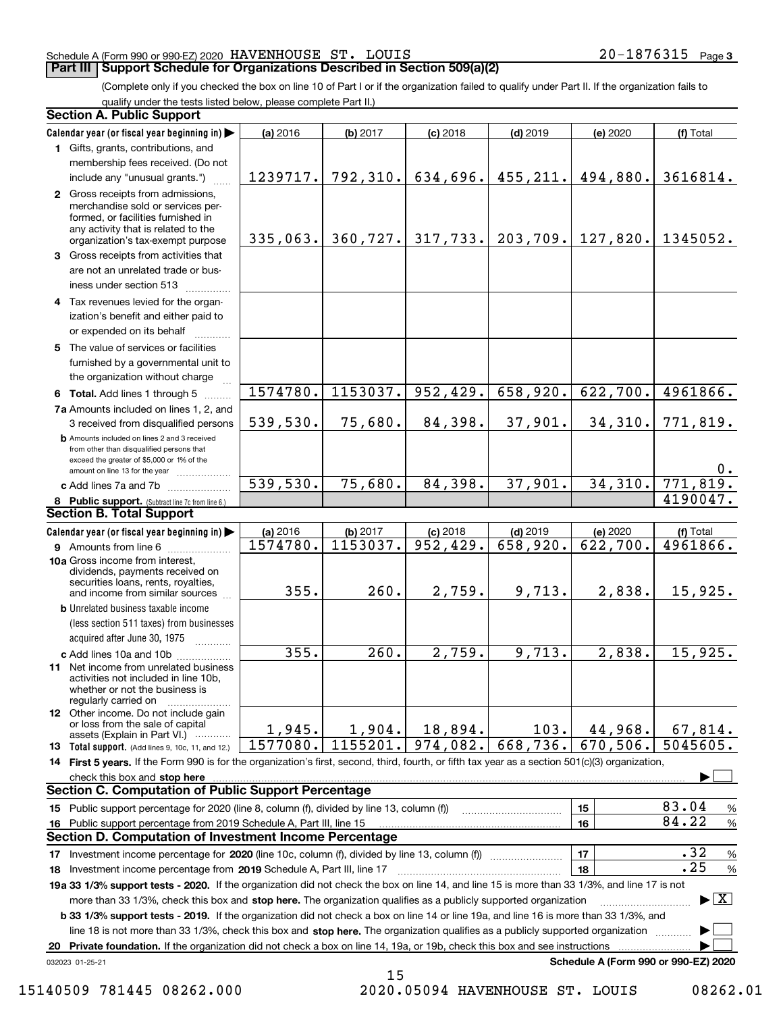# Schedule A (Form 990 or 990-EZ) 2020 Page HAVENHOUSE ST. LOUIS 20-1876315

# **Part III Support Schedule for Organizations Described in Section 509(a)(2)**

(Complete only if you checked the box on line 10 of Part I or if the organization failed to qualify under Part II. If the organization fails to qualify under the tests listed below, please complete Part II.)

|    | <b>Section A. Public Support</b>                                                                                                                                                         |          |           |                         |            |                                      |                                          |
|----|------------------------------------------------------------------------------------------------------------------------------------------------------------------------------------------|----------|-----------|-------------------------|------------|--------------------------------------|------------------------------------------|
|    | Calendar year (or fiscal year beginning in)                                                                                                                                              | (a) 2016 | (b) 2017  | $(c)$ 2018              | $(d)$ 2019 | (e) 2020                             | (f) Total                                |
|    | 1 Gifts, grants, contributions, and                                                                                                                                                      |          |           |                         |            |                                      |                                          |
|    | membership fees received. (Do not                                                                                                                                                        |          |           |                         |            |                                      |                                          |
|    | include any "unusual grants.")                                                                                                                                                           | 1239717. | 792, 310. | 634,696.                | 455, 211.  | 494,880.                             | 3616814.                                 |
|    | 2 Gross receipts from admissions,<br>merchandise sold or services per-<br>formed, or facilities furnished in<br>any activity that is related to the<br>organization's tax-exempt purpose | 335,063. | 360, 727. | 317,733.                | 203,709.   | 127,820.                             | 1345052.                                 |
|    | 3 Gross receipts from activities that<br>are not an unrelated trade or bus-<br>iness under section 513                                                                                   |          |           |                         |            |                                      |                                          |
|    | 4 Tax revenues levied for the organ-<br>ization's benefit and either paid to<br>or expended on its behalf                                                                                |          |           |                         |            |                                      |                                          |
|    | 5 The value of services or facilities                                                                                                                                                    |          |           |                         |            |                                      |                                          |
|    | furnished by a governmental unit to                                                                                                                                                      |          |           |                         |            |                                      |                                          |
|    | the organization without charge                                                                                                                                                          |          |           |                         |            |                                      |                                          |
|    | 6 Total. Add lines 1 through 5                                                                                                                                                           | 1574780. | 1153037.  | 952,429.                | 658,920.   | 622,700.                             | 4961866.                                 |
|    | 7a Amounts included on lines 1, 2, and                                                                                                                                                   |          |           |                         |            |                                      |                                          |
|    | 3 received from disqualified persons<br><b>b</b> Amounts included on lines 2 and 3 received                                                                                              | 539,530. | 75,680.   | 84,398.                 | 37,901.    | 34,310.                              | 771,819.                                 |
|    | from other than disqualified persons that<br>exceed the greater of \$5,000 or 1% of the<br>amount on line 13 for the year                                                                |          |           |                         |            |                                      | $0$ .                                    |
|    | c Add lines 7a and 7b                                                                                                                                                                    | 539,530. | 75,680.   | 84,398.                 | 37,901.    | 34,310.                              | 771,819.                                 |
|    | 8 Public support. (Subtract line 7c from line 6.)                                                                                                                                        |          |           |                         |            |                                      | 4190047.                                 |
|    | <b>Section B. Total Support</b>                                                                                                                                                          |          |           |                         |            |                                      |                                          |
|    | Calendar year (or fiscal year beginning in)                                                                                                                                              | (a) 2016 | (b) 2017  | $(c)$ 2018              | $(d)$ 2019 | (e) 2020                             | (f) Total                                |
|    | <b>9</b> Amounts from line 6                                                                                                                                                             | 1574780. | 1153037.  | $\overline{952, 429}$ . | 658,920.   | 622,700.                             | 4961866.                                 |
|    | 10a Gross income from interest,<br>dividends, payments received on<br>securities loans, rents, royalties,<br>and income from similar sources                                             | 355.     | 260.      | 2,759.                  | 9,713.     | 2,838.                               | 15,925.                                  |
|    | <b>b</b> Unrelated business taxable income                                                                                                                                               |          |           |                         |            |                                      |                                          |
|    | (less section 511 taxes) from businesses<br>acquired after June 30, 1975                                                                                                                 |          |           |                         |            |                                      |                                          |
|    | c Add lines 10a and 10b                                                                                                                                                                  | 355.     | 260.      | 2,759.                  | 9,713.     | 2,838.                               | 15,925.                                  |
|    | 11 Net income from unrelated business<br>activities not included in line 10b,<br>whether or not the business is<br>regularly carried on                                                  |          |           |                         |            |                                      |                                          |
|    | 12 Other income. Do not include gain<br>or loss from the sale of capital                                                                                                                 |          |           |                         |            |                                      |                                          |
|    | assets (Explain in Part VI.)                                                                                                                                                             | 1,945.   | 1,904.    | 18,894.                 | 103.       | 44,968.                              | 67,814.                                  |
|    | <b>13</b> Total support. (Add lines 9, 10c, 11, and 12.)                                                                                                                                 | 1577080. | 1155201.  | 974,082.                | 668,736.   | 670,506.                             | 5045605.                                 |
|    | 14 First 5 years. If the Form 990 is for the organization's first, second, third, fourth, or fifth tax year as a section 501(c)(3) organization,                                         |          |           |                         |            |                                      |                                          |
|    | check this box and stop here<br><b>Section C. Computation of Public Support Percentage</b>                                                                                               |          |           |                         |            |                                      |                                          |
|    |                                                                                                                                                                                          |          |           |                         |            |                                      | 83.04                                    |
|    | 15 Public support percentage for 2020 (line 8, column (f), divided by line 13, column (f))                                                                                               |          |           |                         |            | 15<br>16                             | $\%$<br>84.22<br>$\%$                    |
|    | 16 Public support percentage from 2019 Schedule A, Part III, line 15<br><b>Section D. Computation of Investment Income Percentage</b>                                                    |          |           |                         |            |                                      |                                          |
|    | 17 Investment income percentage for 2020 (line 10c, column (f), divided by line 13, column (f))                                                                                          |          |           |                         |            | 17                                   | .32<br>$\%$                              |
|    | 18 Investment income percentage from 2019 Schedule A, Part III, line 17                                                                                                                  |          |           |                         |            | 18                                   | .25<br>$\%$                              |
|    | 19a 33 1/3% support tests - 2020. If the organization did not check the box on line 14, and line 15 is more than 33 1/3%, and line 17 is not                                             |          |           |                         |            |                                      |                                          |
|    | more than 33 1/3%, check this box and stop here. The organization qualifies as a publicly supported organization                                                                         |          |           |                         |            |                                      | $\blacktriangleright$ $\boxed{\text{X}}$ |
|    | b 33 1/3% support tests - 2019. If the organization did not check a box on line 14 or line 19a, and line 16 is more than 33 1/3%, and                                                    |          |           |                         |            |                                      |                                          |
|    | line 18 is not more than 33 1/3%, check this box and stop here. The organization qualifies as a publicly supported organization                                                          |          |           |                         |            |                                      |                                          |
| 20 | Private foundation. If the organization did not check a box on line 14, 19a, or 19b, check this box and see instructions                                                                 |          |           |                         |            |                                      |                                          |
|    | 032023 01-25-21                                                                                                                                                                          |          |           |                         |            | Schedule A (Form 990 or 990-EZ) 2020 |                                          |

15140509 781445 08262.000 2020.05094 HAVENHOUSE ST. LOUIS 08262.01

15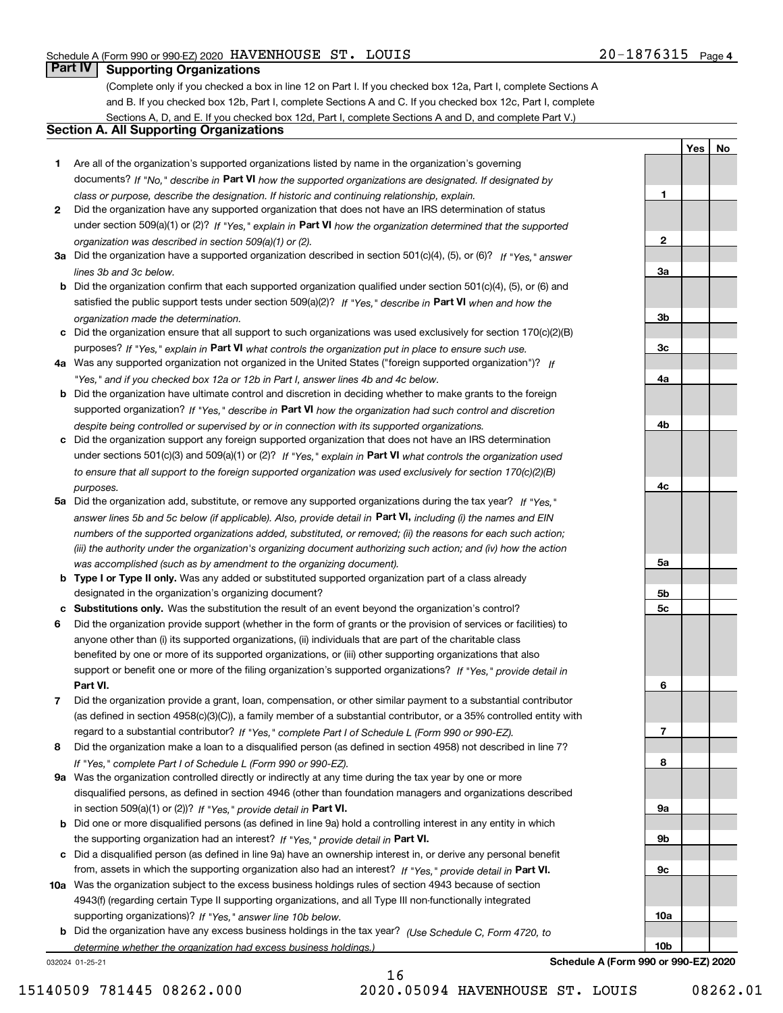**1**

**2**

**3a**

**3b**

**3c**

**4a**

**4b**

**4c**

**5a**

**5b5c**

**6**

**7**

**8**

**9a**

**9b**

**9c**

**10a**

**10b**

**YesNo**

# **Part IV Supporting Organizations**

(Complete only if you checked a box in line 12 on Part I. If you checked box 12a, Part I, complete Sections A and B. If you checked box 12b, Part I, complete Sections A and C. If you checked box 12c, Part I, complete Sections A, D, and E. If you checked box 12d, Part I, complete Sections A and D, and complete Part V.)

# **Section A. All Supporting Organizations**

- **1** Are all of the organization's supported organizations listed by name in the organization's governing documents? If "No," describe in **Part VI** how the supported organizations are designated. If designated by *class or purpose, describe the designation. If historic and continuing relationship, explain.*
- **2** Did the organization have any supported organization that does not have an IRS determination of status under section 509(a)(1) or (2)? If "Yes," explain in Part VI how the organization determined that the supported *organization was described in section 509(a)(1) or (2).*
- **3a** Did the organization have a supported organization described in section 501(c)(4), (5), or (6)? If "Yes," answer *lines 3b and 3c below.*
- **b** Did the organization confirm that each supported organization qualified under section 501(c)(4), (5), or (6) and satisfied the public support tests under section 509(a)(2)? If "Yes," describe in **Part VI** when and how the *organization made the determination.*
- **c**Did the organization ensure that all support to such organizations was used exclusively for section 170(c)(2)(B) purposes? If "Yes," explain in **Part VI** what controls the organization put in place to ensure such use.
- **4a***If* Was any supported organization not organized in the United States ("foreign supported organization")? *"Yes," and if you checked box 12a or 12b in Part I, answer lines 4b and 4c below.*
- **b** Did the organization have ultimate control and discretion in deciding whether to make grants to the foreign supported organization? If "Yes," describe in **Part VI** how the organization had such control and discretion *despite being controlled or supervised by or in connection with its supported organizations.*
- **c** Did the organization support any foreign supported organization that does not have an IRS determination under sections 501(c)(3) and 509(a)(1) or (2)? If "Yes," explain in **Part VI** what controls the organization used *to ensure that all support to the foreign supported organization was used exclusively for section 170(c)(2)(B) purposes.*
- **5a** Did the organization add, substitute, or remove any supported organizations during the tax year? If "Yes," answer lines 5b and 5c below (if applicable). Also, provide detail in **Part VI,** including (i) the names and EIN *numbers of the supported organizations added, substituted, or removed; (ii) the reasons for each such action; (iii) the authority under the organization's organizing document authorizing such action; and (iv) how the action was accomplished (such as by amendment to the organizing document).*
- **b** Type I or Type II only. Was any added or substituted supported organization part of a class already designated in the organization's organizing document?
- **cSubstitutions only.**  Was the substitution the result of an event beyond the organization's control?
- **6** Did the organization provide support (whether in the form of grants or the provision of services or facilities) to **Part VI.** *If "Yes," provide detail in* support or benefit one or more of the filing organization's supported organizations? anyone other than (i) its supported organizations, (ii) individuals that are part of the charitable class benefited by one or more of its supported organizations, or (iii) other supporting organizations that also
- **7**Did the organization provide a grant, loan, compensation, or other similar payment to a substantial contributor *If "Yes," complete Part I of Schedule L (Form 990 or 990-EZ).* regard to a substantial contributor? (as defined in section 4958(c)(3)(C)), a family member of a substantial contributor, or a 35% controlled entity with
- **8** Did the organization make a loan to a disqualified person (as defined in section 4958) not described in line 7? *If "Yes," complete Part I of Schedule L (Form 990 or 990-EZ).*
- **9a** Was the organization controlled directly or indirectly at any time during the tax year by one or more in section 509(a)(1) or (2))? If "Yes," *provide detail in* <code>Part VI.</code> disqualified persons, as defined in section 4946 (other than foundation managers and organizations described
- **b** Did one or more disqualified persons (as defined in line 9a) hold a controlling interest in any entity in which the supporting organization had an interest? If "Yes," provide detail in P**art VI**.
- **c**Did a disqualified person (as defined in line 9a) have an ownership interest in, or derive any personal benefit from, assets in which the supporting organization also had an interest? If "Yes," provide detail in P**art VI.**
- **10a** Was the organization subject to the excess business holdings rules of section 4943 because of section supporting organizations)? If "Yes," answer line 10b below. 4943(f) (regarding certain Type II supporting organizations, and all Type III non-functionally integrated
- **b** Did the organization have any excess business holdings in the tax year? (Use Schedule C, Form 4720, to *determine whether the organization had excess business holdings.)*

032024 01-25-21

**Schedule A (Form 990 or 990-EZ) 2020**

16 15140509 781445 08262.000 2020.05094 HAVENHOUSE ST. LOUIS 08262.01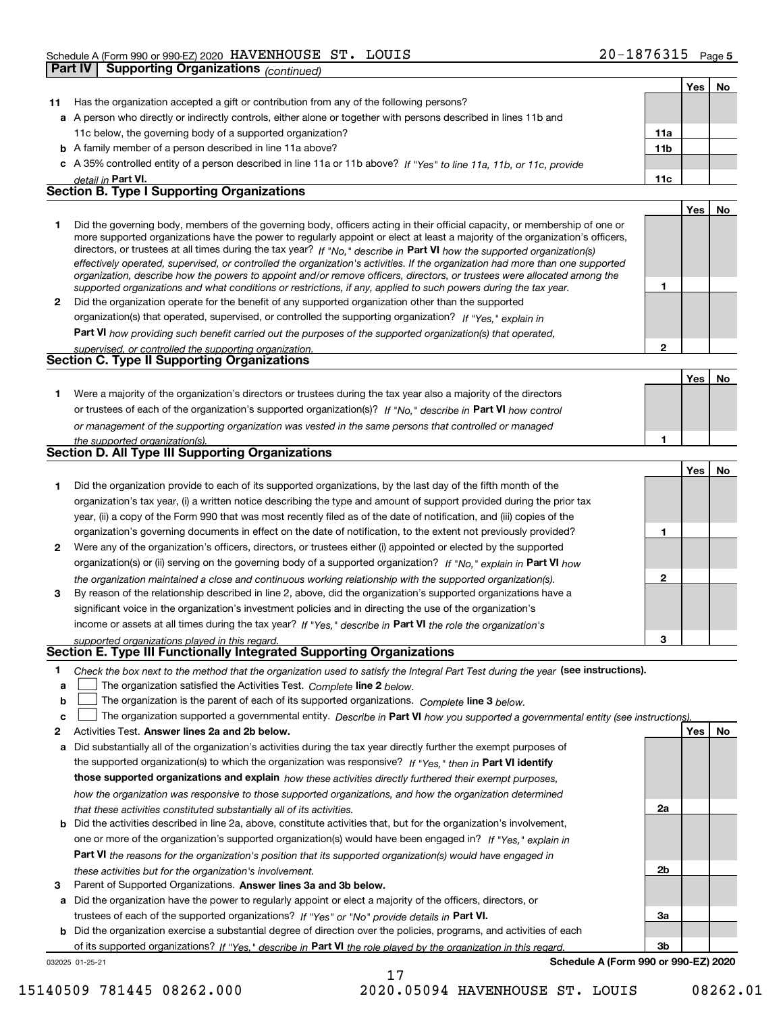|              | Part IV | <b>Supporting Organizations (continued)</b>                                                                                                                                                                                                                                                                                                                                                                                                                                                                                                                                                                                                          |                 |     |    |
|--------------|---------|------------------------------------------------------------------------------------------------------------------------------------------------------------------------------------------------------------------------------------------------------------------------------------------------------------------------------------------------------------------------------------------------------------------------------------------------------------------------------------------------------------------------------------------------------------------------------------------------------------------------------------------------------|-----------------|-----|----|
|              |         |                                                                                                                                                                                                                                                                                                                                                                                                                                                                                                                                                                                                                                                      |                 | Yes | No |
| 11           |         | Has the organization accepted a gift or contribution from any of the following persons?                                                                                                                                                                                                                                                                                                                                                                                                                                                                                                                                                              |                 |     |    |
|              |         | a A person who directly or indirectly controls, either alone or together with persons described in lines 11b and                                                                                                                                                                                                                                                                                                                                                                                                                                                                                                                                     |                 |     |    |
|              |         | 11c below, the governing body of a supported organization?                                                                                                                                                                                                                                                                                                                                                                                                                                                                                                                                                                                           | 11a             |     |    |
|              |         | <b>b</b> A family member of a person described in line 11a above?                                                                                                                                                                                                                                                                                                                                                                                                                                                                                                                                                                                    | 11 <sub>b</sub> |     |    |
|              |         | c A 35% controlled entity of a person described in line 11a or 11b above? If "Yes" to line 11a, 11b, or 11c, provide                                                                                                                                                                                                                                                                                                                                                                                                                                                                                                                                 |                 |     |    |
|              |         | detail in Part VI.                                                                                                                                                                                                                                                                                                                                                                                                                                                                                                                                                                                                                                   | 11c             |     |    |
|              |         | Section B. Type I Supporting Organizations                                                                                                                                                                                                                                                                                                                                                                                                                                                                                                                                                                                                           |                 |     |    |
|              |         |                                                                                                                                                                                                                                                                                                                                                                                                                                                                                                                                                                                                                                                      |                 | Yes | No |
| 1            |         | Did the governing body, members of the governing body, officers acting in their official capacity, or membership of one or<br>more supported organizations have the power to regularly appoint or elect at least a majority of the organization's officers,<br>directors, or trustees at all times during the tax year? If "No," describe in Part VI how the supported organization(s)<br>effectively operated, supervised, or controlled the organization's activities. If the organization had more than one supported<br>organization, describe how the powers to appoint and/or remove officers, directors, or trustees were allocated among the |                 |     |    |
|              |         | supported organizations and what conditions or restrictions, if any, applied to such powers during the tax year.                                                                                                                                                                                                                                                                                                                                                                                                                                                                                                                                     | 1               |     |    |
| 2            |         | Did the organization operate for the benefit of any supported organization other than the supported                                                                                                                                                                                                                                                                                                                                                                                                                                                                                                                                                  |                 |     |    |
|              |         | organization(s) that operated, supervised, or controlled the supporting organization? If "Yes," explain in                                                                                                                                                                                                                                                                                                                                                                                                                                                                                                                                           |                 |     |    |
|              |         | Part VI how providing such benefit carried out the purposes of the supported organization(s) that operated,                                                                                                                                                                                                                                                                                                                                                                                                                                                                                                                                          |                 |     |    |
|              |         | supervised, or controlled the supporting organization.                                                                                                                                                                                                                                                                                                                                                                                                                                                                                                                                                                                               | $\overline{2}$  |     |    |
|              |         | Section C. Type II Supporting Organizations                                                                                                                                                                                                                                                                                                                                                                                                                                                                                                                                                                                                          |                 |     |    |
|              |         |                                                                                                                                                                                                                                                                                                                                                                                                                                                                                                                                                                                                                                                      |                 | Yes | No |
| 1            |         | Were a majority of the organization's directors or trustees during the tax year also a majority of the directors                                                                                                                                                                                                                                                                                                                                                                                                                                                                                                                                     |                 |     |    |
|              |         | or trustees of each of the organization's supported organization(s)? If "No," describe in Part VI how control                                                                                                                                                                                                                                                                                                                                                                                                                                                                                                                                        |                 |     |    |
|              |         | or management of the supporting organization was vested in the same persons that controlled or managed                                                                                                                                                                                                                                                                                                                                                                                                                                                                                                                                               |                 |     |    |
|              |         | the supported organization(s).                                                                                                                                                                                                                                                                                                                                                                                                                                                                                                                                                                                                                       | 1               |     |    |
|              |         | Section D. All Type III Supporting Organizations                                                                                                                                                                                                                                                                                                                                                                                                                                                                                                                                                                                                     |                 |     |    |
|              |         |                                                                                                                                                                                                                                                                                                                                                                                                                                                                                                                                                                                                                                                      |                 | Yes | No |
| 1            |         | Did the organization provide to each of its supported organizations, by the last day of the fifth month of the                                                                                                                                                                                                                                                                                                                                                                                                                                                                                                                                       |                 |     |    |
|              |         | organization's tax year, (i) a written notice describing the type and amount of support provided during the prior tax                                                                                                                                                                                                                                                                                                                                                                                                                                                                                                                                |                 |     |    |
|              |         | year, (ii) a copy of the Form 990 that was most recently filed as of the date of notification, and (iii) copies of the                                                                                                                                                                                                                                                                                                                                                                                                                                                                                                                               |                 |     |    |
|              |         | organization's governing documents in effect on the date of notification, to the extent not previously provided?                                                                                                                                                                                                                                                                                                                                                                                                                                                                                                                                     | 1               |     |    |
| 2            |         | Were any of the organization's officers, directors, or trustees either (i) appointed or elected by the supported                                                                                                                                                                                                                                                                                                                                                                                                                                                                                                                                     |                 |     |    |
|              |         | organization(s) or (ii) serving on the governing body of a supported organization? If "No," explain in Part VI how                                                                                                                                                                                                                                                                                                                                                                                                                                                                                                                                   |                 |     |    |
|              |         | the organization maintained a close and continuous working relationship with the supported organization(s).                                                                                                                                                                                                                                                                                                                                                                                                                                                                                                                                          | $\mathbf 2$     |     |    |
| 3            |         | By reason of the relationship described in line 2, above, did the organization's supported organizations have a                                                                                                                                                                                                                                                                                                                                                                                                                                                                                                                                      |                 |     |    |
|              |         | significant voice in the organization's investment policies and in directing the use of the organization's                                                                                                                                                                                                                                                                                                                                                                                                                                                                                                                                           |                 |     |    |
|              |         | income or assets at all times during the tax year? If "Yes," describe in Part VI the role the organization's                                                                                                                                                                                                                                                                                                                                                                                                                                                                                                                                         |                 |     |    |
|              |         | supported organizations played in this regard.                                                                                                                                                                                                                                                                                                                                                                                                                                                                                                                                                                                                       | 3               |     |    |
|              |         | Section E. Type III Functionally Integrated Supporting Organizations                                                                                                                                                                                                                                                                                                                                                                                                                                                                                                                                                                                 |                 |     |    |
| 1.           |         | Check the box next to the method that the organization used to satisfy the Integral Part Test during the year (see instructions).                                                                                                                                                                                                                                                                                                                                                                                                                                                                                                                    |                 |     |    |
| а            |         | The organization satisfied the Activities Test. Complete line 2 below.                                                                                                                                                                                                                                                                                                                                                                                                                                                                                                                                                                               |                 |     |    |
| b            |         | The organization is the parent of each of its supported organizations. Complete line 3 below.                                                                                                                                                                                                                                                                                                                                                                                                                                                                                                                                                        |                 |     |    |
| с            |         | The organization supported a governmental entity. Describe in Part VI how you supported a governmental entity (see instructions)                                                                                                                                                                                                                                                                                                                                                                                                                                                                                                                     |                 |     |    |
| $\mathbf{2}$ |         | Activities Test. Answer lines 2a and 2b below.                                                                                                                                                                                                                                                                                                                                                                                                                                                                                                                                                                                                       |                 | Yes | No |
| а            |         | Did substantially all of the organization's activities during the tax year directly further the exempt purposes of                                                                                                                                                                                                                                                                                                                                                                                                                                                                                                                                   |                 |     |    |
|              |         | the supported organization(s) to which the organization was responsive? If "Yes," then in Part VI identify                                                                                                                                                                                                                                                                                                                                                                                                                                                                                                                                           |                 |     |    |
|              |         | those supported organizations and explain how these activities directly furthered their exempt purposes,                                                                                                                                                                                                                                                                                                                                                                                                                                                                                                                                             |                 |     |    |
|              |         | how the organization was responsive to those supported organizations, and how the organization determined                                                                                                                                                                                                                                                                                                                                                                                                                                                                                                                                            |                 |     |    |
|              |         | that these activities constituted substantially all of its activities.                                                                                                                                                                                                                                                                                                                                                                                                                                                                                                                                                                               | 2a              |     |    |
| b            |         | Did the activities described in line 2a, above, constitute activities that, but for the organization's involvement,                                                                                                                                                                                                                                                                                                                                                                                                                                                                                                                                  |                 |     |    |
|              |         | one or more of the organization's supported organization(s) would have been engaged in? If "Yes." explain in                                                                                                                                                                                                                                                                                                                                                                                                                                                                                                                                         |                 |     |    |

**3** Parent of Supported Organizations. Answer lines 3a and 3b below. *these activities but for the organization's involvement.*

**a** Did the organization have the power to regularly appoint or elect a majority of the officers, directors, or trustees of each of the supported organizations? If "Yes" or "No" provide details in **Part VI.** 

**Part VI**  *the reasons for the organization's position that its supported organization(s) would have engaged in*

**b** Did the organization exercise a substantial degree of direction over the policies, programs, and activities of each of its supported organizations? If "Yes," describe in Part VI the role played by the organization in this regard.

17

032025 01-25-21

**Schedule A (Form 990 or 990-EZ) 2020**

**2b**

**3a**

**3b**

15140509 781445 08262.000 2020.05094 HAVENHOUSE ST. LOUIS 08262.01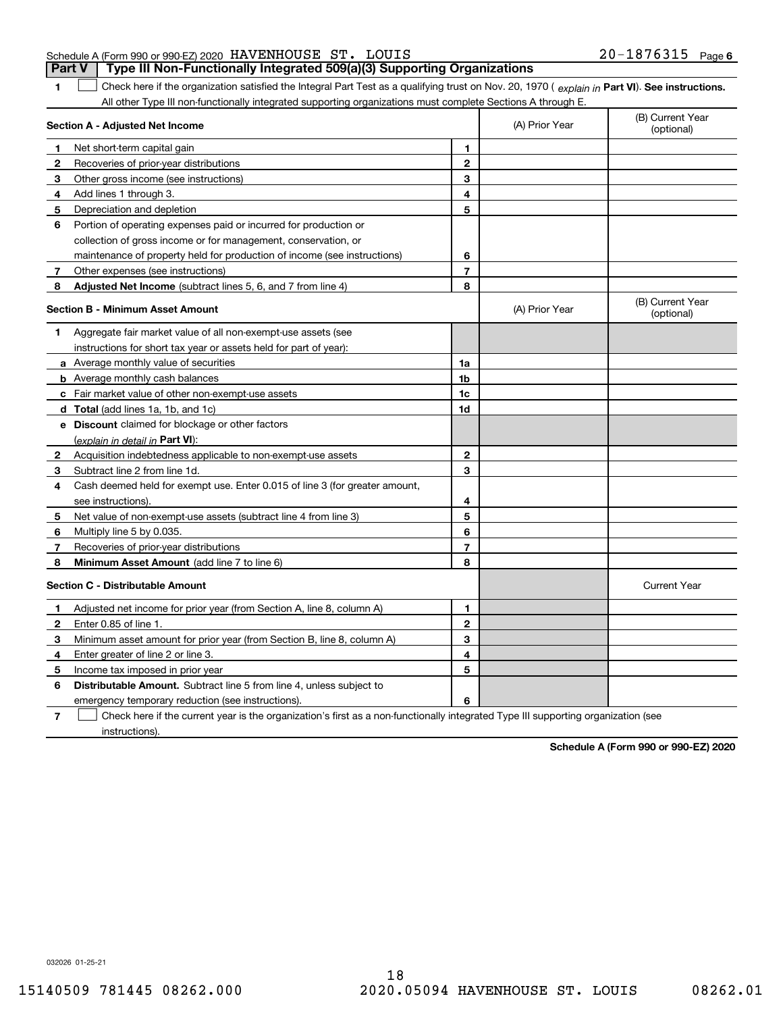# Schedule A (Form 990 or 990-EZ) 2020 Page HAVENHOUSE ST. LOUIS 20-1876315 **Part V Type III Non-Functionally Integrated 509(a)(3) Supporting Organizations**

**1**

1 Check here if the organization satisfied the Integral Part Test as a qualifying trust on Nov. 20, 1970 (explain in Part VI). See instructions. All other Type III non-functionally integrated supporting organizations must complete Sections A through E.

|    | Section A - Adjusted Net Income                                             |                | (A) Prior Year | (B) Current Year<br>(optional) |
|----|-----------------------------------------------------------------------------|----------------|----------------|--------------------------------|
| 1  | Net short-term capital gain                                                 | 1              |                |                                |
| 2  | Recoveries of prior-year distributions                                      | $\overline{2}$ |                |                                |
| З  | Other gross income (see instructions)                                       | 3              |                |                                |
| 4  | Add lines 1 through 3.                                                      | 4              |                |                                |
| 5  | Depreciation and depletion                                                  | 5              |                |                                |
| 6  | Portion of operating expenses paid or incurred for production or            |                |                |                                |
|    | collection of gross income or for management, conservation, or              |                |                |                                |
|    | maintenance of property held for production of income (see instructions)    | 6              |                |                                |
| 7  | Other expenses (see instructions)                                           | 7              |                |                                |
| 8  | Adjusted Net Income (subtract lines 5, 6, and 7 from line 4)                | 8              |                |                                |
|    | <b>Section B - Minimum Asset Amount</b>                                     |                | (A) Prior Year | (B) Current Year<br>(optional) |
| 1  | Aggregate fair market value of all non-exempt-use assets (see               |                |                |                                |
|    | instructions for short tax year or assets held for part of year):           |                |                |                                |
|    | a Average monthly value of securities                                       | 1a             |                |                                |
|    | <b>b</b> Average monthly cash balances                                      | 1b             |                |                                |
|    | c Fair market value of other non-exempt-use assets                          | 1c             |                |                                |
|    | <b>d</b> Total (add lines 1a, 1b, and 1c)                                   | 1d             |                |                                |
|    | e Discount claimed for blockage or other factors                            |                |                |                                |
|    | (explain in detail in Part VI):                                             |                |                |                                |
| 2  | Acquisition indebtedness applicable to non-exempt-use assets                | $\mathbf{2}$   |                |                                |
| З  | Subtract line 2 from line 1d.                                               | 3              |                |                                |
| 4  | Cash deemed held for exempt use. Enter 0.015 of line 3 (for greater amount, |                |                |                                |
|    | see instructions).                                                          | 4              |                |                                |
| 5  | Net value of non-exempt-use assets (subtract line 4 from line 3)            | 5              |                |                                |
| 6  | Multiply line 5 by 0.035.                                                   | 6              |                |                                |
| 7  | Recoveries of prior-year distributions                                      | $\overline{7}$ |                |                                |
| 8  | Minimum Asset Amount (add line 7 to line 6)                                 | 8              |                |                                |
|    | <b>Section C - Distributable Amount</b>                                     |                |                | <b>Current Year</b>            |
| 1  | Adjusted net income for prior year (from Section A, line 8, column A)       | 1              |                |                                |
| 2  | Enter 0.85 of line 1.                                                       | $\overline{2}$ |                |                                |
| 3  | Minimum asset amount for prior year (from Section B, line 8, column A)      | 3              |                |                                |
| 4  | Enter greater of line 2 or line 3.                                          | 4              |                |                                |
| 5. | Income tax imposed in prior year                                            | 5              |                |                                |
| 6  | <b>Distributable Amount.</b> Subtract line 5 from line 4, unless subject to |                |                |                                |
|    | emergency temporary reduction (see instructions).                           | 6              |                |                                |
|    |                                                                             |                |                |                                |

**7**Check here if the current year is the organization's first as a non-functionally integrated Type III supporting organization (see instructions).

**Schedule A (Form 990 or 990-EZ) 2020**

032026 01-25-21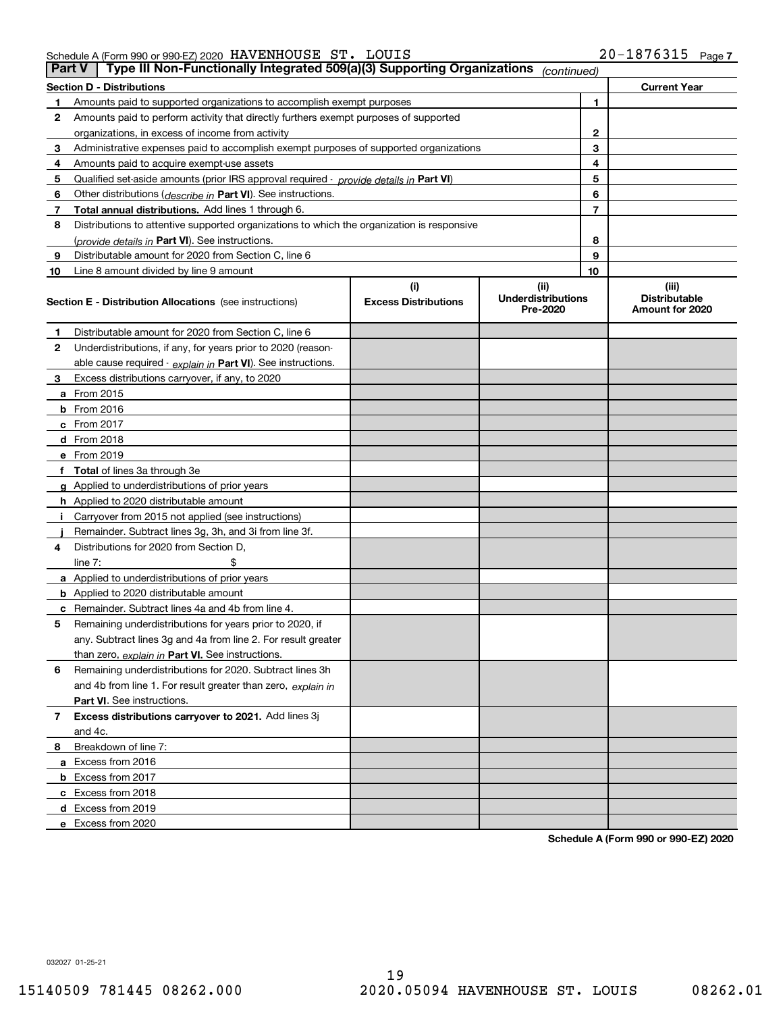## Schedule A (Form 990 or 990-EZ) 2020 HAVENHOUSE S'I'。 LOUIS ZU-I 8 7 6 3 L 5 Page HAVENHOUSE ST. LOUIS 20-1876315

| Part V | Type III Non-Functionally Integrated 509(a)(3) Supporting Organizations                    |                                    | (continued)                                   |                                                  |
|--------|--------------------------------------------------------------------------------------------|------------------------------------|-----------------------------------------------|--------------------------------------------------|
|        | <b>Section D - Distributions</b>                                                           |                                    |                                               | <b>Current Year</b>                              |
|        | Amounts paid to supported organizations to accomplish exempt purposes                      |                                    | 1                                             |                                                  |
| 2      | Amounts paid to perform activity that directly furthers exempt purposes of supported       |                                    |                                               |                                                  |
|        | organizations, in excess of income from activity                                           |                                    | 2                                             |                                                  |
| 3      | Administrative expenses paid to accomplish exempt purposes of supported organizations      |                                    | 3                                             |                                                  |
| 4      | Amounts paid to acquire exempt-use assets                                                  |                                    | 4                                             |                                                  |
| 5      | Qualified set aside amounts (prior IRS approval required - provide details in Part VI)     |                                    | 5                                             |                                                  |
| 6      | Other distributions (describe in Part VI). See instructions.                               |                                    | 6                                             |                                                  |
| 7      | Total annual distributions. Add lines 1 through 6.                                         |                                    | 7                                             |                                                  |
| 8      | Distributions to attentive supported organizations to which the organization is responsive |                                    |                                               |                                                  |
|        | (provide details in Part VI). See instructions.                                            |                                    | 8                                             |                                                  |
| 9      | Distributable amount for 2020 from Section C, line 6                                       |                                    | 9                                             |                                                  |
| 10     | Line 8 amount divided by line 9 amount                                                     |                                    | 10                                            |                                                  |
|        | <b>Section E - Distribution Allocations</b> (see instructions)                             | (i)<br><b>Excess Distributions</b> | (ii)<br><b>Underdistributions</b><br>Pre-2020 | (iii)<br><b>Distributable</b><br>Amount for 2020 |
| 1      | Distributable amount for 2020 from Section C, line 6                                       |                                    |                                               |                                                  |
| 2      | Underdistributions, if any, for years prior to 2020 (reason-                               |                                    |                                               |                                                  |
|        | able cause required - explain in Part VI). See instructions.                               |                                    |                                               |                                                  |
| 3      | Excess distributions carryover, if any, to 2020                                            |                                    |                                               |                                                  |
|        | a From 2015                                                                                |                                    |                                               |                                                  |
|        | $b$ From 2016                                                                              |                                    |                                               |                                                  |
|        | $c$ From 2017                                                                              |                                    |                                               |                                                  |
|        | <b>d</b> From 2018                                                                         |                                    |                                               |                                                  |
|        | e From 2019                                                                                |                                    |                                               |                                                  |
|        | f Total of lines 3a through 3e                                                             |                                    |                                               |                                                  |
|        | g Applied to underdistributions of prior years                                             |                                    |                                               |                                                  |
|        | <b>h</b> Applied to 2020 distributable amount                                              |                                    |                                               |                                                  |
|        | Carryover from 2015 not applied (see instructions)                                         |                                    |                                               |                                                  |
|        | Remainder. Subtract lines 3g, 3h, and 3i from line 3f.                                     |                                    |                                               |                                                  |
| 4      | Distributions for 2020 from Section D.                                                     |                                    |                                               |                                                  |
|        | line $7:$                                                                                  |                                    |                                               |                                                  |
|        | a Applied to underdistributions of prior years                                             |                                    |                                               |                                                  |
|        | <b>b</b> Applied to 2020 distributable amount                                              |                                    |                                               |                                                  |
|        | <b>c</b> Remainder. Subtract lines 4a and 4b from line 4.                                  |                                    |                                               |                                                  |
| 5      | Remaining underdistributions for years prior to 2020, if                                   |                                    |                                               |                                                  |
|        | any. Subtract lines 3g and 4a from line 2. For result greater                              |                                    |                                               |                                                  |
|        | than zero, explain in Part VI. See instructions.                                           |                                    |                                               |                                                  |
| 6      | Remaining underdistributions for 2020. Subtract lines 3h                                   |                                    |                                               |                                                  |
|        | and 4b from line 1. For result greater than zero, explain in                               |                                    |                                               |                                                  |
|        | Part VI. See instructions.                                                                 |                                    |                                               |                                                  |
| 7      | Excess distributions carryover to 2021. Add lines 3j                                       |                                    |                                               |                                                  |
|        | and 4c.                                                                                    |                                    |                                               |                                                  |
| 8      | Breakdown of line 7:                                                                       |                                    |                                               |                                                  |
|        | a Excess from 2016                                                                         |                                    |                                               |                                                  |
|        | <b>b</b> Excess from 2017                                                                  |                                    |                                               |                                                  |
|        | c Excess from 2018                                                                         |                                    |                                               |                                                  |
|        | d Excess from 2019                                                                         |                                    |                                               |                                                  |
|        | e Excess from 2020                                                                         |                                    |                                               |                                                  |

**Schedule A (Form 990 or 990-EZ) 2020**

032027 01-25-21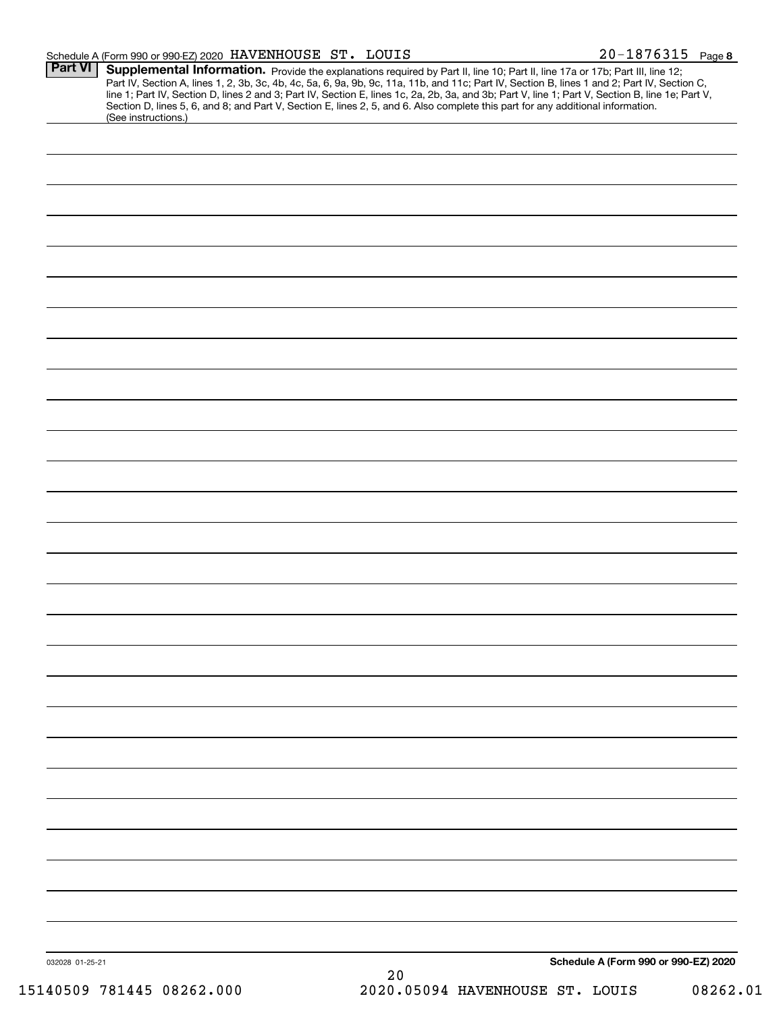| Schedule A (Form 990 or 990-EZ) 2020 $\,$ HAVENHOUSE $\,$ ST . $\,$ LOUIS |  | $20 - 1876315$ Page 8 |  |
|---------------------------------------------------------------------------|--|-----------------------|--|
|                                                                           |  |                       |  |

| Part VI         | Supplemental Information. Provide the explanations required by Part II, line 10; Part II, line 17a or 17b; Part III, line 12;<br>Part IV, Section A, lines 1, 2, 3b, 3c, 4b, 4c, 5a, 6, 9a, 9b, 9c, 11a, 11b, and 11c; Part IV, Section B, lines 1 and 2; Part IV, Section C,<br>line 1; Part IV, Section D, lines 2 and 3; Part IV, Section E, lines 1c, 2a, 2b, 3a, and 3b; Part V, line 1; Part V, Section B, line 1e; Part V,<br>Section D, lines 5, 6, and 8; and Part V, Section E, lines 2, 5, and 6. Also complete this part for any additional information.<br>(See instructions.) |
|-----------------|---------------------------------------------------------------------------------------------------------------------------------------------------------------------------------------------------------------------------------------------------------------------------------------------------------------------------------------------------------------------------------------------------------------------------------------------------------------------------------------------------------------------------------------------------------------------------------------------|
|                 |                                                                                                                                                                                                                                                                                                                                                                                                                                                                                                                                                                                             |
|                 |                                                                                                                                                                                                                                                                                                                                                                                                                                                                                                                                                                                             |
|                 |                                                                                                                                                                                                                                                                                                                                                                                                                                                                                                                                                                                             |
|                 |                                                                                                                                                                                                                                                                                                                                                                                                                                                                                                                                                                                             |
|                 |                                                                                                                                                                                                                                                                                                                                                                                                                                                                                                                                                                                             |
|                 |                                                                                                                                                                                                                                                                                                                                                                                                                                                                                                                                                                                             |
|                 |                                                                                                                                                                                                                                                                                                                                                                                                                                                                                                                                                                                             |
|                 |                                                                                                                                                                                                                                                                                                                                                                                                                                                                                                                                                                                             |
|                 |                                                                                                                                                                                                                                                                                                                                                                                                                                                                                                                                                                                             |
|                 |                                                                                                                                                                                                                                                                                                                                                                                                                                                                                                                                                                                             |
|                 |                                                                                                                                                                                                                                                                                                                                                                                                                                                                                                                                                                                             |
|                 |                                                                                                                                                                                                                                                                                                                                                                                                                                                                                                                                                                                             |
|                 |                                                                                                                                                                                                                                                                                                                                                                                                                                                                                                                                                                                             |
|                 |                                                                                                                                                                                                                                                                                                                                                                                                                                                                                                                                                                                             |
|                 |                                                                                                                                                                                                                                                                                                                                                                                                                                                                                                                                                                                             |
|                 |                                                                                                                                                                                                                                                                                                                                                                                                                                                                                                                                                                                             |
|                 |                                                                                                                                                                                                                                                                                                                                                                                                                                                                                                                                                                                             |
|                 |                                                                                                                                                                                                                                                                                                                                                                                                                                                                                                                                                                                             |
|                 |                                                                                                                                                                                                                                                                                                                                                                                                                                                                                                                                                                                             |
|                 |                                                                                                                                                                                                                                                                                                                                                                                                                                                                                                                                                                                             |
|                 |                                                                                                                                                                                                                                                                                                                                                                                                                                                                                                                                                                                             |
|                 |                                                                                                                                                                                                                                                                                                                                                                                                                                                                                                                                                                                             |
|                 |                                                                                                                                                                                                                                                                                                                                                                                                                                                                                                                                                                                             |
|                 |                                                                                                                                                                                                                                                                                                                                                                                                                                                                                                                                                                                             |
|                 |                                                                                                                                                                                                                                                                                                                                                                                                                                                                                                                                                                                             |
|                 |                                                                                                                                                                                                                                                                                                                                                                                                                                                                                                                                                                                             |
|                 |                                                                                                                                                                                                                                                                                                                                                                                                                                                                                                                                                                                             |
|                 |                                                                                                                                                                                                                                                                                                                                                                                                                                                                                                                                                                                             |
|                 |                                                                                                                                                                                                                                                                                                                                                                                                                                                                                                                                                                                             |
|                 |                                                                                                                                                                                                                                                                                                                                                                                                                                                                                                                                                                                             |
|                 |                                                                                                                                                                                                                                                                                                                                                                                                                                                                                                                                                                                             |
|                 |                                                                                                                                                                                                                                                                                                                                                                                                                                                                                                                                                                                             |
|                 |                                                                                                                                                                                                                                                                                                                                                                                                                                                                                                                                                                                             |
|                 |                                                                                                                                                                                                                                                                                                                                                                                                                                                                                                                                                                                             |
|                 |                                                                                                                                                                                                                                                                                                                                                                                                                                                                                                                                                                                             |
|                 |                                                                                                                                                                                                                                                                                                                                                                                                                                                                                                                                                                                             |
|                 |                                                                                                                                                                                                                                                                                                                                                                                                                                                                                                                                                                                             |
|                 |                                                                                                                                                                                                                                                                                                                                                                                                                                                                                                                                                                                             |
|                 |                                                                                                                                                                                                                                                                                                                                                                                                                                                                                                                                                                                             |
| 032028 01-25-21 | Schedule A (Form 990 or 990-EZ) 2020<br>20                                                                                                                                                                                                                                                                                                                                                                                                                                                                                                                                                  |
|                 |                                                                                                                                                                                                                                                                                                                                                                                                                                                                                                                                                                                             |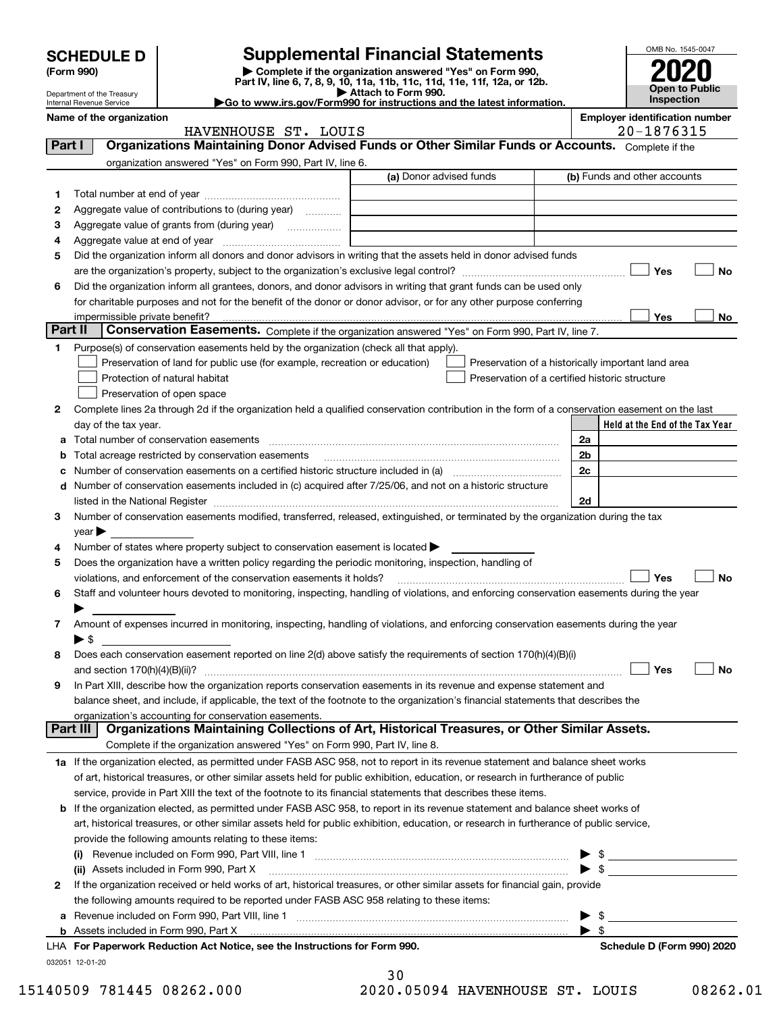|         | <b>SCHEDULE D</b>                                                                                  |                                                                                                                                                | <b>Supplemental Financial Statements</b>                                                        |                                                |                          | OMB No. 1545-0047                                  |  |
|---------|----------------------------------------------------------------------------------------------------|------------------------------------------------------------------------------------------------------------------------------------------------|-------------------------------------------------------------------------------------------------|------------------------------------------------|--------------------------|----------------------------------------------------|--|
|         | (Form 990)                                                                                         |                                                                                                                                                | Complete if the organization answered "Yes" on Form 990,                                        |                                                |                          |                                                    |  |
|         | Department of the Treasury                                                                         |                                                                                                                                                | Part IV, line 6, 7, 8, 9, 10, 11a, 11b, 11c, 11d, 11e, 11f, 12a, or 12b.<br>Attach to Form 990. |                                                |                          | Open to Public                                     |  |
|         | Go to www.irs.gov/Form990 for instructions and the latest information.<br>Internal Revenue Service |                                                                                                                                                |                                                                                                 |                                                |                          |                                                    |  |
|         | <b>Employer identification number</b><br>Name of the organization<br>HAVENHOUSE ST. LOUIS          |                                                                                                                                                |                                                                                                 |                                                |                          |                                                    |  |
| Part I  |                                                                                                    | Organizations Maintaining Donor Advised Funds or Other Similar Funds or Accounts. Complete if the                                              |                                                                                                 |                                                |                          | $20 - 1876315$                                     |  |
|         |                                                                                                    | organization answered "Yes" on Form 990, Part IV, line 6.                                                                                      |                                                                                                 |                                                |                          |                                                    |  |
|         |                                                                                                    |                                                                                                                                                | (a) Donor advised funds                                                                         |                                                |                          | (b) Funds and other accounts                       |  |
| 1       |                                                                                                    |                                                                                                                                                |                                                                                                 |                                                |                          |                                                    |  |
| 2       |                                                                                                    | Aggregate value of contributions to (during year)                                                                                              |                                                                                                 |                                                |                          |                                                    |  |
| з       |                                                                                                    |                                                                                                                                                |                                                                                                 |                                                |                          |                                                    |  |
| 4       |                                                                                                    |                                                                                                                                                |                                                                                                 |                                                |                          |                                                    |  |
| 5       |                                                                                                    | Did the organization inform all donors and donor advisors in writing that the assets held in donor advised funds                               |                                                                                                 |                                                |                          |                                                    |  |
|         |                                                                                                    |                                                                                                                                                |                                                                                                 |                                                |                          | Yes<br>No                                          |  |
| 6       |                                                                                                    | Did the organization inform all grantees, donors, and donor advisors in writing that grant funds can be used only                              |                                                                                                 |                                                |                          |                                                    |  |
|         |                                                                                                    | for charitable purposes and not for the benefit of the donor or donor advisor, or for any other purpose conferring                             |                                                                                                 |                                                |                          |                                                    |  |
|         |                                                                                                    |                                                                                                                                                |                                                                                                 |                                                |                          | Yes<br>No.                                         |  |
| Part II |                                                                                                    | Conservation Easements. Complete if the organization answered "Yes" on Form 990, Part IV, line 7.                                              |                                                                                                 |                                                |                          |                                                    |  |
| 1       |                                                                                                    | Purpose(s) of conservation easements held by the organization (check all that apply).                                                          |                                                                                                 |                                                |                          |                                                    |  |
|         |                                                                                                    | Preservation of land for public use (for example, recreation or education)                                                                     |                                                                                                 |                                                |                          | Preservation of a historically important land area |  |
|         |                                                                                                    | Protection of natural habitat                                                                                                                  |                                                                                                 | Preservation of a certified historic structure |                          |                                                    |  |
|         |                                                                                                    | Preservation of open space                                                                                                                     |                                                                                                 |                                                |                          |                                                    |  |
| 2       |                                                                                                    | Complete lines 2a through 2d if the organization held a qualified conservation contribution in the form of a conservation easement on the last |                                                                                                 |                                                |                          |                                                    |  |
|         | day of the tax year.                                                                               |                                                                                                                                                |                                                                                                 |                                                |                          | Held at the End of the Tax Year                    |  |
| a       |                                                                                                    |                                                                                                                                                |                                                                                                 |                                                | 2a                       |                                                    |  |
| b       |                                                                                                    | Total acreage restricted by conservation easements                                                                                             |                                                                                                 |                                                | 2 <sub>b</sub>           |                                                    |  |
| c       |                                                                                                    |                                                                                                                                                |                                                                                                 |                                                | 2c                       |                                                    |  |
| d       |                                                                                                    | Number of conservation easements included in (c) acquired after 7/25/06, and not on a historic structure                                       |                                                                                                 |                                                |                          |                                                    |  |
|         |                                                                                                    |                                                                                                                                                |                                                                                                 |                                                | 2d                       |                                                    |  |
| 3       |                                                                                                    | Number of conservation easements modified, transferred, released, extinguished, or terminated by the organization during the tax               |                                                                                                 |                                                |                          |                                                    |  |
| 4       | $year \blacktriangleright$                                                                         | Number of states where property subject to conservation easement is located >                                                                  |                                                                                                 |                                                |                          |                                                    |  |
| 5       |                                                                                                    | Does the organization have a written policy regarding the periodic monitoring, inspection, handling of                                         |                                                                                                 |                                                |                          |                                                    |  |
|         |                                                                                                    | violations, and enforcement of the conservation easements it holds?                                                                            |                                                                                                 |                                                |                          | <b>No</b><br>Yes                                   |  |
| 6       |                                                                                                    | Staff and volunteer hours devoted to monitoring, inspecting, handling of violations, and enforcing conservation easements during the year      |                                                                                                 |                                                |                          |                                                    |  |
|         |                                                                                                    |                                                                                                                                                |                                                                                                 |                                                |                          |                                                    |  |
| 7       |                                                                                                    | Amount of expenses incurred in monitoring, inspecting, handling of violations, and enforcing conservation easements during the year            |                                                                                                 |                                                |                          |                                                    |  |
|         | $\blacktriangleright$ \$                                                                           |                                                                                                                                                |                                                                                                 |                                                |                          |                                                    |  |
| 8       |                                                                                                    | Does each conservation easement reported on line 2(d) above satisfy the requirements of section 170(h)(4)(B)(i)                                |                                                                                                 |                                                |                          |                                                    |  |
|         |                                                                                                    |                                                                                                                                                |                                                                                                 |                                                |                          | Yes<br>No                                          |  |
| 9       |                                                                                                    | In Part XIII, describe how the organization reports conservation easements in its revenue and expense statement and                            |                                                                                                 |                                                |                          |                                                    |  |
|         |                                                                                                    | balance sheet, and include, if applicable, the text of the footnote to the organization's financial statements that describes the              |                                                                                                 |                                                |                          |                                                    |  |
|         |                                                                                                    | organization's accounting for conservation easements.                                                                                          |                                                                                                 |                                                |                          |                                                    |  |
|         | Part III                                                                                           | Organizations Maintaining Collections of Art, Historical Treasures, or Other Similar Assets.                                                   |                                                                                                 |                                                |                          |                                                    |  |
|         |                                                                                                    | Complete if the organization answered "Yes" on Form 990, Part IV, line 8.                                                                      |                                                                                                 |                                                |                          |                                                    |  |
|         |                                                                                                    | 1a If the organization elected, as permitted under FASB ASC 958, not to report in its revenue statement and balance sheet works                |                                                                                                 |                                                |                          |                                                    |  |
|         |                                                                                                    | of art, historical treasures, or other similar assets held for public exhibition, education, or research in furtherance of public              |                                                                                                 |                                                |                          |                                                    |  |
|         |                                                                                                    | service, provide in Part XIII the text of the footnote to its financial statements that describes these items.                                 |                                                                                                 |                                                |                          |                                                    |  |
| b       |                                                                                                    | If the organization elected, as permitted under FASB ASC 958, to report in its revenue statement and balance sheet works of                    |                                                                                                 |                                                |                          |                                                    |  |
|         |                                                                                                    | art, historical treasures, or other similar assets held for public exhibition, education, or research in furtherance of public service,        |                                                                                                 |                                                |                          |                                                    |  |
|         |                                                                                                    | provide the following amounts relating to these items:                                                                                         |                                                                                                 |                                                |                          |                                                    |  |
|         |                                                                                                    |                                                                                                                                                |                                                                                                 |                                                |                          |                                                    |  |
|         |                                                                                                    | (ii) Assets included in Form 990, Part X                                                                                                       |                                                                                                 |                                                | $\blacktriangleright$ \$ |                                                    |  |
| 2       |                                                                                                    | If the organization received or held works of art, historical treasures, or other similar assets for financial gain, provide                   |                                                                                                 |                                                |                          |                                                    |  |
|         |                                                                                                    | the following amounts required to be reported under FASB ASC 958 relating to these items:                                                      |                                                                                                 |                                                |                          |                                                    |  |
| а       |                                                                                                    |                                                                                                                                                |                                                                                                 |                                                | \$<br>▶                  |                                                    |  |
|         |                                                                                                    |                                                                                                                                                |                                                                                                 |                                                | $\blacktriangleright$ s  |                                                    |  |
|         |                                                                                                    | LHA For Paperwork Reduction Act Notice, see the Instructions for Form 990.                                                                     |                                                                                                 |                                                |                          | Schedule D (Form 990) 2020                         |  |

032051 12-01-20

| 30 |         |  |
|----|---------|--|
| ົດ | 0 E O O |  |

15140509 781445 08262.000 2020.05094 HAVENHOUSE ST. LOUIS 08262.01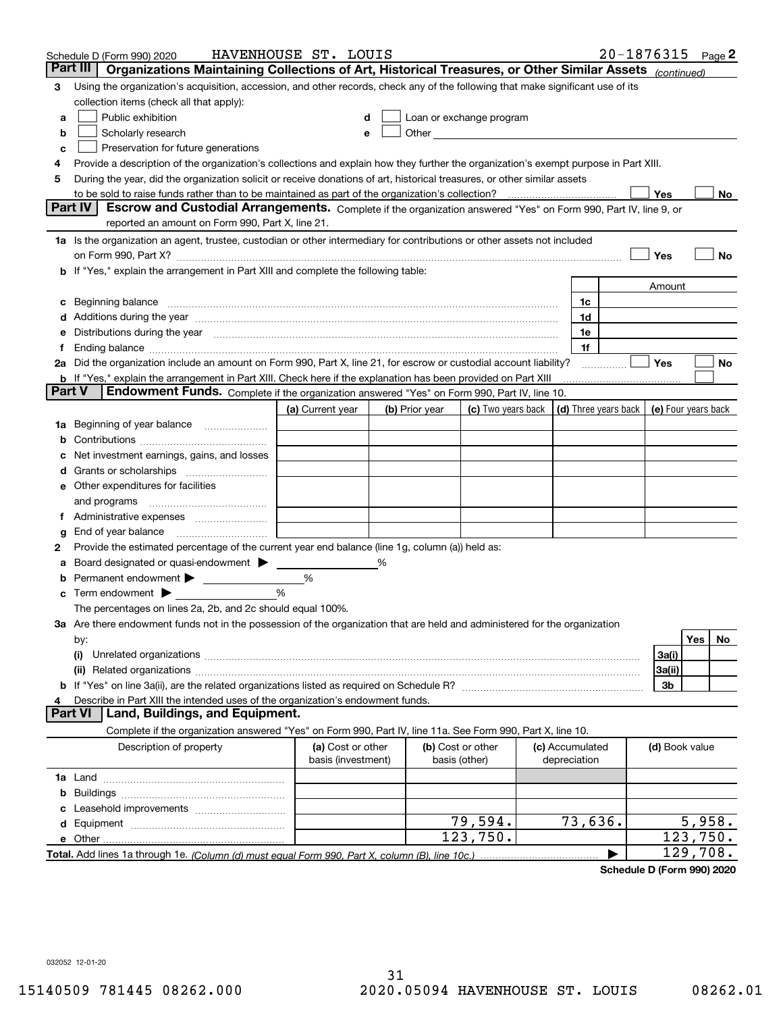|        | Schedule D (Form 990) 2020                                                                                                                                                                                                     | HAVENHOUSE ST. LOUIS                    |   |                |                                                                                                                                                                                                                               |                                 |                | $20 - 1876315$ Page 2                      |
|--------|--------------------------------------------------------------------------------------------------------------------------------------------------------------------------------------------------------------------------------|-----------------------------------------|---|----------------|-------------------------------------------------------------------------------------------------------------------------------------------------------------------------------------------------------------------------------|---------------------------------|----------------|--------------------------------------------|
|        | Part III<br>Organizations Maintaining Collections of Art, Historical Treasures, or Other Similar Assets (continued)                                                                                                            |                                         |   |                |                                                                                                                                                                                                                               |                                 |                |                                            |
| 3      | Using the organization's acquisition, accession, and other records, check any of the following that make significant use of its                                                                                                |                                         |   |                |                                                                                                                                                                                                                               |                                 |                |                                            |
|        | collection items (check all that apply):                                                                                                                                                                                       |                                         |   |                |                                                                                                                                                                                                                               |                                 |                |                                            |
| a      | Public exhibition                                                                                                                                                                                                              |                                         |   |                | Loan or exchange program                                                                                                                                                                                                      |                                 |                |                                            |
| b      | Scholarly research                                                                                                                                                                                                             |                                         |   |                | Other and the contract of the contract of the contract of the contract of the contract of the contract of the contract of the contract of the contract of the contract of the contract of the contract of the contract of the |                                 |                |                                            |
| с      | Preservation for future generations                                                                                                                                                                                            |                                         |   |                |                                                                                                                                                                                                                               |                                 |                |                                            |
| 4      | Provide a description of the organization's collections and explain how they further the organization's exempt purpose in Part XIII.                                                                                           |                                         |   |                |                                                                                                                                                                                                                               |                                 |                |                                            |
| 5      | During the year, did the organization solicit or receive donations of art, historical treasures, or other similar assets                                                                                                       |                                         |   |                |                                                                                                                                                                                                                               |                                 |                |                                            |
|        | to be sold to raise funds rather than to be maintained as part of the organization's collection?                                                                                                                               |                                         |   |                |                                                                                                                                                                                                                               |                                 | Yes            | No                                         |
|        | <b>Part IV</b><br>Escrow and Custodial Arrangements. Complete if the organization answered "Yes" on Form 990, Part IV, line 9, or                                                                                              |                                         |   |                |                                                                                                                                                                                                                               |                                 |                |                                            |
|        | reported an amount on Form 990, Part X, line 21.                                                                                                                                                                               |                                         |   |                |                                                                                                                                                                                                                               |                                 |                |                                            |
|        | 1a Is the organization an agent, trustee, custodian or other intermediary for contributions or other assets not included                                                                                                       |                                         |   |                |                                                                                                                                                                                                                               |                                 |                |                                            |
|        | on Form 990, Part X? [11] matter contracts and contracts and contracts are contracted as a form 990, Part X?                                                                                                                   |                                         |   |                |                                                                                                                                                                                                                               |                                 | Yes            | No                                         |
|        | b If "Yes," explain the arrangement in Part XIII and complete the following table:                                                                                                                                             |                                         |   |                |                                                                                                                                                                                                                               |                                 |                |                                            |
|        |                                                                                                                                                                                                                                |                                         |   |                |                                                                                                                                                                                                                               |                                 | Amount         |                                            |
| c      | Beginning balance measurements and the contract of the contract of the contract of the contract of the contract of the contract of the contract of the contract of the contract of the contract of the contract of the contrac |                                         |   |                |                                                                                                                                                                                                                               | 1c                              |                |                                            |
|        | Additions during the year manufactured and an account of the year manufactured and account of the year manufactured and account of the year manufactured and account of the year manufactured and account of the year manufact |                                         |   |                |                                                                                                                                                                                                                               | 1d                              |                |                                            |
|        | Distributions during the year manufactured and an account of the year manufactured and the year manufactured and the year manufactured and the year manufactured and the year manufactured and the year manufactured and the y |                                         |   |                |                                                                                                                                                                                                                               | 1e                              |                |                                            |
| Ť.     |                                                                                                                                                                                                                                |                                         |   |                |                                                                                                                                                                                                                               | 1f                              |                |                                            |
|        | 2a Did the organization include an amount on Form 990, Part X, line 21, for escrow or custodial account liability?                                                                                                             |                                         |   |                |                                                                                                                                                                                                                               |                                 | Yes            | No                                         |
|        | <b>b</b> If "Yes," explain the arrangement in Part XIII. Check here if the explanation has been provided on Part XIII<br>Part V<br>Endowment Funds. Complete if the organization answered "Yes" on Form 990, Part IV, line 10. |                                         |   |                |                                                                                                                                                                                                                               |                                 |                |                                            |
|        |                                                                                                                                                                                                                                |                                         |   |                |                                                                                                                                                                                                                               |                                 |                |                                            |
|        |                                                                                                                                                                                                                                | (a) Current year                        |   | (b) Prior year | (c) Two years back                                                                                                                                                                                                            |                                 |                | (d) Three years back   (e) Four years back |
| 1a     | Beginning of year balance                                                                                                                                                                                                      |                                         |   |                |                                                                                                                                                                                                                               |                                 |                |                                            |
|        |                                                                                                                                                                                                                                |                                         |   |                |                                                                                                                                                                                                                               |                                 |                |                                            |
|        | Net investment earnings, gains, and losses                                                                                                                                                                                     |                                         |   |                |                                                                                                                                                                                                                               |                                 |                |                                            |
| d      |                                                                                                                                                                                                                                |                                         |   |                |                                                                                                                                                                                                                               |                                 |                |                                            |
|        | e Other expenditures for facilities                                                                                                                                                                                            |                                         |   |                |                                                                                                                                                                                                                               |                                 |                |                                            |
|        | and programs                                                                                                                                                                                                                   |                                         |   |                |                                                                                                                                                                                                                               |                                 |                |                                            |
|        | End of year balance                                                                                                                                                                                                            |                                         |   |                |                                                                                                                                                                                                                               |                                 |                |                                            |
| g<br>2 | Provide the estimated percentage of the current year end balance (line 1g, column (a)) held as:                                                                                                                                |                                         |   |                |                                                                                                                                                                                                                               |                                 |                |                                            |
| а      | Board designated or quasi-endowment                                                                                                                                                                                            |                                         | % |                |                                                                                                                                                                                                                               |                                 |                |                                            |
|        | Permanent endowment > <u>example</u>                                                                                                                                                                                           | %                                       |   |                |                                                                                                                                                                                                                               |                                 |                |                                            |
|        | Term endowment $\blacktriangleright$                                                                                                                                                                                           | %                                       |   |                |                                                                                                                                                                                                                               |                                 |                |                                            |
|        | The percentages on lines 2a, 2b, and 2c should equal 100%.                                                                                                                                                                     |                                         |   |                |                                                                                                                                                                                                                               |                                 |                |                                            |
|        | 3a Are there endowment funds not in the possession of the organization that are held and administered for the organization                                                                                                     |                                         |   |                |                                                                                                                                                                                                                               |                                 |                |                                            |
|        | by:                                                                                                                                                                                                                            |                                         |   |                |                                                                                                                                                                                                                               |                                 |                | Yes<br>No.                                 |
|        | (i)                                                                                                                                                                                                                            |                                         |   |                |                                                                                                                                                                                                                               |                                 | 3a(i)          |                                            |
|        |                                                                                                                                                                                                                                |                                         |   |                |                                                                                                                                                                                                                               |                                 | 3a(ii)         |                                            |
|        |                                                                                                                                                                                                                                |                                         |   |                |                                                                                                                                                                                                                               |                                 | 3b             |                                            |
| 4      | Describe in Part XIII the intended uses of the organization's endowment funds.                                                                                                                                                 |                                         |   |                |                                                                                                                                                                                                                               |                                 |                |                                            |
|        | Land, Buildings, and Equipment.<br>Part VI                                                                                                                                                                                     |                                         |   |                |                                                                                                                                                                                                                               |                                 |                |                                            |
|        | Complete if the organization answered "Yes" on Form 990, Part IV, line 11a. See Form 990, Part X, line 10.                                                                                                                     |                                         |   |                |                                                                                                                                                                                                                               |                                 |                |                                            |
|        | Description of property                                                                                                                                                                                                        | (a) Cost or other<br>basis (investment) |   | basis (other)  | (b) Cost or other                                                                                                                                                                                                             | (c) Accumulated<br>depreciation | (d) Book value |                                            |
|        |                                                                                                                                                                                                                                |                                         |   |                |                                                                                                                                                                                                                               |                                 |                |                                            |
| b      |                                                                                                                                                                                                                                |                                         |   |                |                                                                                                                                                                                                                               |                                 |                |                                            |
|        |                                                                                                                                                                                                                                |                                         |   |                |                                                                                                                                                                                                                               |                                 |                |                                            |
|        |                                                                                                                                                                                                                                |                                         |   |                | 79,594.                                                                                                                                                                                                                       | 73,636.                         |                | 5,958.                                     |
|        |                                                                                                                                                                                                                                |                                         |   |                | 123,750.                                                                                                                                                                                                                      |                                 |                | 123,750.                                   |
|        |                                                                                                                                                                                                                                |                                         |   |                |                                                                                                                                                                                                                               |                                 |                | 129,708.                                   |

**Schedule D (Form 990) 2020**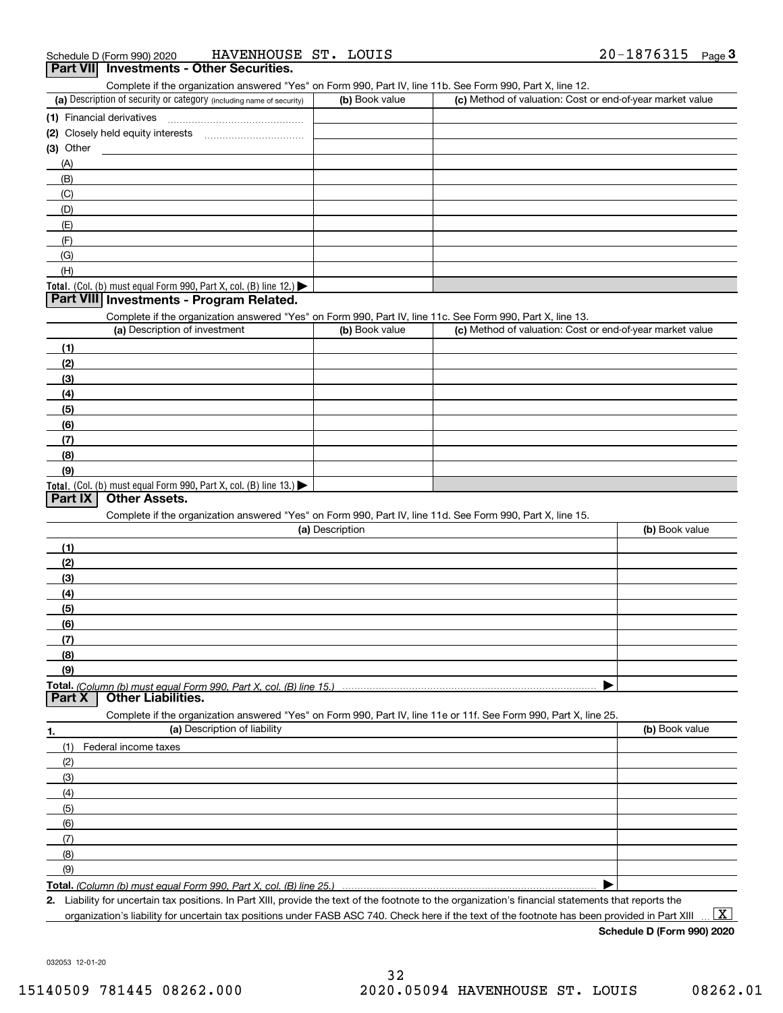Complete if the organization answered "Yes" on Form 990, Part IV, line 11b. See Form 990, Part X, line 12.

| (a) Description of security or category (including name of security)                          | (b) Book value | (c) Method of valuation: Cost or end-of-year market value |
|-----------------------------------------------------------------------------------------------|----------------|-----------------------------------------------------------|
| (1) Financial derivatives                                                                     |                |                                                           |
| (2) Closely held equity interests                                                             |                |                                                           |
| (3) Other                                                                                     |                |                                                           |
| (A)                                                                                           |                |                                                           |
| (B)                                                                                           |                |                                                           |
| (C)                                                                                           |                |                                                           |
| (D)                                                                                           |                |                                                           |
| (E)                                                                                           |                |                                                           |
| (F)                                                                                           |                |                                                           |
| (G)                                                                                           |                |                                                           |
| (H)                                                                                           |                |                                                           |
| <b>Total.</b> (Col. (b) must equal Form 990, Part X, col. (B) line 12.) $\blacktriangleright$ |                |                                                           |

# **Part VIII Investments - Program Related.**

Complete if the organization answered "Yes" on Form 990, Part IV, line 11c. See Form 990, Part X, line 13.

| (a) Description of investment                                                                 | (b) Book value | (c) Method of valuation: Cost or end-of-year market value |
|-----------------------------------------------------------------------------------------------|----------------|-----------------------------------------------------------|
| (1)                                                                                           |                |                                                           |
| (2)                                                                                           |                |                                                           |
| $\frac{1}{2}$                                                                                 |                |                                                           |
| (4)                                                                                           |                |                                                           |
| (5)                                                                                           |                |                                                           |
| (6)                                                                                           |                |                                                           |
| (7)                                                                                           |                |                                                           |
| (8)                                                                                           |                |                                                           |
| (9)                                                                                           |                |                                                           |
| <b>Total.</b> (Col. (b) must equal Form 990, Part X, col. (B) line 13.) $\blacktriangleright$ |                |                                                           |

# **Part IX Other Assets.**

Complete if the organization answered "Yes" on Form 990, Part IV, line 11d. See Form 990, Part X, line 15.

| (a) Description                                                                                                   | (b) Book value |
|-------------------------------------------------------------------------------------------------------------------|----------------|
| (1)                                                                                                               |                |
| (2)                                                                                                               |                |
| $\frac{1}{2}$                                                                                                     |                |
| (4)                                                                                                               |                |
| $\frac{1}{2}$ (5)                                                                                                 |                |
| (6)                                                                                                               |                |
| (7)                                                                                                               |                |
| (8)                                                                                                               |                |
| (9)                                                                                                               |                |
|                                                                                                                   |                |
| <b>Part X</b> Other Liabilities.                                                                                  |                |
| Complete if the organization answered "Yes" on Form 990, Part IV, line 11e or 11f. See Form 990, Part X, line 25. |                |

| 1.                  | (a) Description of liability | (b) Book value |
|---------------------|------------------------------|----------------|
|                     | (1) Federal income taxes     |                |
| (2)                 |                              |                |
| $\qquad \qquad (3)$ |                              |                |
| (4)                 |                              |                |
| $\frac{1}{2}$ (5)   |                              |                |
| (6)                 |                              |                |
| (7)                 |                              |                |
| (8)                 |                              |                |
| (9)                 |                              |                |
|                     |                              |                |

*(Column (b) must equal Form 990, Part X, col. (B) line 25.)* 

**2.**Liability for uncertain tax positions. In Part XIII, provide the text of the footnote to the organization's financial statements that reports the organization's liability for uncertain tax positions under FASB ASC 740. Check here if the text of the footnote has been provided in Part XIII

 $\boxed{\text{X}}$ 

**Schedule D (Form 990) 2020**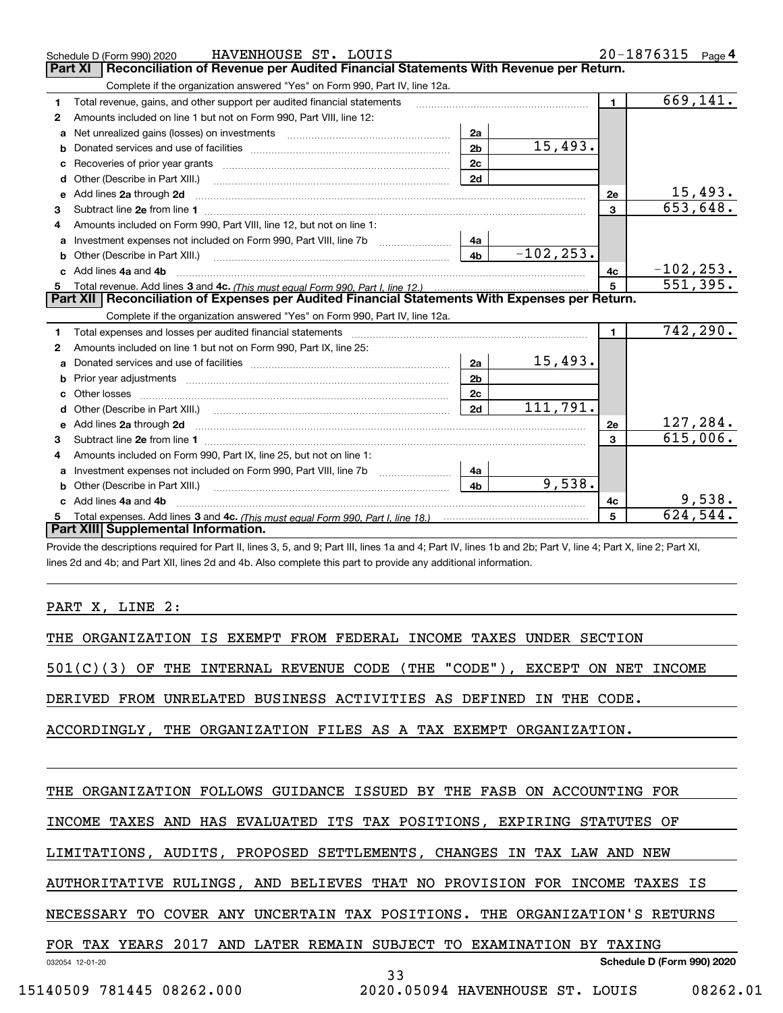|    | HAVENHOUSE ST. LOUIS<br>Schedule D (Form 990) 2020                                                                                                                                                                                  |                |              |                | 20-1876315<br>Page 4       |
|----|-------------------------------------------------------------------------------------------------------------------------------------------------------------------------------------------------------------------------------------|----------------|--------------|----------------|----------------------------|
|    | Reconciliation of Revenue per Audited Financial Statements With Revenue per Return.<br><b>Part XI</b>                                                                                                                               |                |              |                |                            |
|    | Complete if the organization answered "Yes" on Form 990, Part IV, line 12a.                                                                                                                                                         |                |              |                |                            |
| 1  | Total revenue, gains, and other support per audited financial statements                                                                                                                                                            |                |              | $\blacksquare$ | 669, 141.                  |
| 2  | Amounts included on line 1 but not on Form 990, Part VIII, line 12:                                                                                                                                                                 |                |              |                |                            |
| a  |                                                                                                                                                                                                                                     | 2a             |              |                |                            |
|    |                                                                                                                                                                                                                                     | 2 <sub>b</sub> | 15,493.      |                |                            |
|    |                                                                                                                                                                                                                                     | 2 <sub>c</sub> |              |                |                            |
| d  | Other (Describe in Part XIII.) <b>2000</b> 2000 2010 2010 2010 2010 2011 2012 2013 2014 2014 2015 2016 2017 2018 2019 2016 2017 2018 2019 2016 2017 2018 2019 2016 2017 2018 2019 2018 2019 2019 2016 2017 2018 2019 2018 2019 2019 | 2d             |              |                |                            |
| е  | Add lines 2a through 2d                                                                                                                                                                                                             |                |              | 2e             | $\frac{15,493.}{653,648.}$ |
| 3  |                                                                                                                                                                                                                                     |                |              | $\mathbf{3}$   |                            |
| 4  | Amounts included on Form 990, Part VIII, line 12, but not on line 1:                                                                                                                                                                |                |              |                |                            |
|    |                                                                                                                                                                                                                                     | 4a             |              |                |                            |
| b  |                                                                                                                                                                                                                                     | 4 <sub>b</sub> | $-102, 253.$ |                |                            |
| c. | Add lines 4a and 4b                                                                                                                                                                                                                 |                |              | 4с             | $-102, 253.$               |
|    |                                                                                                                                                                                                                                     |                |              | 5              | $\overline{551,395}$ .     |
|    | Part XII   Reconciliation of Expenses per Audited Financial Statements With Expenses per Return.                                                                                                                                    |                |              |                |                            |
|    |                                                                                                                                                                                                                                     |                |              |                |                            |
|    | Complete if the organization answered "Yes" on Form 990, Part IV, line 12a.                                                                                                                                                         |                |              |                |                            |
| 1  |                                                                                                                                                                                                                                     |                |              | $\mathbf{1}$   | 742, 290.                  |
| 2  | Amounts included on line 1 but not on Form 990, Part IX, line 25:                                                                                                                                                                   |                |              |                |                            |
| a  |                                                                                                                                                                                                                                     | 2a             | 15,493.      |                |                            |
|    |                                                                                                                                                                                                                                     | 2 <sub>b</sub> |              |                |                            |
| c  |                                                                                                                                                                                                                                     | 2 <sub>c</sub> |              |                |                            |
| d  | Other (Describe in Part XIII.) (2000) (2000) (2000) (2010) (2010) (2010) (2010) (2010) (2010) (2010) (2010) (20                                                                                                                     | 2d             | 111,791.     |                |                            |
|    |                                                                                                                                                                                                                                     |                |              | 2e             | 127,284.                   |
| 3  |                                                                                                                                                                                                                                     |                |              | $\mathbf{3}$   | 615,006.                   |
| 4  | Amounts included on Form 990, Part IX, line 25, but not on line 1:                                                                                                                                                                  |                |              |                |                            |
| a  |                                                                                                                                                                                                                                     | 4a             |              |                |                            |
| b  |                                                                                                                                                                                                                                     | 4 <sub>b</sub> | 9,538.       |                |                            |
|    | Add lines 4a and 4b                                                                                                                                                                                                                 |                |              | 4c             | 9,538.                     |
|    | Part XIII Supplemental Information.                                                                                                                                                                                                 |                |              | 5              | $\overline{624,544}$ .     |

Provide the descriptions required for Part II, lines 3, 5, and 9; Part III, lines 1a and 4; Part IV, lines 1b and 2b; Part V, line 4; Part X, line 2; Part XI, lines 2d and 4b; and Part XII, lines 2d and 4b. Also complete this part to provide any additional information.

# PART X, LINE 2:

THE ORGANIZATION IS EXEMPT FROM FEDERAL INCOME TAXES UNDER SECTION

501(C)(3) OF THE INTERNAL REVENUE CODE (THE "CODE"), EXCEPT ON NET INCOME

DERIVED FROM UNRELATED BUSINESS ACTIVITIES AS DEFINED IN THE CODE.

ACCORDINGLY, THE ORGANIZATION FILES AS A TAX EXEMPT ORGANIZATION.

# THE ORGANIZATION FOLLOWS GUIDANCE ISSUED BY THE FASB ON ACCOUNTING FOR

INCOME TAXES AND HAS EVALUATED ITS TAX POSITIONS, EXPIRING STATUTES OF

LIMITATIONS, AUDITS, PROPOSED SETTLEMENTS, CHANGES IN TAX LAW AND NEW

AUTHORITATIVE RULINGS, AND BELIEVES THAT NO PROVISION FOR INCOME TAXES IS

NECESSARY TO COVER ANY UNCERTAIN TAX POSITIONS. THE ORGANIZATION'S RETURNS

# FOR TAX YEARS 2017 AND LATER REMAIN SUBJECT TO EXAMINATION BY TAXING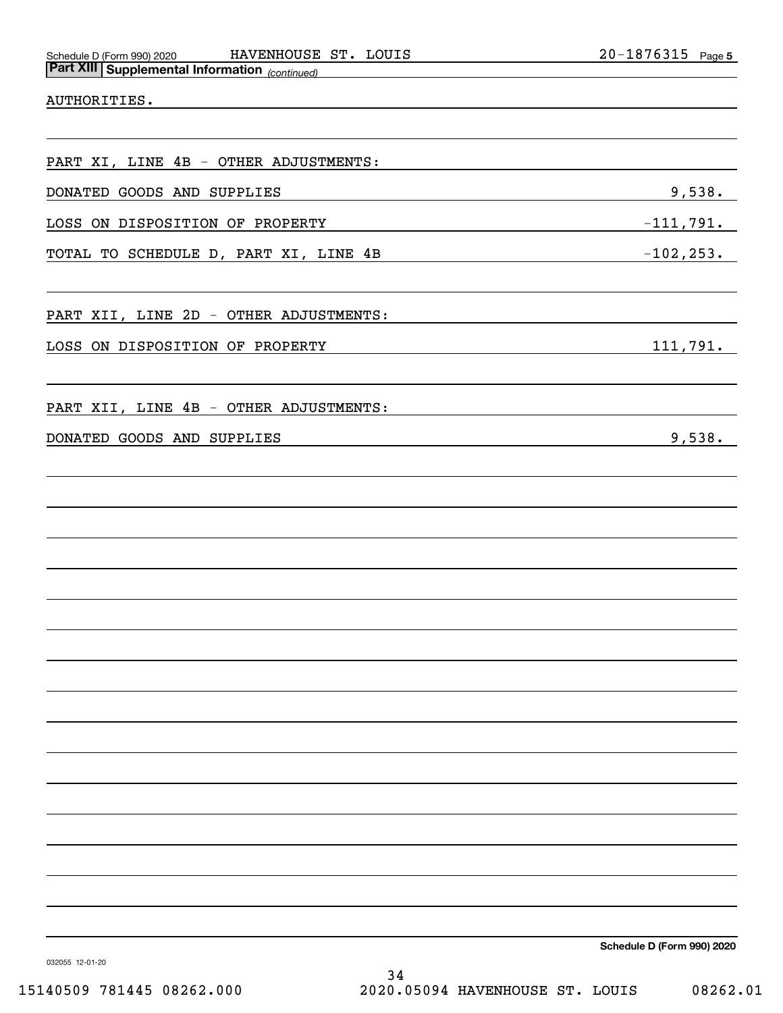# AUTHORITIES.

PART XI, LINE 4B - OTHER ADJUSTMENTS:

DONATED GOODS AND SUPPLIES 328. The set of the set of the set of the set of the set of the set of the set of the set of the set of the set of the set of the set of the set of the set of the set of the set of the set of the

LOSS ON DISPOSITION OF PROPERTY FOR THE SERVICE OF A SERVICE SERVICE SERVICE SERVICE SERVICE SERVICE SERVICE S

TOTAL TO SCHEDULE D, PART XI, LINE 4B  $-102,253$ .

PART XII, LINE 2D - OTHER ADJUSTMENTS:

LOSS ON DISPOSITION OF PROPERTY 111,791.

PART XII, LINE 4B - OTHER ADJUSTMENTS:

DONATED GOODS AND SUPPLIES **Example 20**,538.

**Schedule D (Form 990) 2020**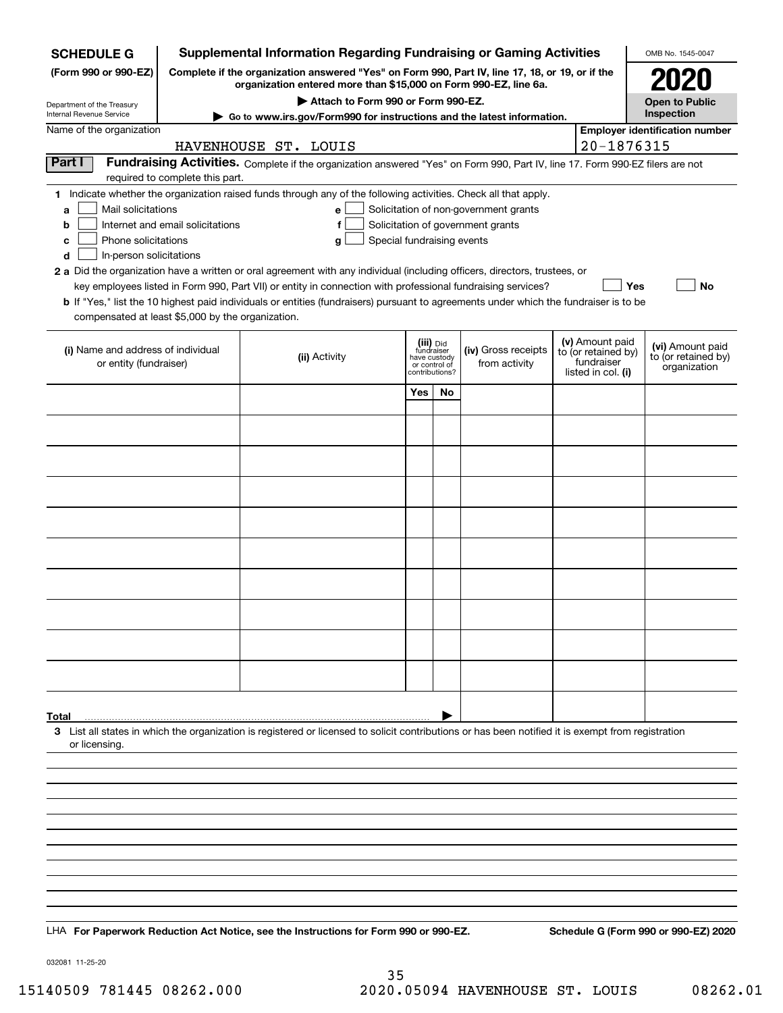| <b>Supplemental Information Regarding Fundraising or Gaming Activities</b><br><b>SCHEDULE G</b> |                                  |                                                                                                                                                                                                                                           |                                 |    |                                       |                                   | OMB No. 1545-0047                       |
|-------------------------------------------------------------------------------------------------|----------------------------------|-------------------------------------------------------------------------------------------------------------------------------------------------------------------------------------------------------------------------------------------|---------------------------------|----|---------------------------------------|-----------------------------------|-----------------------------------------|
| (Form 990 or 990-EZ)                                                                            |                                  | Complete if the organization answered "Yes" on Form 990, Part IV, line 17, 18, or 19, or if the<br>organization entered more than \$15,000 on Form 990-EZ, line 6a.                                                                       |                                 |    |                                       |                                   | 2021                                    |
| Department of the Treasury                                                                      |                                  | Attach to Form 990 or Form 990-EZ.                                                                                                                                                                                                        |                                 |    |                                       |                                   | <b>Open to Public</b>                   |
| Internal Revenue Service                                                                        |                                  | ► Go to www.irs.gov/Form990 for instructions and the latest information.                                                                                                                                                                  |                                 |    |                                       |                                   | Inspection                              |
| Name of the organization                                                                        |                                  | HAVENHOUSE ST. LOUIS                                                                                                                                                                                                                      |                                 |    |                                       | 20-1876315                        | <b>Employer identification number</b>   |
| Part I                                                                                          |                                  | Fundraising Activities. Complete if the organization answered "Yes" on Form 990, Part IV, line 17. Form 990-EZ filers are not                                                                                                             |                                 |    |                                       |                                   |                                         |
|                                                                                                 | required to complete this part.  | 1 Indicate whether the organization raised funds through any of the following activities. Check all that apply.                                                                                                                           |                                 |    |                                       |                                   |                                         |
| Mail solicitations<br>a                                                                         |                                  | e                                                                                                                                                                                                                                         |                                 |    | Solicitation of non-government grants |                                   |                                         |
| b                                                                                               | Internet and email solicitations | f                                                                                                                                                                                                                                         |                                 |    | Solicitation of government grants     |                                   |                                         |
| Phone solicitations<br>c                                                                        |                                  | Special fundraising events<br>a                                                                                                                                                                                                           |                                 |    |                                       |                                   |                                         |
| In-person solicitations<br>d                                                                    |                                  |                                                                                                                                                                                                                                           |                                 |    |                                       |                                   |                                         |
|                                                                                                 |                                  | 2 a Did the organization have a written or oral agreement with any individual (including officers, directors, trustees, or<br>key employees listed in Form 990, Part VII) or entity in connection with professional fundraising services? |                                 |    |                                       | Yes                               | No                                      |
|                                                                                                 |                                  | <b>b</b> If "Yes," list the 10 highest paid individuals or entities (fundraisers) pursuant to agreements under which the fundraiser is to be                                                                                              |                                 |    |                                       |                                   |                                         |
| compensated at least \$5,000 by the organization.                                               |                                  |                                                                                                                                                                                                                                           |                                 |    |                                       |                                   |                                         |
|                                                                                                 |                                  |                                                                                                                                                                                                                                           | (iii) Did                       |    |                                       | (v) Amount paid                   |                                         |
| (i) Name and address of individual<br>or entity (fundraiser)                                    |                                  | (ii) Activity                                                                                                                                                                                                                             | fundraiser<br>have custody      |    | (iv) Gross receipts<br>from activity  | to (or retained by)<br>fundraiser | (vi) Amount paid<br>to (or retained by) |
|                                                                                                 |                                  |                                                                                                                                                                                                                                           | or control of<br>contributions? |    |                                       | listed in col. (i)                | organization                            |
|                                                                                                 |                                  |                                                                                                                                                                                                                                           | Yes                             | No |                                       |                                   |                                         |
|                                                                                                 |                                  |                                                                                                                                                                                                                                           |                                 |    |                                       |                                   |                                         |
|                                                                                                 |                                  |                                                                                                                                                                                                                                           |                                 |    |                                       |                                   |                                         |
|                                                                                                 |                                  |                                                                                                                                                                                                                                           |                                 |    |                                       |                                   |                                         |
|                                                                                                 |                                  |                                                                                                                                                                                                                                           |                                 |    |                                       |                                   |                                         |
|                                                                                                 |                                  |                                                                                                                                                                                                                                           |                                 |    |                                       |                                   |                                         |
|                                                                                                 |                                  |                                                                                                                                                                                                                                           |                                 |    |                                       |                                   |                                         |
|                                                                                                 |                                  |                                                                                                                                                                                                                                           |                                 |    |                                       |                                   |                                         |
|                                                                                                 |                                  |                                                                                                                                                                                                                                           |                                 |    |                                       |                                   |                                         |
|                                                                                                 |                                  |                                                                                                                                                                                                                                           |                                 |    |                                       |                                   |                                         |
|                                                                                                 |                                  |                                                                                                                                                                                                                                           |                                 |    |                                       |                                   |                                         |
|                                                                                                 |                                  |                                                                                                                                                                                                                                           |                                 |    |                                       |                                   |                                         |
|                                                                                                 |                                  |                                                                                                                                                                                                                                           |                                 |    |                                       |                                   |                                         |
|                                                                                                 |                                  |                                                                                                                                                                                                                                           |                                 |    |                                       |                                   |                                         |
|                                                                                                 |                                  |                                                                                                                                                                                                                                           |                                 |    |                                       |                                   |                                         |
| Total                                                                                           |                                  | 3 List all states in which the organization is registered or licensed to solicit contributions or has been notified it is exempt from registration                                                                                        |                                 |    |                                       |                                   |                                         |
| or licensing.                                                                                   |                                  |                                                                                                                                                                                                                                           |                                 |    |                                       |                                   |                                         |
|                                                                                                 |                                  |                                                                                                                                                                                                                                           |                                 |    |                                       |                                   |                                         |
|                                                                                                 |                                  |                                                                                                                                                                                                                                           |                                 |    |                                       |                                   |                                         |
|                                                                                                 |                                  |                                                                                                                                                                                                                                           |                                 |    |                                       |                                   |                                         |
|                                                                                                 |                                  |                                                                                                                                                                                                                                           |                                 |    |                                       |                                   |                                         |
|                                                                                                 |                                  |                                                                                                                                                                                                                                           |                                 |    |                                       |                                   |                                         |
|                                                                                                 |                                  |                                                                                                                                                                                                                                           |                                 |    |                                       |                                   |                                         |
|                                                                                                 |                                  |                                                                                                                                                                                                                                           |                                 |    |                                       |                                   |                                         |
|                                                                                                 |                                  |                                                                                                                                                                                                                                           |                                 |    |                                       |                                   |                                         |
|                                                                                                 |                                  | LHA For Paperwork Reduction Act Notice, see the Instructions for Form 990 or 990-EZ.                                                                                                                                                      |                                 |    |                                       |                                   | Schedule G (Form 990 or 990-EZ) 2020    |

032081 11-25-20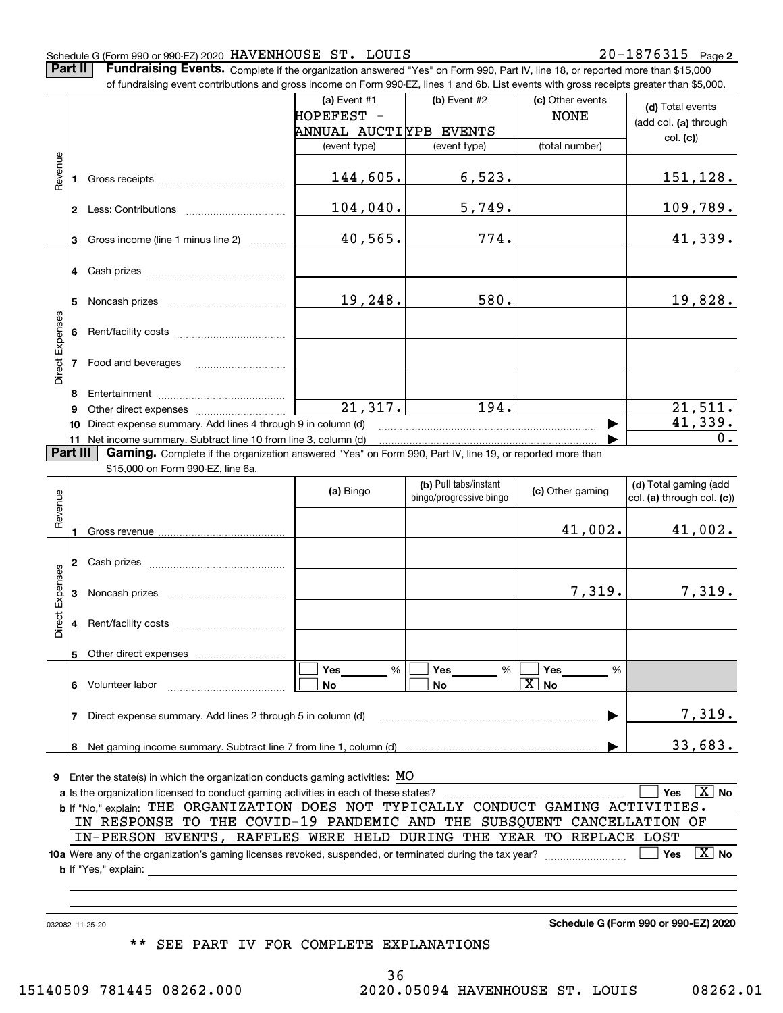## Schedule G (Form 990 or 990-EZ) 2020  ${\rm \, HAVENHOUSE}$   ${\rm \, STr.}$   ${\rm \, LOUIS}$   ${\rm \, 20-1876315}$   ${\rm \, Page}$

**Part II** | Fundraising Events. Complete if the organization answered "Yes" on Form 990, Part IV, line 18, or reported more than \$15,000

|                 |          | of fundraising event contributions and gross income on Form 990-EZ, lines 1 and 6b. List events with gross receipts greater than \$5,000.           |                        |                         |                       |                              |
|-----------------|----------|-----------------------------------------------------------------------------------------------------------------------------------------------------|------------------------|-------------------------|-----------------------|------------------------------|
|                 |          |                                                                                                                                                     | (a) Event #1           | (b) Event #2            | (c) Other events      | (d) Total events             |
|                 |          |                                                                                                                                                     | HOPEFEST -             |                         | <b>NONE</b>           | (add col. (a) through        |
|                 |          |                                                                                                                                                     | ANNUAL AUCTIYPB EVENTS |                         |                       | col. (c)                     |
|                 |          |                                                                                                                                                     | (event type)           | (event type)            | (total number)        |                              |
| Revenue         |          |                                                                                                                                                     |                        |                         |                       |                              |
|                 |          |                                                                                                                                                     | 144,605.               | 6,523.                  |                       | 151,128.                     |
|                 |          |                                                                                                                                                     |                        |                         |                       |                              |
|                 |          |                                                                                                                                                     | 104,040.               | 5,749.                  |                       | 109,789.                     |
|                 |          |                                                                                                                                                     |                        |                         |                       |                              |
|                 | 3        | Gross income (line 1 minus line 2)                                                                                                                  | 40,565.                | 774.                    |                       | 41,339.                      |
|                 |          |                                                                                                                                                     |                        |                         |                       |                              |
|                 |          |                                                                                                                                                     |                        |                         |                       |                              |
|                 |          |                                                                                                                                                     |                        |                         |                       |                              |
|                 | 5        |                                                                                                                                                     | 19,248.                | 580.                    |                       | 19,828.                      |
|                 |          |                                                                                                                                                     |                        |                         |                       |                              |
|                 |          |                                                                                                                                                     |                        |                         |                       |                              |
| Direct Expenses |          |                                                                                                                                                     |                        |                         |                       |                              |
|                 |          |                                                                                                                                                     |                        |                         |                       |                              |
|                 |          |                                                                                                                                                     |                        |                         |                       |                              |
|                 | 8        |                                                                                                                                                     |                        |                         |                       |                              |
|                 | 9        |                                                                                                                                                     | $\overline{21,317.}$   | 194.                    |                       | 21,511.                      |
|                 | 10       | Direct expense summary. Add lines 4 through 9 in column (d)                                                                                         | 41,339.                |                         |                       |                              |
|                 |          | 11 Net income summary. Subtract line 10 from line 3, column (d)                                                                                     |                        |                         | ▶                     | $0$ .                        |
|                 | Part III | <b>Gaming.</b> Complete if the organization answered "Yes" on Form 990, Part IV, line 19, or reported more than                                     |                        |                         |                       |                              |
|                 |          | \$15,000 on Form 990-EZ, line 6a.                                                                                                                   |                        |                         |                       |                              |
|                 |          |                                                                                                                                                     |                        | (b) Pull tabs/instant   |                       | (d) Total gaming (add        |
|                 |          |                                                                                                                                                     | (a) Bingo              | bingo/progressive bingo | (c) Other gaming      | col. (a) through col. (c))   |
| Revenue         |          |                                                                                                                                                     |                        |                         |                       |                              |
|                 |          |                                                                                                                                                     |                        |                         | 41,002.               | 41,002.                      |
|                 |          |                                                                                                                                                     |                        |                         |                       |                              |
|                 |          |                                                                                                                                                     |                        |                         |                       |                              |
|                 |          |                                                                                                                                                     |                        |                         |                       |                              |
| Direct Expenses |          |                                                                                                                                                     |                        |                         | 7,319.                | 7,319.                       |
|                 |          |                                                                                                                                                     |                        |                         |                       |                              |
|                 |          |                                                                                                                                                     |                        |                         |                       |                              |
|                 |          |                                                                                                                                                     |                        |                         |                       |                              |
|                 |          | 5 Other direct expenses                                                                                                                             |                        |                         |                       |                              |
|                 |          |                                                                                                                                                     | $\%$<br>Yes            | Yes<br>%                | Yes<br>%              |                              |
|                 |          | 6 Volunteer labor                                                                                                                                   | No                     |                         | $\boxed{\text{X}}$ No |                              |
|                 |          |                                                                                                                                                     |                        | No                      |                       |                              |
|                 |          | 7 Direct expense summary. Add lines 2 through 5 in column (d)                                                                                       |                        |                         |                       | 7,319.                       |
|                 |          |                                                                                                                                                     |                        |                         |                       |                              |
|                 |          |                                                                                                                                                     |                        |                         |                       | 33,683.                      |
|                 |          |                                                                                                                                                     |                        |                         |                       |                              |
|                 |          | <b>9</b> Enter the state(s) in which the organization conducts gaming activities: MO                                                                |                        |                         |                       |                              |
|                 |          | a Is the organization licensed to conduct gaming activities in each of these states?                                                                |                        |                         |                       | $\boxed{\text{X}}$ No<br>Yes |
|                 |          | b If "No," explain: THE ORGANIZATION DOES NOT TYPICALLY CONDUCT GAMING ACTIVITIES.                                                                  |                        |                         |                       |                              |
|                 |          | IN RESPONSE TO THE COVID-19 PANDEMIC AND THE SUBSQUENT CANCELLATION                                                                                 |                        |                         |                       | ОF                           |
|                 |          | IN-PERSON EVENTS, RAFFLES WERE HELD DURING THE YEAR TO REPLACE LOST                                                                                 |                        |                         |                       |                              |
|                 |          |                                                                                                                                                     |                        |                         |                       | $\boxed{\text{X}}$ No        |
|                 |          |                                                                                                                                                     |                        |                         |                       | Yes                          |
|                 |          | <b>b</b> If "Yes," explain:<br><u> 1980 - Jan James James James James James James James James James James James James James James James James J</u> |                        |                         |                       |                              |
|                 |          |                                                                                                                                                     |                        |                         |                       |                              |
|                 |          |                                                                                                                                                     |                        |                         |                       |                              |
|                 |          |                                                                                                                                                     |                        |                         |                       |                              |

032082 11-25-20

**Schedule G (Form 990 or 990-EZ) 2020**

\*\* SEE PART IV FOR COMPLETE EXPLANATIONS

36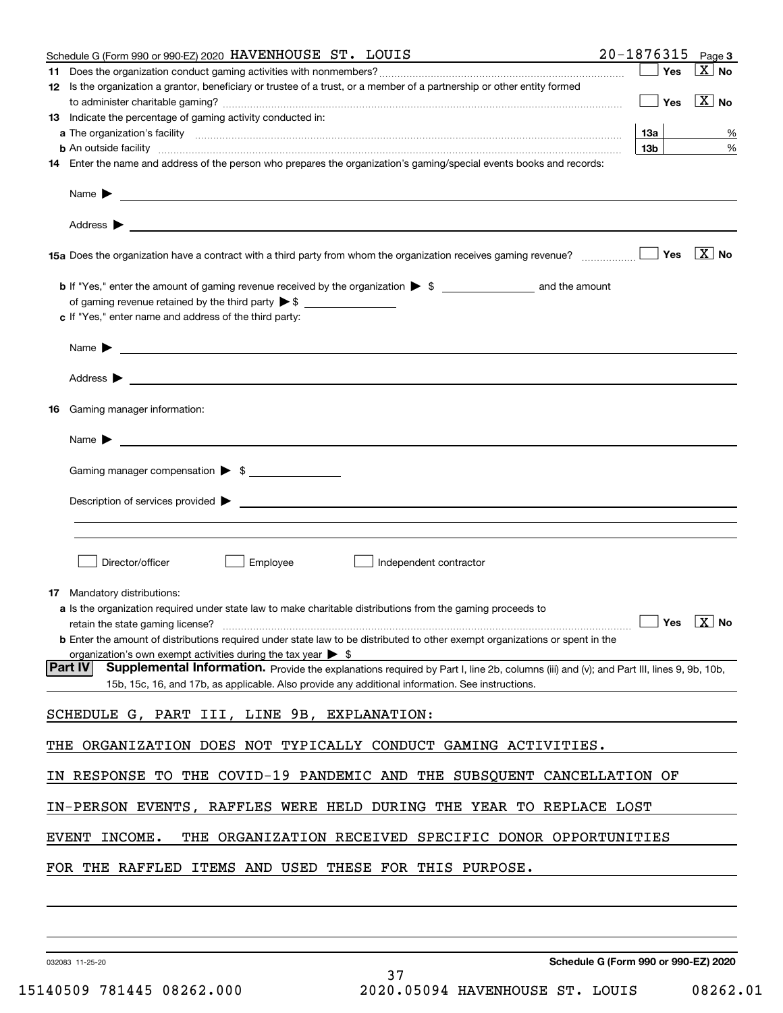| Schedule G (Form 990 or 990-EZ) 2020 HAVENHOUSE ST. LOUIS                                                                                                                                                                                                    |                 |     | $20 - 1876315$ Page 3                           |
|--------------------------------------------------------------------------------------------------------------------------------------------------------------------------------------------------------------------------------------------------------------|-----------------|-----|-------------------------------------------------|
|                                                                                                                                                                                                                                                              |                 | Yes | ∣X   No                                         |
| 12 Is the organization a grantor, beneficiary or trustee of a trust, or a member of a partnership or other entity formed                                                                                                                                     |                 |     |                                                 |
|                                                                                                                                                                                                                                                              |                 |     | $\boxed{\phantom{1}}$ Yes $\boxed{\text{X}}$ No |
| 13 Indicate the percentage of gaming activity conducted in:                                                                                                                                                                                                  |                 |     |                                                 |
|                                                                                                                                                                                                                                                              | 13a             |     | %                                               |
|                                                                                                                                                                                                                                                              | 13 <sub>b</sub> |     | %                                               |
| 14 Enter the name and address of the person who prepares the organization's gaming/special events books and records:                                                                                                                                         |                 |     |                                                 |
| Name $\blacktriangleright$ $\frac{\blacktriangleright}{\color{blue}\square\color{blacktriangle}}$                                                                                                                                                            |                 |     |                                                 |
|                                                                                                                                                                                                                                                              |                 |     |                                                 |
|                                                                                                                                                                                                                                                              |                 |     | $\boxed{\text{X}}$ No                           |
| <b>b</b> If "Yes," enter the amount of gaming revenue received by the organization $\triangleright$ \$                                                                                                                                                       |                 |     |                                                 |
|                                                                                                                                                                                                                                                              |                 |     |                                                 |
| c If "Yes," enter name and address of the third party:                                                                                                                                                                                                       |                 |     |                                                 |
|                                                                                                                                                                                                                                                              |                 |     |                                                 |
|                                                                                                                                                                                                                                                              |                 |     |                                                 |
| <b>16</b> Gaming manager information:                                                                                                                                                                                                                        |                 |     |                                                 |
|                                                                                                                                                                                                                                                              |                 |     |                                                 |
| <u> 1989 - Johann Barbara, martin amerikan basal dan berasal dan berasal dalam basal dan berasal dan berasal dan</u><br>Name $\blacktriangleright$                                                                                                           |                 |     |                                                 |
| Gaming manager compensation > \$                                                                                                                                                                                                                             |                 |     |                                                 |
| $Description of services provided$ $\triangleright$                                                                                                                                                                                                          |                 |     |                                                 |
|                                                                                                                                                                                                                                                              |                 |     |                                                 |
|                                                                                                                                                                                                                                                              |                 |     |                                                 |
| Employee<br>Director/officer<br>Independent contractor                                                                                                                                                                                                       |                 |     |                                                 |
| 17 Mandatory distributions:                                                                                                                                                                                                                                  |                 |     |                                                 |
| a Is the organization required under state law to make charitable distributions from the gaming proceeds to                                                                                                                                                  |                 |     |                                                 |
| retain the state gaming license? $\Box$ No                                                                                                                                                                                                                   |                 |     |                                                 |
| <b>b</b> Enter the amount of distributions required under state law to be distributed to other exempt organizations or spent in the                                                                                                                          |                 |     |                                                 |
| organization's own exempt activities during the tax year $\triangleright$ \$                                                                                                                                                                                 |                 |     |                                                 |
| <b>Part IV</b><br>Supplemental Information. Provide the explanations required by Part I, line 2b, columns (iii) and (v); and Part III, lines 9, 9b, 10b,<br>15b, 15c, 16, and 17b, as applicable. Also provide any additional information. See instructions. |                 |     |                                                 |
| SCHEDULE G, PART III, LINE 9B, EXPLANATION:                                                                                                                                                                                                                  |                 |     |                                                 |
|                                                                                                                                                                                                                                                              |                 |     |                                                 |
| THE ORGANIZATION DOES NOT TYPICALLY CONDUCT GAMING ACTIVITIES.                                                                                                                                                                                               |                 |     |                                                 |
| IN RESPONSE TO THE COVID-19 PANDEMIC AND THE SUBSQUENT CANCELLATION OF                                                                                                                                                                                       |                 |     |                                                 |
| IN-PERSON EVENTS, RAFFLES WERE HELD DURING THE YEAR TO REPLACE LOST                                                                                                                                                                                          |                 |     |                                                 |
| THE ORGANIZATION RECEIVED SPECIFIC DONOR OPPORTUNITIES<br>EVENT INCOME.                                                                                                                                                                                      |                 |     |                                                 |
| FOR THE RAFFLED ITEMS AND USED THESE FOR THIS PURPOSE.                                                                                                                                                                                                       |                 |     |                                                 |
|                                                                                                                                                                                                                                                              |                 |     |                                                 |

032083 11-25-20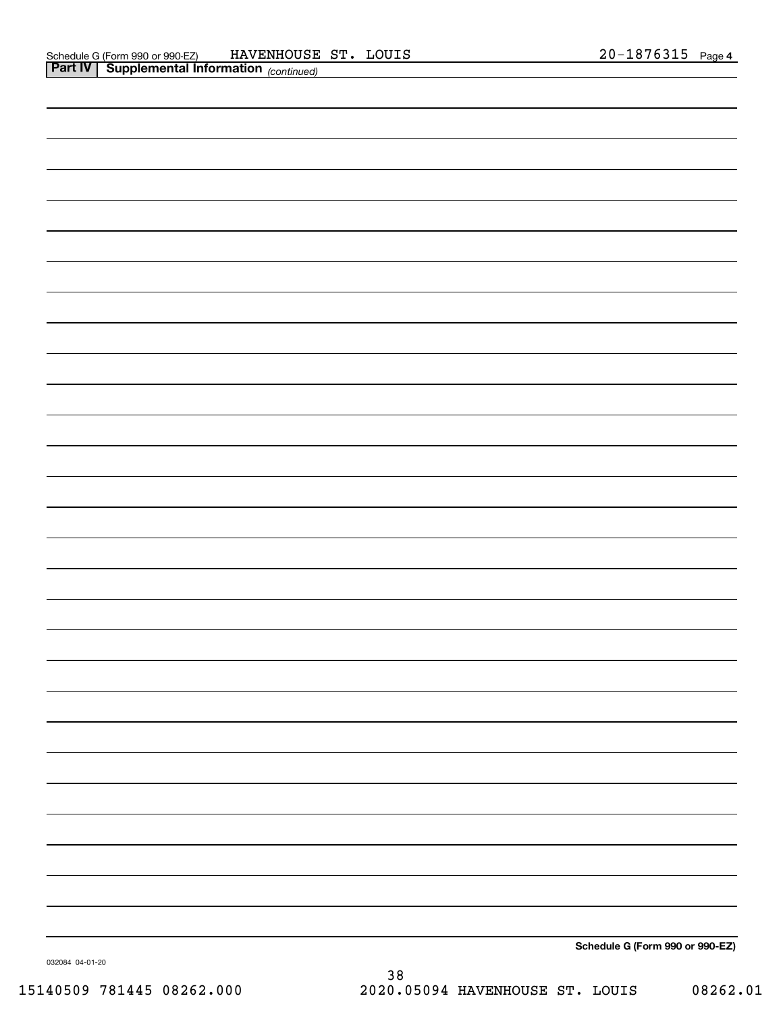| Schedule G (Form 990 or 990-EZ) |
|---------------------------------|

032084 04-01-20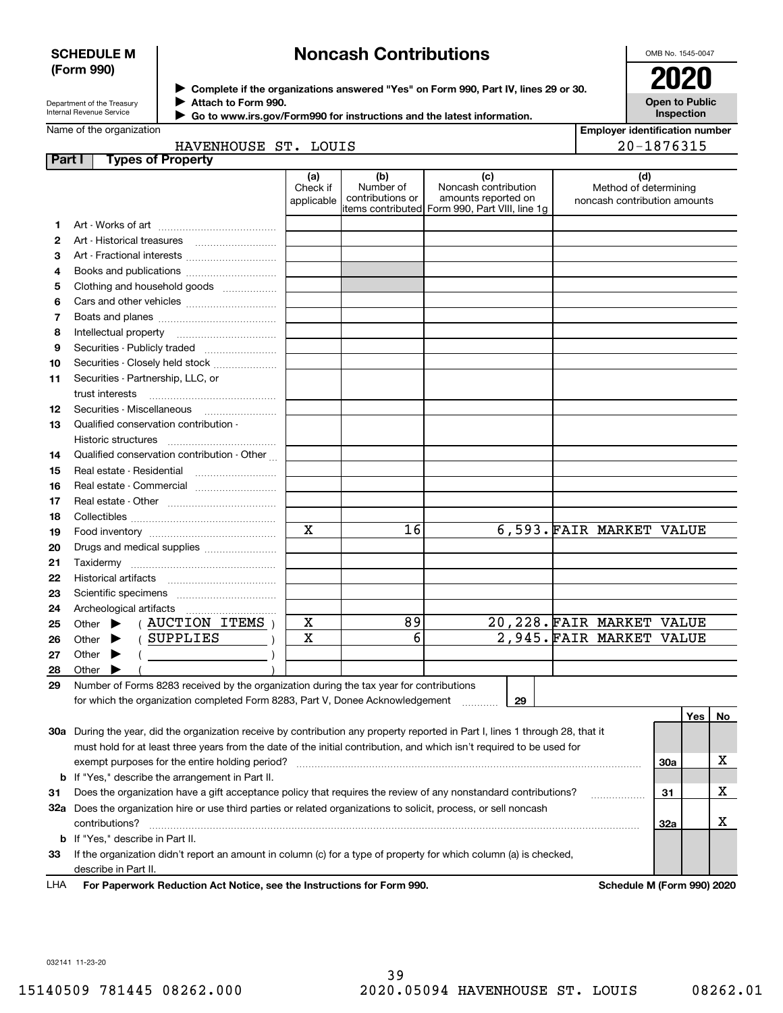# **SCHEDULE M (Form 990)**

# **Noncash Contributions**

OMB No. 1545-0047

| Department of the Treasury |
|----------------------------|
| Internal Revenue Service   |

**Complete if the organizations answered "Yes" on Form 990, Part IV, lines 29 or 30.** <sup>J</sup>**2020 Attach to Form 990.** J

**Open to Public Inspection**

|  | Name of the organization |  |
|--|--------------------------|--|

 **Go to www.irs.gov/Form990 for instructions and the latest information.** J

| <b>Employer identification number</b> |
|---------------------------------------|
| 20-1876315                            |

| HAVENHOUSE ST. | LOUIS |
|----------------|-------|
|                |       |

| <b>Part I</b> | <b>Types of Property</b>                                                                                                                                                 |                        |                      |                                                |                                                       |     |     |    |
|---------------|--------------------------------------------------------------------------------------------------------------------------------------------------------------------------|------------------------|----------------------|------------------------------------------------|-------------------------------------------------------|-----|-----|----|
|               |                                                                                                                                                                          | (a)                    | (b)<br>Number of     | (c)<br>Noncash contribution                    | (d)                                                   |     |     |    |
|               |                                                                                                                                                                          | Check if<br>applicable | contributions or     | amounts reported on                            | Method of determining<br>noncash contribution amounts |     |     |    |
|               |                                                                                                                                                                          |                        |                      | items contributed Form 990, Part VIII, line 1g |                                                       |     |     |    |
| 1.            |                                                                                                                                                                          |                        |                      |                                                |                                                       |     |     |    |
| 2             |                                                                                                                                                                          |                        |                      |                                                |                                                       |     |     |    |
| з             | Art - Fractional interests                                                                                                                                               |                        |                      |                                                |                                                       |     |     |    |
| 4             | Books and publications                                                                                                                                                   |                        |                      |                                                |                                                       |     |     |    |
| 5             | Clothing and household goods                                                                                                                                             |                        |                      |                                                |                                                       |     |     |    |
| 6             |                                                                                                                                                                          |                        |                      |                                                |                                                       |     |     |    |
| 7             |                                                                                                                                                                          |                        |                      |                                                |                                                       |     |     |    |
| 8             |                                                                                                                                                                          |                        |                      |                                                |                                                       |     |     |    |
| 9             | Securities - Publicly traded                                                                                                                                             |                        |                      |                                                |                                                       |     |     |    |
| 10            | Securities - Closely held stock                                                                                                                                          |                        |                      |                                                |                                                       |     |     |    |
| 11            | Securities - Partnership, LLC, or                                                                                                                                        |                        |                      |                                                |                                                       |     |     |    |
|               | trust interests                                                                                                                                                          |                        |                      |                                                |                                                       |     |     |    |
| 12            |                                                                                                                                                                          |                        |                      |                                                |                                                       |     |     |    |
| 13            | Qualified conservation contribution -                                                                                                                                    |                        |                      |                                                |                                                       |     |     |    |
|               | Historic structures                                                                                                                                                      |                        |                      |                                                |                                                       |     |     |    |
| 14            | Qualified conservation contribution - Other                                                                                                                              |                        |                      |                                                |                                                       |     |     |    |
| 15            | Real estate - Residential                                                                                                                                                |                        |                      |                                                |                                                       |     |     |    |
| 16            |                                                                                                                                                                          |                        |                      |                                                |                                                       |     |     |    |
| 17            |                                                                                                                                                                          |                        |                      |                                                |                                                       |     |     |    |
| 18            |                                                                                                                                                                          |                        |                      |                                                |                                                       |     |     |    |
| 19            |                                                                                                                                                                          | $\mathbf x$            | 16                   |                                                | 6,593. FAIR MARKET VALUE                              |     |     |    |
| 20            | Drugs and medical supplies                                                                                                                                               |                        |                      |                                                |                                                       |     |     |    |
| 21            |                                                                                                                                                                          |                        |                      |                                                |                                                       |     |     |    |
| 22            |                                                                                                                                                                          |                        |                      |                                                |                                                       |     |     |    |
| 23            |                                                                                                                                                                          |                        |                      |                                                |                                                       |     |     |    |
| 24            |                                                                                                                                                                          |                        |                      |                                                |                                                       |     |     |    |
| 25            | (AUCTION ITEMS)<br>Other $\blacktriangleright$                                                                                                                           | X<br>$\mathbf x$       | 89<br>$\overline{6}$ |                                                | 20, 228. FAIR MARKET VALUE                            |     |     |    |
| 26            | SUPPLIES<br>Other<br>▶                                                                                                                                                   |                        |                      |                                                | 2,945. FAIR MARKET VALUE                              |     |     |    |
| 27            | Other<br>▶                                                                                                                                                               |                        |                      |                                                |                                                       |     |     |    |
| 28            | Other $\blacktriangleright$                                                                                                                                              |                        |                      |                                                |                                                       |     |     |    |
| 29            | Number of Forms 8283 received by the organization during the tax year for contributions<br>for which the organization completed Form 8283, Part V, Donee Acknowledgement |                        |                      | 29                                             |                                                       |     |     |    |
|               |                                                                                                                                                                          |                        |                      |                                                |                                                       |     | Yes | No |
|               | 30a During the year, did the organization receive by contribution any property reported in Part I, lines 1 through 28, that it                                           |                        |                      |                                                |                                                       |     |     |    |
|               | must hold for at least three years from the date of the initial contribution, and which isn't required to be used for                                                    |                        |                      |                                                |                                                       |     |     |    |
|               | exempt purposes for the entire holding period?                                                                                                                           |                        |                      |                                                |                                                       | 30a |     | х  |
|               | <b>b</b> If "Yes," describe the arrangement in Part II.                                                                                                                  |                        |                      |                                                |                                                       |     |     |    |
| 31            | Does the organization have a gift acceptance policy that requires the review of any nonstandard contributions?                                                           |                        |                      |                                                |                                                       | 31  |     | x  |
|               | 32a Does the organization hire or use third parties or related organizations to solicit, process, or sell noncash                                                        |                        |                      |                                                | .                                                     |     |     |    |
|               | contributions?                                                                                                                                                           |                        |                      |                                                |                                                       | 32a |     | х  |
|               | <b>b</b> If "Yes," describe in Part II.                                                                                                                                  |                        |                      |                                                |                                                       |     |     |    |
|               |                                                                                                                                                                          |                        |                      |                                                |                                                       |     |     |    |

**33**If the organization didn't report an amount in column (c) for a type of property for which column (a) is checked, describe in Part II.

**For Paperwork Reduction Act Notice, see the Instructions for Form 990. Schedule M (Form 990) 2020** LHA

032141 11-23-20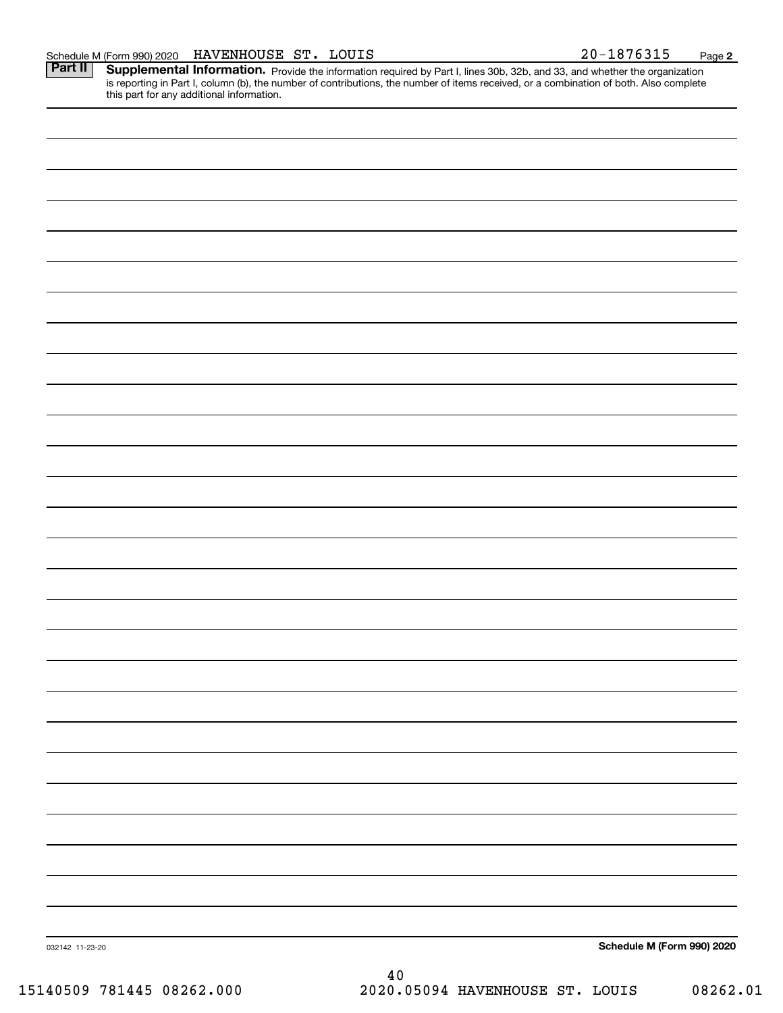**2**

Part II | Supplemental Information. Provide the information required by Part I, lines 30b, 32b, and 33, and whether the organization is reporting in Part I, column (b), the number of contributions, the number of items received, or a combination of both. Also complete this part for any additional information.

| 15140509 781445 08262.000 | $4\,0$<br>2020.05094 HAVENHOUSE ST. LOUIS<br>08262.01 |
|---------------------------|-------------------------------------------------------|
| 032142 11-23-20           | Schedule M (Form 990) 2020                            |
|                           |                                                       |
|                           |                                                       |
|                           |                                                       |
|                           |                                                       |
|                           |                                                       |
|                           |                                                       |
|                           |                                                       |
|                           |                                                       |
|                           |                                                       |
|                           |                                                       |
|                           |                                                       |
|                           |                                                       |
|                           |                                                       |
|                           |                                                       |
|                           |                                                       |
|                           |                                                       |
|                           |                                                       |
|                           |                                                       |
|                           |                                                       |
|                           |                                                       |
|                           |                                                       |
|                           |                                                       |
|                           |                                                       |
|                           |                                                       |
|                           |                                                       |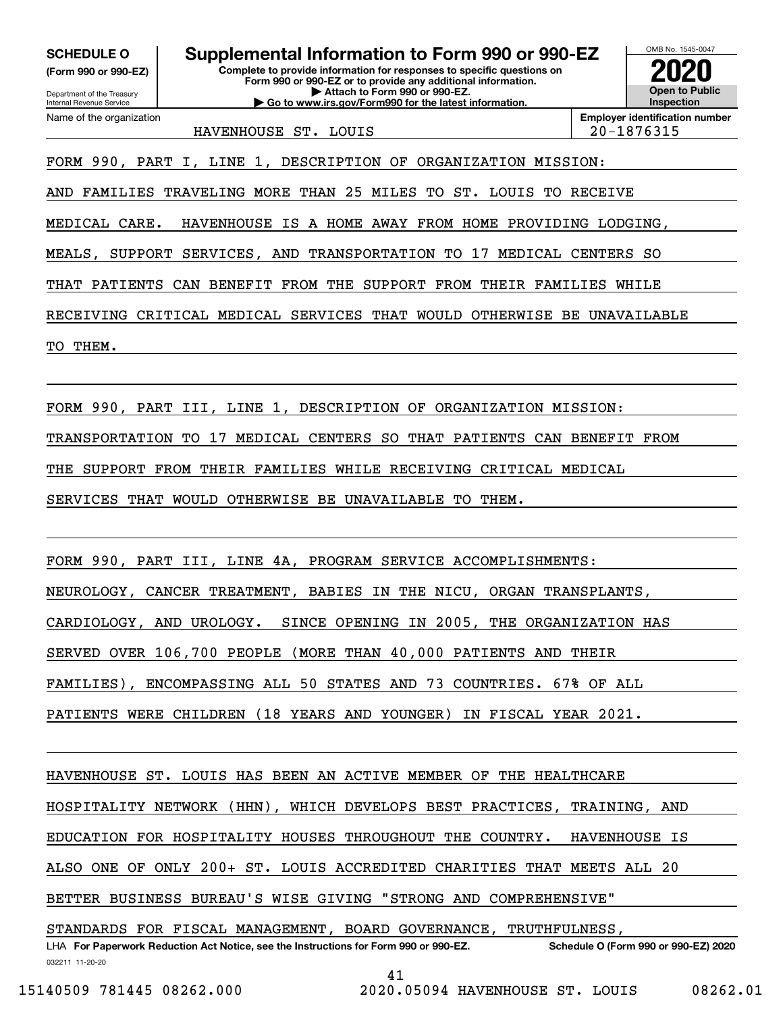**(Form 990 or 990-EZ)**

Department of the Treasury Internal Revenue Service Name of the organization

**Complete to provide information for responses to specific questions on Form 990 or 990-EZ or to provide any additional information. SCHEDULE O Supplemental Information to Form 990 or 990-EZ**

**| Attach to Form 990 or 990-EZ. | Go to www.irs.gov/Form990 for the latest information.**

**Open to Public InspectionEmployer identification number 2020**

OMB No. 1545-0047

HAVENHOUSE ST. LOUIS 20-1876315

FORM 990, PART I, LINE 1, DESCRIPTION OF ORGANIZATION MISSION:

AND FAMILIES TRAVELING MORE THAN 25 MILES TO ST. LOUIS TO RECEIVE

MEDICAL CARE. HAVENHOUSE IS A HOME AWAY FROM HOME PROVIDING LODGING,

MEALS, SUPPORT SERVICES, AND TRANSPORTATION TO 17 MEDICAL CENTERS SO

THAT PATIENTS CAN BENEFIT FROM THE SUPPORT FROM THEIR FAMILIES WHILE

RECEIVING CRITICAL MEDICAL SERVICES THAT WOULD OTHERWISE BE UNAVAILABLE

TO THEM.

FORM 990, PART III, LINE 1, DESCRIPTION OF ORGANIZATION MISSION:

TRANSPORTATION TO 17 MEDICAL CENTERS SO THAT PATIENTS CAN BENEFIT FROM

THE SUPPORT FROM THEIR FAMILIES WHILE RECEIVING CRITICAL MEDICAL

SERVICES THAT WOULD OTHERWISE BE UNAVAILABLE TO THEM.

FORM 990, PART III, LINE 4A, PROGRAM SERVICE ACCOMPLISHMENTS:

NEUROLOGY, CANCER TREATMENT, BABIES IN THE NICU, ORGAN TRANSPLANTS,

CARDIOLOGY, AND UROLOGY. SINCE OPENING IN 2005, THE ORGANIZATION HAS

SERVED OVER 106,700 PEOPLE (MORE THAN 40,000 PATIENTS AND THEIR

FAMILIES), ENCOMPASSING ALL 50 STATES AND 73 COUNTRIES. 67% OF ALL

PATIENTS WERE CHILDREN (18 YEARS AND YOUNGER) IN FISCAL YEAR 2021.

HAVENHOUSE ST. LOUIS HAS BEEN AN ACTIVE MEMBER OF THE HEALTHCARE

HOSPITALITY NETWORK (HHN), WHICH DEVELOPS BEST PRACTICES, TRAINING, AND

EDUCATION FOR HOSPITALITY HOUSES THROUGHOUT THE COUNTRY. HAVENHOUSE IS

ALSO ONE OF ONLY 200+ ST. LOUIS ACCREDITED CHARITIES THAT MEETS ALL 20

BETTER BUSINESS BUREAU'S WISE GIVING "STRONG AND COMPREHENSIVE"

032211 11-20-20 LHA For Paperwork Reduction Act Notice, see the Instructions for Form 990 or 990-EZ. Schedule O (Form 990 or 990-EZ) 2020 STANDARDS FOR FISCAL MANAGEMENT, BOARD GOVERNANCE, TRUTHFULNESS,